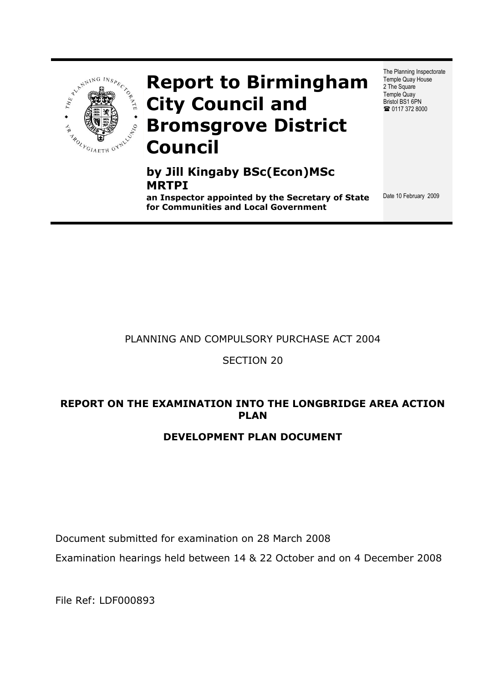

# **Report to Birmingham City Council and Bromsgrove District Council**

# **by Jill Kingaby BSc(Econ)MSc MRTPI**

**an Inspector appointed by the Secretary of State for Communities and Local Government**

The Planning Inspectorate Temple Quay House 2 The Square Temple Quay Bristol BS1 6PN ■ 0117 372 8000

Date 10 February 2009

### PLANNING AND COMPULSORY PURCHASE ACT 2004

### SECTION 20

### **REPORT ON THE EXAMINATION INTO THE LONGBRIDGE AREA ACTION PLAN**

### **DEVELOPMENT PLAN DOCUMENT**

Document submitted for examination on 28 March 2008

Examination hearings held between 14 & 22 October and on 4 December 2008

File Ref: LDF000893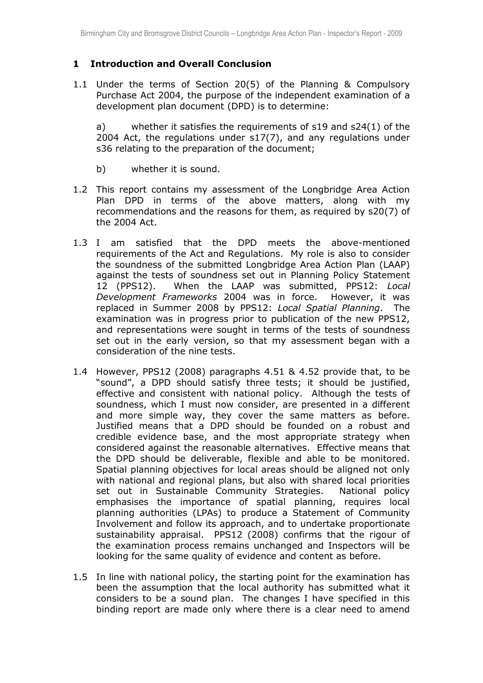### **1 Introduction and Overall Conclusion**

1.1 Under the terms of Section 20(5) of the Planning & Compulsory Purchase Act 2004, the purpose of the independent examination of a development plan document (DPD) is to determine:

a) whether it satisfies the requirements of s19 and s24(1) of the 2004 Act, the regulations under s17(7), and any regulations under s36 relating to the preparation of the document;

- b) whether it is sound.
- 1.2 This report contains my assessment of the Longbridge Area Action Plan DPD in terms of the above matters, along with my recommendations and the reasons for them, as required by s20(7) of the 2004 Act.
- 1.3 I am satisfied that the DPD meets the above-mentioned requirements of the Act and Regulations. My role is also to consider the soundness of the submitted Longbridge Area Action Plan (LAAP) against the tests of soundness set out in Planning Policy Statement 12 (PPS12). When the LAAP was submitted, PPS12: *Local Development Frameworks* 2004 was in force. However, it was replaced in Summer 2008 by PPS12: *Local Spatial Planning*. The examination was in progress prior to publication of the new PPS12, and representations were sought in terms of the tests of soundness set out in the early version, so that my assessment began with a consideration of the nine tests.
- 1.4 However, PPS12 (2008) paragraphs 4.51 & 4.52 provide that, to be "sound", a DPD should satisfy three tests; it should be justified, effective and consistent with national policy. Although the tests of soundness, which I must now consider, are presented in a different and more simple way, they cover the same matters as before. Justified means that a DPD should be founded on a robust and credible evidence base, and the most appropriate strategy when considered against the reasonable alternatives. Effective means that the DPD should be deliverable, flexible and able to be monitored. Spatial planning objectives for local areas should be aligned not only with national and regional plans, but also with shared local priorities set out in Sustainable Community Strategies. National policy emphasises the importance of spatial planning, requires local planning authorities (LPAs) to produce a Statement of Community Involvement and follow its approach, and to undertake proportionate sustainability appraisal. PPS12 (2008) confirms that the rigour of the examination process remains unchanged and Inspectors will be looking for the same quality of evidence and content as before.
- 1.5 In line with national policy, the starting point for the examination has been the assumption that the local authority has submitted what it considers to be a sound plan. The changes I have specified in this binding report are made only where there is a clear need to amend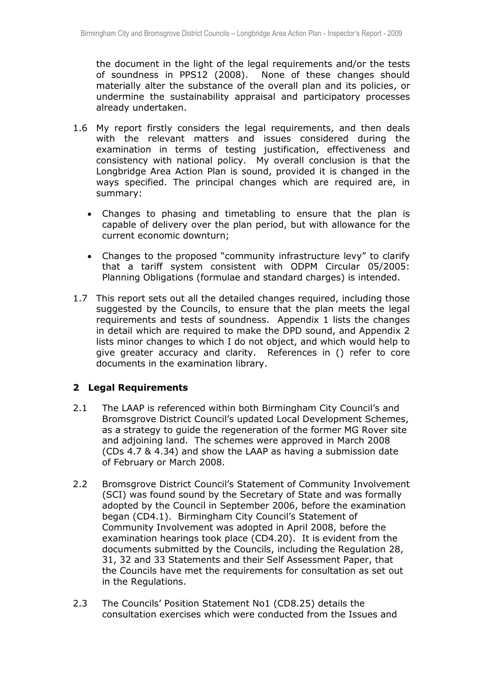the document in the light of the legal requirements and/or the tests of soundness in PPS12 (2008). None of these changes should materially alter the substance of the overall plan and its policies, or undermine the sustainability appraisal and participatory processes already undertaken.

- 1.6 My report firstly considers the legal requirements, and then deals with the relevant matters and issues considered during the examination in terms of testing justification, effectiveness and consistency with national policy. My overall conclusion is that the Longbridge Area Action Plan is sound, provided it is changed in the ways specified. The principal changes which are required are, in summary:
	- Changes to phasing and timetabling to ensure that the plan is capable of delivery over the plan period, but with allowance for the current economic downturn;
	- Changes to the proposed "community infrastructure levy" to clarify that a tariff system consistent with ODPM Circular 05/2005: Planning Obligations (formulae and standard charges) is intended.
- 1.7 This report sets out all the detailed changes required, including those suggested by the Councils, to ensure that the plan meets the legal requirements and tests of soundness. Appendix 1 lists the changes in detail which are required to make the DPD sound, and Appendix 2 lists minor changes to which I do not object, and which would help to give greater accuracy and clarity. References in () refer to core documents in the examination library.

### **2 Legal Requirements**

- 2.1 The LAAP is referenced within both Birmingham City Council's and Bromsgrove District Council's updated Local Development Schemes, as a strategy to guide the regeneration of the former MG Rover site and adjoining land. The schemes were approved in March 2008 (CDs 4.7 & 4.34) and show the LAAP as having a submission date of February or March 2008.
- 2.2 Bromsgrove District Council's Statement of Community Involvement (SCI) was found sound by the Secretary of State and was formally adopted by the Council in September 2006, before the examination began (CD4.1). Birmingham City Council's Statement of Community Involvement was adopted in April 2008, before the examination hearings took place (CD4.20). It is evident from the documents submitted by the Councils, including the Regulation 28, 31, 32 and 33 Statements and their Self Assessment Paper, that the Councils have met the requirements for consultation as set out in the Regulations.
- 2.3 The Councils' Position Statement No1 (CD8.25) details the consultation exercises which were conducted from the Issues and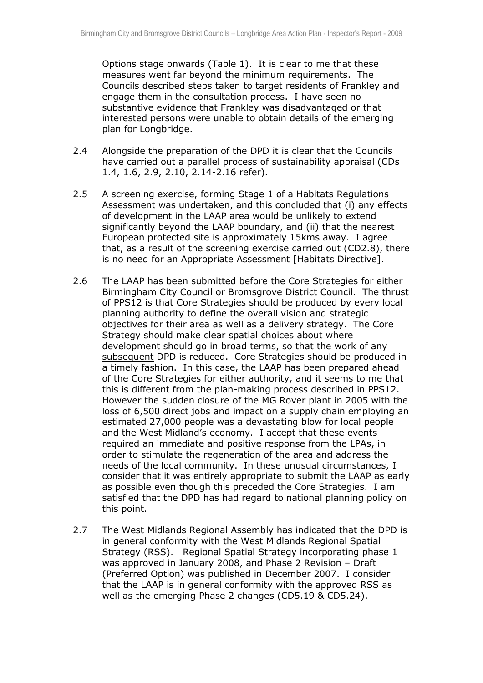Options stage onwards (Table 1). It is clear to me that these measures went far beyond the minimum requirements. The Councils described steps taken to target residents of Frankley and engage them in the consultation process. I have seen no substantive evidence that Frankley was disadvantaged or that interested persons were unable to obtain details of the emerging plan for Longbridge.

- 2.4 Alongside the preparation of the DPD it is clear that the Councils have carried out a parallel process of sustainability appraisal (CDs 1.4, 1.6, 2.9, 2.10, 2.14-2.16 refer).
- 2.5 A screening exercise, forming Stage 1 of a Habitats Regulations Assessment was undertaken, and this concluded that (i) any effects of development in the LAAP area would be unlikely to extend significantly beyond the LAAP boundary, and (ii) that the nearest European protected site is approximately 15kms away. I agree that, as a result of the screening exercise carried out (CD2.8), there is no need for an Appropriate Assessment [Habitats Directive].
- 2.6 The LAAP has been submitted before the Core Strategies for either Birmingham City Council or Bromsgrove District Council. The thrust of PPS12 is that Core Strategies should be produced by every local planning authority to define the overall vision and strategic objectives for their area as well as a delivery strategy. The Core Strategy should make clear spatial choices about where development should go in broad terms, so that the work of any subsequent DPD is reduced. Core Strategies should be produced in a timely fashion. In this case, the LAAP has been prepared ahead of the Core Strategies for either authority, and it seems to me that this is different from the plan-making process described in PPS12. However the sudden closure of the MG Rover plant in 2005 with the loss of 6,500 direct jobs and impact on a supply chain employing an estimated 27,000 people was a devastating blow for local people and the West Midland's economy. I accept that these events required an immediate and positive response from the LPAs, in order to stimulate the regeneration of the area and address the needs of the local community. In these unusual circumstances, I consider that it was entirely appropriate to submit the LAAP as early as possible even though this preceded the Core Strategies. I am satisfied that the DPD has had regard to national planning policy on this point.
- 2.7 The West Midlands Regional Assembly has indicated that the DPD is in general conformity with the West Midlands Regional Spatial Strategy (RSS). Regional Spatial Strategy incorporating phase 1 was approved in January 2008, and Phase 2 Revision – Draft (Preferred Option) was published in December 2007. I consider that the LAAP is in general conformity with the approved RSS as well as the emerging Phase 2 changes (CD5.19 & CD5.24).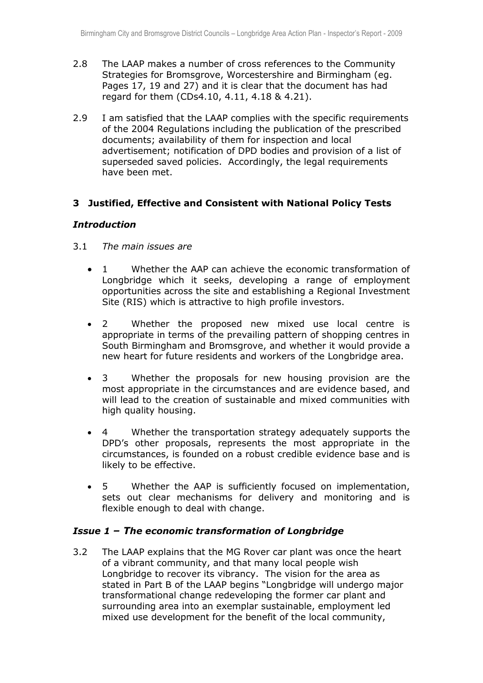- 2.8 The LAAP makes a number of cross references to the Community Strategies for Bromsgrove, Worcestershire and Birmingham (eg. Pages 17, 19 and 27) and it is clear that the document has had regard for them (CDs4.10, 4.11, 4.18 & 4.21).
- 2.9 I am satisfied that the LAAP complies with the specific requirements of the 2004 Regulations including the publication of the prescribed documents; availability of them for inspection and local advertisement; notification of DPD bodies and provision of a list of superseded saved policies. Accordingly, the legal requirements have been met.

### **3 Justified, Effective and Consistent with National Policy Tests**

### *Introduction*

- 3.1 *The main issues are* 
	- 1 Whether the AAP can achieve the economic transformation of Longbridge which it seeks, developing a range of employment opportunities across the site and establishing a Regional Investment Site (RIS) which is attractive to high profile investors.
	- 2 Whether the proposed new mixed use local centre is appropriate in terms of the prevailing pattern of shopping centres in South Birmingham and Bromsgrove, and whether it would provide a new heart for future residents and workers of the Longbridge area.
	- 3 Whether the proposals for new housing provision are the most appropriate in the circumstances and are evidence based, and will lead to the creation of sustainable and mixed communities with high quality housing.
	- 4 Whether the transportation strategy adequately supports the DPD's other proposals, represents the most appropriate in the circumstances, is founded on a robust credible evidence base and is likely to be effective.
	- 5 Whether the AAP is sufficiently focused on implementation, sets out clear mechanisms for delivery and monitoring and is flexible enough to deal with change.

### *Issue 1 – The economic transformation of Longbridge*

3.2 The LAAP explains that the MG Rover car plant was once the heart of a vibrant community, and that many local people wish Longbridge to recover its vibrancy. The vision for the area as stated in Part B of the LAAP begins "Longbridge will undergo major transformational change redeveloping the former car plant and surrounding area into an exemplar sustainable, employment led mixed use development for the benefit of the local community,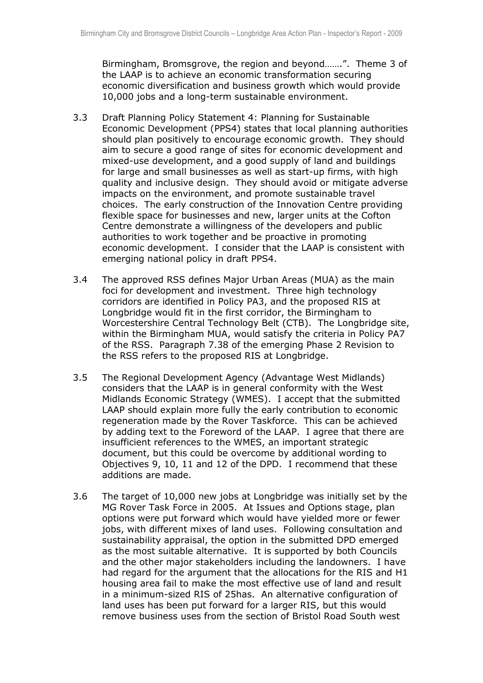Birmingham, Bromsgrove, the region and beyond…….". Theme 3 of the LAAP is to achieve an economic transformation securing economic diversification and business growth which would provide 10,000 jobs and a long-term sustainable environment.

- 3.3 Draft Planning Policy Statement 4: Planning for Sustainable Economic Development (PPS4) states that local planning authorities should plan positively to encourage economic growth. They should aim to secure a good range of sites for economic development and mixed-use development, and a good supply of land and buildings for large and small businesses as well as start-up firms, with high quality and inclusive design. They should avoid or mitigate adverse impacts on the environment, and promote sustainable travel choices. The early construction of the Innovation Centre providing flexible space for businesses and new, larger units at the Cofton Centre demonstrate a willingness of the developers and public authorities to work together and be proactive in promoting economic development. I consider that the LAAP is consistent with emerging national policy in draft PPS4.
- 3.4 The approved RSS defines Major Urban Areas (MUA) as the main foci for development and investment. Three high technology corridors are identified in Policy PA3, and the proposed RIS at Longbridge would fit in the first corridor, the Birmingham to Worcestershire Central Technology Belt (CTB). The Longbridge site, within the Birmingham MUA, would satisfy the criteria in Policy PA7 of the RSS. Paragraph 7.38 of the emerging Phase 2 Revision to the RSS refers to the proposed RIS at Longbridge.
- 3.5 The Regional Development Agency (Advantage West Midlands) considers that the LAAP is in general conformity with the West Midlands Economic Strategy (WMES). I accept that the submitted LAAP should explain more fully the early contribution to economic regeneration made by the Rover Taskforce. This can be achieved by adding text to the Foreword of the LAAP. I agree that there are insufficient references to the WMES, an important strategic document, but this could be overcome by additional wording to Objectives 9, 10, 11 and 12 of the DPD. I recommend that these additions are made.
- 3.6 The target of 10,000 new jobs at Longbridge was initially set by the MG Rover Task Force in 2005. At Issues and Options stage, plan options were put forward which would have yielded more or fewer jobs, with different mixes of land uses. Following consultation and sustainability appraisal, the option in the submitted DPD emerged as the most suitable alternative. It is supported by both Councils and the other major stakeholders including the landowners. I have had regard for the argument that the allocations for the RIS and H1 housing area fail to make the most effective use of land and result in a minimum-sized RIS of 25has. An alternative configuration of land uses has been put forward for a larger RIS, but this would remove business uses from the section of Bristol Road South west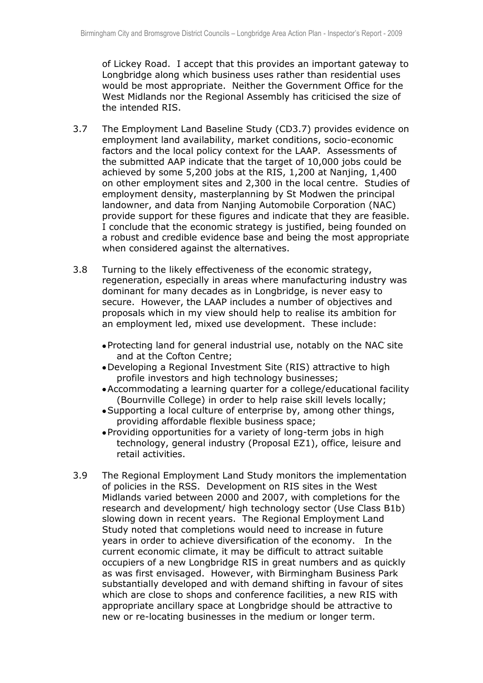of Lickey Road. I accept that this provides an important gateway to Longbridge along which business uses rather than residential uses would be most appropriate. Neither the Government Office for the West Midlands nor the Regional Assembly has criticised the size of the intended RIS.

- 3.7 The Employment Land Baseline Study (CD3.7) provides evidence on employment land availability, market conditions, socio-economic factors and the local policy context for the LAAP. Assessments of the submitted AAP indicate that the target of 10,000 jobs could be achieved by some 5,200 jobs at the RIS, 1,200 at Nanjing, 1,400 on other employment sites and 2,300 in the local centre. Studies of employment density, masterplanning by St Modwen the principal landowner, and data from Nanjing Automobile Corporation (NAC) provide support for these figures and indicate that they are feasible. I conclude that the economic strategy is justified, being founded on a robust and credible evidence base and being the most appropriate when considered against the alternatives.
- 3.8 Turning to the likely effectiveness of the economic strategy, regeneration, especially in areas where manufacturing industry was dominant for many decades as in Longbridge, is never easy to secure. However, the LAAP includes a number of objectives and proposals which in my view should help to realise its ambition for an employment led, mixed use development. These include:
	- Protecting land for general industrial use, notably on the NAC site and at the Cofton Centre;
	- Developing a Regional Investment Site (RIS) attractive to high profile investors and high technology businesses;
	- Accommodating a learning quarter for a college/educational facility (Bournville College) in order to help raise skill levels locally;
	- Supporting a local culture of enterprise by, among other things, providing affordable flexible business space;
	- Providing opportunities for a variety of long-term jobs in high technology, general industry (Proposal EZ1), office, leisure and retail activities.
- 3.9 The Regional Employment Land Study monitors the implementation of policies in the RSS. Development on RIS sites in the West Midlands varied between 2000 and 2007, with completions for the research and development/ high technology sector (Use Class B1b) slowing down in recent years. The Regional Employment Land Study noted that completions would need to increase in future years in order to achieve diversification of the economy. In the current economic climate, it may be difficult to attract suitable occupiers of a new Longbridge RIS in great numbers and as quickly as was first envisaged. However, with Birmingham Business Park substantially developed and with demand shifting in favour of sites which are close to shops and conference facilities, a new RIS with appropriate ancillary space at Longbridge should be attractive to new or re-locating businesses in the medium or longer term.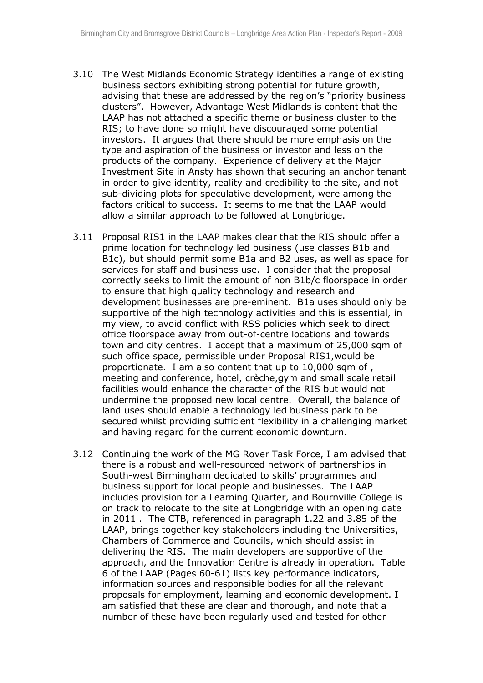- 3.10 The West Midlands Economic Strategy identifies a range of existing business sectors exhibiting strong potential for future growth, advising that these are addressed by the region's "priority business clusters". However, Advantage West Midlands is content that the LAAP has not attached a specific theme or business cluster to the RIS; to have done so might have discouraged some potential investors. It argues that there should be more emphasis on the type and aspiration of the business or investor and less on the products of the company. Experience of delivery at the Major Investment Site in Ansty has shown that securing an anchor tenant in order to give identity, reality and credibility to the site, and not sub-dividing plots for speculative development, were among the factors critical to success. It seems to me that the LAAP would allow a similar approach to be followed at Longbridge.
- 3.11 Proposal RIS1 in the LAAP makes clear that the RIS should offer a prime location for technology led business (use classes B1b and B1c), but should permit some B1a and B2 uses, as well as space for services for staff and business use. I consider that the proposal correctly seeks to limit the amount of non B1b/c floorspace in order to ensure that high quality technology and research and development businesses are pre-eminent. B1a uses should only be supportive of the high technology activities and this is essential, in my view, to avoid conflict with RSS policies which seek to direct office floorspace away from out-of-centre locations and towards town and city centres. I accept that a maximum of 25,000 sqm of such office space, permissible under Proposal RIS1,would be proportionate. I am also content that up to 10,000 sqm of , meeting and conference, hotel, crèche,gym and small scale retail facilities would enhance the character of the RIS but would not undermine the proposed new local centre. Overall, the balance of land uses should enable a technology led business park to be secured whilst providing sufficient flexibility in a challenging market and having regard for the current economic downturn.
- 3.12 Continuing the work of the MG Rover Task Force, I am advised that there is a robust and well-resourced network of partnerships in South-west Birmingham dedicated to skills' programmes and business support for local people and businesses. The LAAP includes provision for a Learning Quarter, and Bournville College is on track to relocate to the site at Longbridge with an opening date in 2011 . The CTB, referenced in paragraph 1.22 and 3.85 of the LAAP, brings together key stakeholders including the Universities, Chambers of Commerce and Councils, which should assist in delivering the RIS. The main developers are supportive of the approach, and the Innovation Centre is already in operation. Table 6 of the LAAP (Pages 60-61) lists key performance indicators, information sources and responsible bodies for all the relevant proposals for employment, learning and economic development. I am satisfied that these are clear and thorough, and note that a number of these have been regularly used and tested for other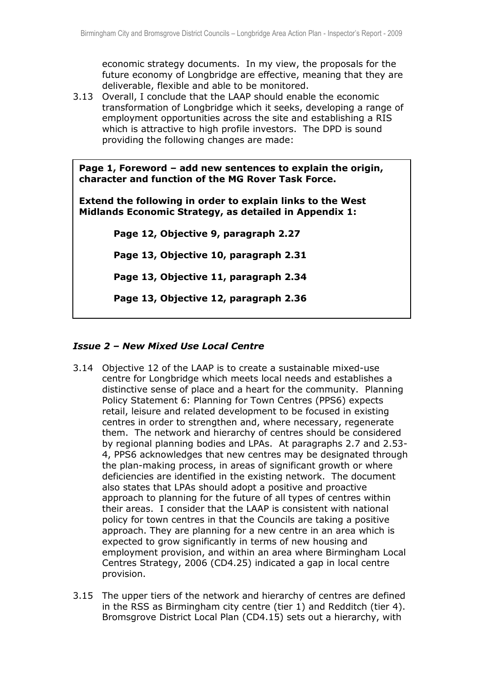economic strategy documents. In my view, the proposals for the future economy of Longbridge are effective, meaning that they are deliverable, flexible and able to be monitored.

3.13 Overall, I conclude that the LAAP should enable the economic transformation of Longbridge which it seeks, developing a range of employment opportunities across the site and establishing a RIS which is attractive to high profile investors. The DPD is sound providing the following changes are made:

**Page 1, Foreword – add new sentences to explain the origin, character and function of the MG Rover Task Force.** 

**Extend the following in order to explain links to the West Midlands Economic Strategy, as detailed in Appendix 1:**

**Page 12, Objective 9, paragraph 2.27** 

**Page 13, Objective 10, paragraph 2.31** 

**Page 13, Objective 11, paragraph 2.34** 

**Page 13, Objective 12, paragraph 2.36** 

### *Issue 2 – New Mixed Use Local Centre*

- 3.14 Objective 12 of the LAAP is to create a sustainable mixed-use centre for Longbridge which meets local needs and establishes a distinctive sense of place and a heart for the community. Planning Policy Statement 6: Planning for Town Centres (PPS6) expects retail, leisure and related development to be focused in existing centres in order to strengthen and, where necessary, regenerate them. The network and hierarchy of centres should be considered by regional planning bodies and LPAs. At paragraphs 2.7 and 2.53- 4, PPS6 acknowledges that new centres may be designated through the plan-making process, in areas of significant growth or where deficiencies are identified in the existing network. The document also states that LPAs should adopt a positive and proactive approach to planning for the future of all types of centres within their areas. I consider that the LAAP is consistent with national policy for town centres in that the Councils are taking a positive approach. They are planning for a new centre in an area which is expected to grow significantly in terms of new housing and employment provision, and within an area where Birmingham Local Centres Strategy, 2006 (CD4.25) indicated a gap in local centre provision.
- 3.15 The upper tiers of the network and hierarchy of centres are defined in the RSS as Birmingham city centre (tier 1) and Redditch (tier 4). Bromsgrove District Local Plan (CD4.15) sets out a hierarchy, with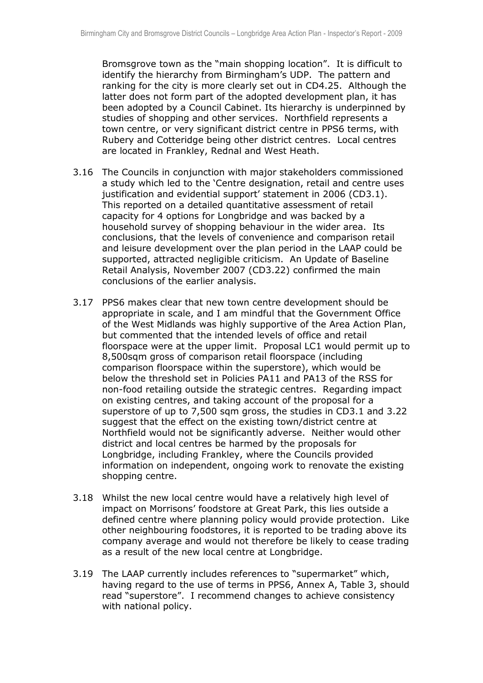Bromsgrove town as the "main shopping location". It is difficult to identify the hierarchy from Birmingham's UDP. The pattern and ranking for the city is more clearly set out in CD4.25. Although the latter does not form part of the adopted development plan, it has been adopted by a Council Cabinet. Its hierarchy is underpinned by studies of shopping and other services. Northfield represents a town centre, or very significant district centre in PPS6 terms, with Rubery and Cotteridge being other district centres. Local centres are located in Frankley, Rednal and West Heath.

- 3.16 The Councils in conjunction with major stakeholders commissioned a study which led to the 'Centre designation, retail and centre uses justification and evidential support' statement in 2006 (CD3.1). This reported on a detailed quantitative assessment of retail capacity for 4 options for Longbridge and was backed by a household survey of shopping behaviour in the wider area. Its conclusions, that the levels of convenience and comparison retail and leisure development over the plan period in the LAAP could be supported, attracted negligible criticism. An Update of Baseline Retail Analysis, November 2007 (CD3.22) confirmed the main conclusions of the earlier analysis.
- 3.17 PPS6 makes clear that new town centre development should be appropriate in scale, and I am mindful that the Government Office of the West Midlands was highly supportive of the Area Action Plan, but commented that the intended levels of office and retail floorspace were at the upper limit. Proposal LC1 would permit up to 8,500sqm gross of comparison retail floorspace (including comparison floorspace within the superstore), which would be below the threshold set in Policies PA11 and PA13 of the RSS for non-food retailing outside the strategic centres. Regarding impact on existing centres, and taking account of the proposal for a superstore of up to 7,500 sqm gross, the studies in CD3.1 and 3.22 suggest that the effect on the existing town/district centre at Northfield would not be significantly adverse. Neither would other district and local centres be harmed by the proposals for Longbridge, including Frankley, where the Councils provided information on independent, ongoing work to renovate the existing shopping centre.
- 3.18 Whilst the new local centre would have a relatively high level of impact on Morrisons' foodstore at Great Park, this lies outside a defined centre where planning policy would provide protection. Like other neighbouring foodstores, it is reported to be trading above its company average and would not therefore be likely to cease trading as a result of the new local centre at Longbridge.
- 3.19 The LAAP currently includes references to "supermarket" which, having regard to the use of terms in PPS6, Annex A, Table 3, should read "superstore". I recommend changes to achieve consistency with national policy.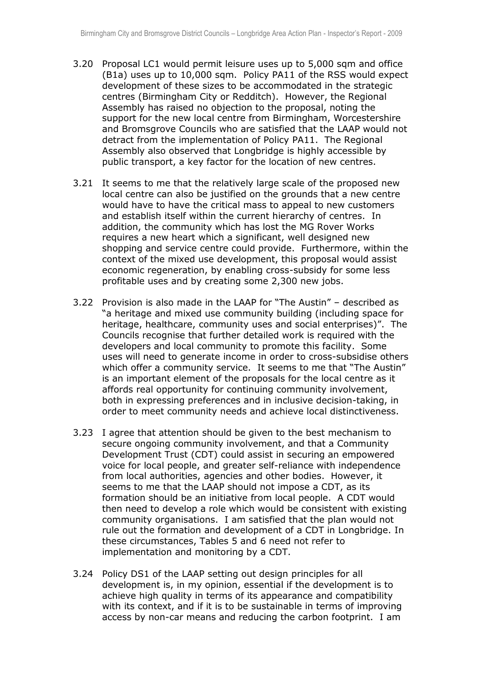- 3.20 Proposal LC1 would permit leisure uses up to 5,000 sqm and office (B1a) uses up to 10,000 sqm. Policy PA11 of the RSS would expect development of these sizes to be accommodated in the strategic centres (Birmingham City or Redditch). However, the Regional Assembly has raised no objection to the proposal, noting the support for the new local centre from Birmingham, Worcestershire and Bromsgrove Councils who are satisfied that the LAAP would not detract from the implementation of Policy PA11. The Regional Assembly also observed that Longbridge is highly accessible by public transport, a key factor for the location of new centres.
- 3.21 It seems to me that the relatively large scale of the proposed new local centre can also be justified on the grounds that a new centre would have to have the critical mass to appeal to new customers and establish itself within the current hierarchy of centres. In addition, the community which has lost the MG Rover Works requires a new heart which a significant, well designed new shopping and service centre could provide. Furthermore, within the context of the mixed use development, this proposal would assist economic regeneration, by enabling cross-subsidy for some less profitable uses and by creating some 2,300 new jobs.
- 3.22 Provision is also made in the LAAP for "The Austin" described as "a heritage and mixed use community building (including space for heritage, healthcare, community uses and social enterprises)". The Councils recognise that further detailed work is required with the developers and local community to promote this facility. Some uses will need to generate income in order to cross-subsidise others which offer a community service. It seems to me that "The Austin" is an important element of the proposals for the local centre as it affords real opportunity for continuing community involvement, both in expressing preferences and in inclusive decision-taking, in order to meet community needs and achieve local distinctiveness.
- 3.23 I agree that attention should be given to the best mechanism to secure ongoing community involvement, and that a Community Development Trust (CDT) could assist in securing an empowered voice for local people, and greater self-reliance with independence from local authorities, agencies and other bodies. However, it seems to me that the LAAP should not impose a CDT, as its formation should be an initiative from local people. A CDT would then need to develop a role which would be consistent with existing community organisations. I am satisfied that the plan would not rule out the formation and development of a CDT in Longbridge. In these circumstances, Tables 5 and 6 need not refer to implementation and monitoring by a CDT.
- 3.24 Policy DS1 of the LAAP setting out design principles for all development is, in my opinion, essential if the development is to achieve high quality in terms of its appearance and compatibility with its context, and if it is to be sustainable in terms of improving access by non-car means and reducing the carbon footprint. I am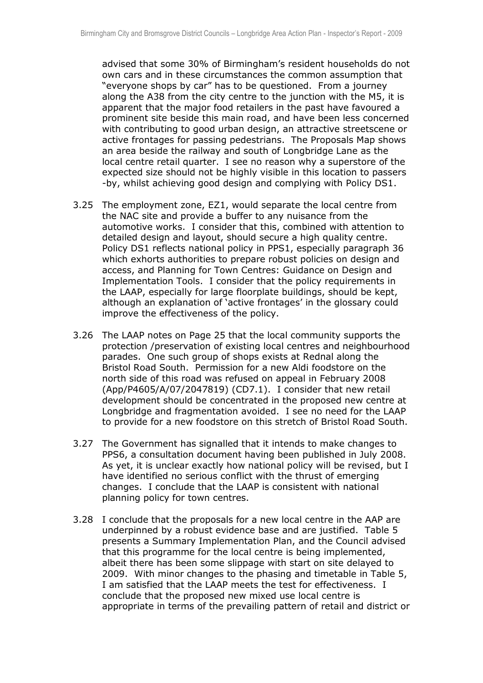advised that some 30% of Birmingham's resident households do not own cars and in these circumstances the common assumption that "everyone shops by car" has to be questioned. From a journey along the A38 from the city centre to the junction with the M5, it is apparent that the major food retailers in the past have favoured a prominent site beside this main road, and have been less concerned with contributing to good urban design, an attractive streetscene or active frontages for passing pedestrians. The Proposals Map shows an area beside the railway and south of Longbridge Lane as the local centre retail quarter. I see no reason why a superstore of the expected size should not be highly visible in this location to passers -by, whilst achieving good design and complying with Policy DS1.

- 3.25 The employment zone, EZ1, would separate the local centre from the NAC site and provide a buffer to any nuisance from the automotive works. I consider that this, combined with attention to detailed design and layout, should secure a high quality centre. Policy DS1 reflects national policy in PPS1, especially paragraph 36 which exhorts authorities to prepare robust policies on design and access, and Planning for Town Centres: Guidance on Design and Implementation Tools. I consider that the policy requirements in the LAAP, especially for large floorplate buildings, should be kept, although an explanation of 'active frontages' in the glossary could improve the effectiveness of the policy.
- 3.26 The LAAP notes on Page 25 that the local community supports the protection /preservation of existing local centres and neighbourhood parades. One such group of shops exists at Rednal along the Bristol Road South. Permission for a new Aldi foodstore on the north side of this road was refused on appeal in February 2008 (App/P4605/A/07/2047819) (CD7.1). I consider that new retail development should be concentrated in the proposed new centre at Longbridge and fragmentation avoided. I see no need for the LAAP to provide for a new foodstore on this stretch of Bristol Road South.
- 3.27 The Government has signalled that it intends to make changes to PPS6, a consultation document having been published in July 2008. As yet, it is unclear exactly how national policy will be revised, but I have identified no serious conflict with the thrust of emerging changes. I conclude that the LAAP is consistent with national planning policy for town centres.
- 3.28 I conclude that the proposals for a new local centre in the AAP are underpinned by a robust evidence base and are justified. Table 5 presents a Summary Implementation Plan, and the Council advised that this programme for the local centre is being implemented, albeit there has been some slippage with start on site delayed to 2009. With minor changes to the phasing and timetable in Table 5, I am satisfied that the LAAP meets the test for effectiveness. I conclude that the proposed new mixed use local centre is appropriate in terms of the prevailing pattern of retail and district or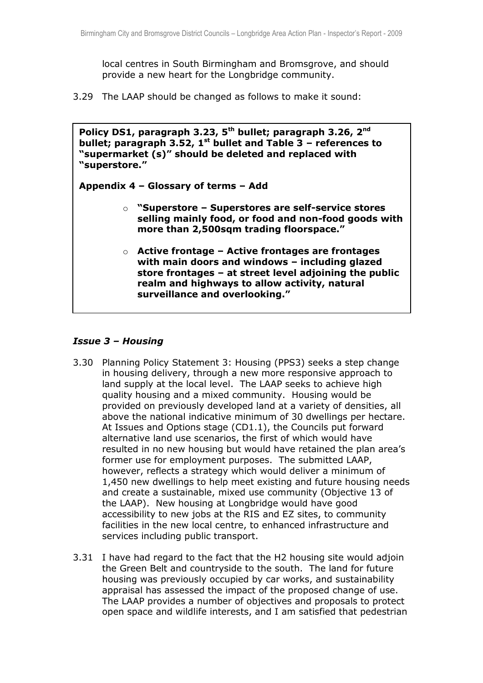local centres in South Birmingham and Bromsgrove, and should provide a new heart for the Longbridge community.

3.29 The LAAP should be changed as follows to make it sound:

**Policy DS1, paragraph 3.23, 5th bullet; paragraph 3.26, 2nd bullet; paragraph 3.52, 1st bullet and Table 3 – references to "supermarket (s)" should be deleted and replaced with "superstore."**

**Appendix 4 – Glossary of terms – Add** 

- o **"Superstore – Superstores are self-service stores selling mainly food, or food and non-food goods with more than 2,500sqm trading floorspace."**
- o **Active frontage – Active frontages are frontages with main doors and windows – including glazed store frontages – at street level adjoining the public realm and highways to allow activity, natural surveillance and overlooking."**

### *Issue 3 – Housing*

3.30 Planning Policy Statement 3: Housing (PPS3) seeks a step change in housing delivery, through a new more responsive approach to land supply at the local level. The LAAP seeks to achieve high quality housing and a mixed community. Housing would be provided on previously developed land at a variety of densities, all above the national indicative minimum of 30 dwellings per hectare. At Issues and Options stage (CD1.1), the Councils put forward alternative land use scenarios, the first of which would have resulted in no new housing but would have retained the plan area's former use for employment purposes. The submitted LAAP, however, reflects a strategy which would deliver a minimum of 1,450 new dwellings to help meet existing and future housing needs and create a sustainable, mixed use community (Objective 13 of the LAAP). New housing at Longbridge would have good accessibility to new jobs at the RIS and EZ sites, to community facilities in the new local centre, to enhanced infrastructure and services including public transport.

**Table 5 – changes to dates as shown in Appendix 1 of this report**

3.31 I have had regard to the fact that the H2 housing site would adjoin the Green Belt and countryside to the south. The land for future housing was previously occupied by car works, and sustainability appraisal has assessed the impact of the proposed change of use. The LAAP provides a number of objectives and proposals to protect open space and wildlife interests, and I am satisfied that pedestrian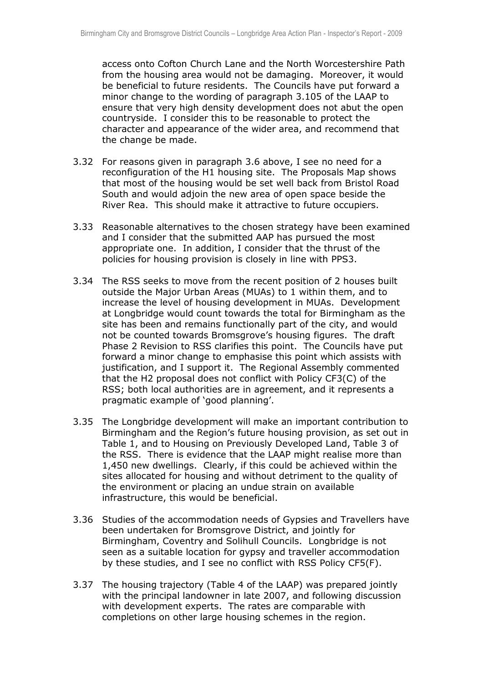access onto Cofton Church Lane and the North Worcestershire Path from the housing area would not be damaging. Moreover, it would be beneficial to future residents. The Councils have put forward a minor change to the wording of paragraph 3.105 of the LAAP to ensure that very high density development does not abut the open countryside. I consider this to be reasonable to protect the character and appearance of the wider area, and recommend that the change be made.

- 3.32 For reasons given in paragraph 3.6 above, I see no need for a reconfiguration of the H1 housing site. The Proposals Map shows that most of the housing would be set well back from Bristol Road South and would adjoin the new area of open space beside the River Rea. This should make it attractive to future occupiers.
- 3.33 Reasonable alternatives to the chosen strategy have been examined and I consider that the submitted AAP has pursued the most appropriate one. In addition, I consider that the thrust of the policies for housing provision is closely in line with PPS3.
- 3.34 The RSS seeks to move from the recent position of 2 houses built outside the Major Urban Areas (MUAs) to 1 within them, and to increase the level of housing development in MUAs. Development at Longbridge would count towards the total for Birmingham as the site has been and remains functionally part of the city, and would not be counted towards Bromsgrove's housing figures. The draft Phase 2 Revision to RSS clarifies this point. The Councils have put forward a minor change to emphasise this point which assists with justification, and I support it. The Regional Assembly commented that the H2 proposal does not conflict with Policy CF3(C) of the RSS; both local authorities are in agreement, and it represents a pragmatic example of 'good planning'.
- 3.35 The Longbridge development will make an important contribution to Birmingham and the Region's future housing provision, as set out in Table 1, and to Housing on Previously Developed Land, Table 3 of the RSS. There is evidence that the LAAP might realise more than 1,450 new dwellings. Clearly, if this could be achieved within the sites allocated for housing and without detriment to the quality of the environment or placing an undue strain on available infrastructure, this would be beneficial.
- 3.36 Studies of the accommodation needs of Gypsies and Travellers have been undertaken for Bromsgrove District, and jointly for Birmingham, Coventry and Solihull Councils. Longbridge is not seen as a suitable location for gypsy and traveller accommodation by these studies, and I see no conflict with RSS Policy CF5(F).
- 3.37 The housing trajectory (Table 4 of the LAAP) was prepared jointly with the principal landowner in late 2007, and following discussion with development experts. The rates are comparable with completions on other large housing schemes in the region.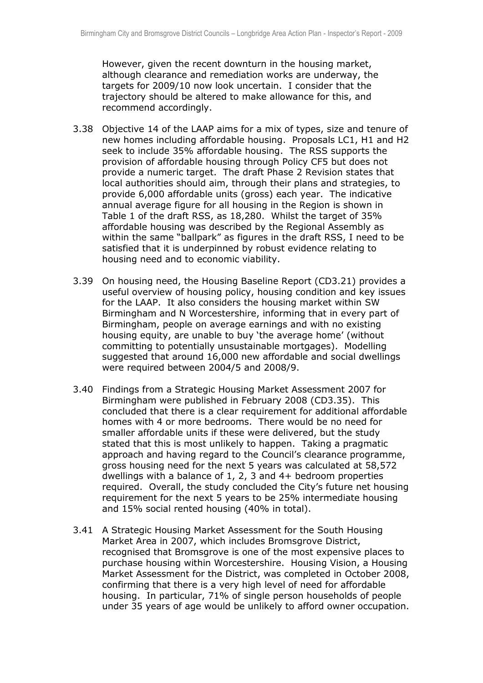However, given the recent downturn in the housing market, although clearance and remediation works are underway, the targets for 2009/10 now look uncertain. I consider that the trajectory should be altered to make allowance for this, and recommend accordingly.

- 3.38 Objective 14 of the LAAP aims for a mix of types, size and tenure of new homes including affordable housing. Proposals LC1, H1 and H2 seek to include 35% affordable housing. The RSS supports the provision of affordable housing through Policy CF5 but does not provide a numeric target. The draft Phase 2 Revision states that local authorities should aim, through their plans and strategies, to provide 6,000 affordable units (gross) each year. The indicative annual average figure for all housing in the Region is shown in Table 1 of the draft RSS, as 18,280. Whilst the target of 35% affordable housing was described by the Regional Assembly as within the same "ballpark" as figures in the draft RSS, I need to be satisfied that it is underpinned by robust evidence relating to housing need and to economic viability.
- 3.39 On housing need, the Housing Baseline Report (CD3.21) provides a useful overview of housing policy, housing condition and key issues for the LAAP. It also considers the housing market within SW Birmingham and N Worcestershire, informing that in every part of Birmingham, people on average earnings and with no existing housing equity, are unable to buy 'the average home' (without committing to potentially unsustainable mortgages). Modelling suggested that around 16,000 new affordable and social dwellings were required between 2004/5 and 2008/9.
- 3.40 Findings from a Strategic Housing Market Assessment 2007 for Birmingham were published in February 2008 (CD3.35). This concluded that there is a clear requirement for additional affordable homes with 4 or more bedrooms. There would be no need for smaller affordable units if these were delivered, but the study stated that this is most unlikely to happen. Taking a pragmatic approach and having regard to the Council's clearance programme, gross housing need for the next 5 years was calculated at 58,572 dwellings with a balance of 1, 2, 3 and 4+ bedroom properties required. Overall, the study concluded the City's future net housing requirement for the next 5 years to be 25% intermediate housing and 15% social rented housing (40% in total).
- 3.41 A Strategic Housing Market Assessment for the South Housing Market Area in 2007, which includes Bromsgrove District, recognised that Bromsgrove is one of the most expensive places to purchase housing within Worcestershire. Housing Vision, a Housing Market Assessment for the District, was completed in October 2008, confirming that there is a very high level of need for affordable housing. In particular, 71% of single person households of people under 35 years of age would be unlikely to afford owner occupation.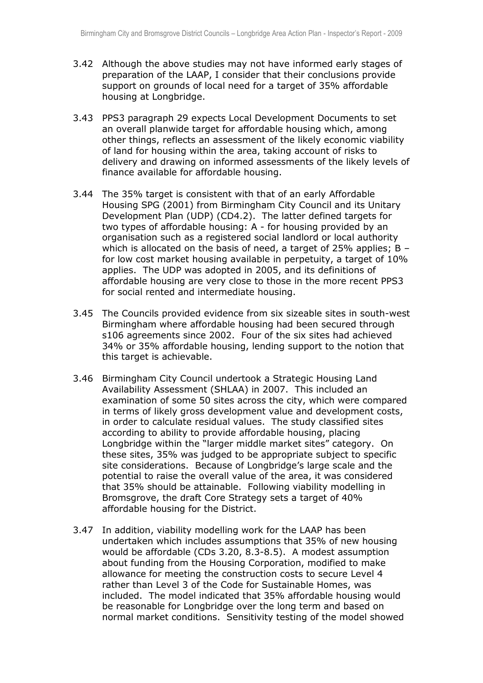- 3.42 Although the above studies may not have informed early stages of preparation of the LAAP, I consider that their conclusions provide support on grounds of local need for a target of 35% affordable housing at Longbridge.
- 3.43 PPS3 paragraph 29 expects Local Development Documents to set an overall planwide target for affordable housing which, among other things, reflects an assessment of the likely economic viability of land for housing within the area, taking account of risks to delivery and drawing on informed assessments of the likely levels of finance available for affordable housing.
- 3.44 The 35% target is consistent with that of an early Affordable Housing SPG (2001) from Birmingham City Council and its Unitary Development Plan (UDP) (CD4.2). The latter defined targets for two types of affordable housing: A - for housing provided by an organisation such as a registered social landlord or local authority which is allocated on the basis of need, a target of 25% applies; B – for low cost market housing available in perpetuity, a target of 10% applies. The UDP was adopted in 2005, and its definitions of affordable housing are very close to those in the more recent PPS3 for social rented and intermediate housing.
- 3.45 The Councils provided evidence from six sizeable sites in south-west Birmingham where affordable housing had been secured through s106 agreements since 2002. Four of the six sites had achieved 34% or 35% affordable housing, lending support to the notion that this target is achievable.
- 3.46 Birmingham City Council undertook a Strategic Housing Land Availability Assessment (SHLAA) in 2007. This included an examination of some 50 sites across the city, which were compared in terms of likely gross development value and development costs, in order to calculate residual values. The study classified sites according to ability to provide affordable housing, placing Longbridge within the "larger middle market sites" category. On these sites, 35% was judged to be appropriate subject to specific site considerations. Because of Longbridge's large scale and the potential to raise the overall value of the area, it was considered that 35% should be attainable. Following viability modelling in Bromsgrove, the draft Core Strategy sets a target of 40% affordable housing for the District.
- 3.47 In addition, viability modelling work for the LAAP has been undertaken which includes assumptions that 35% of new housing would be affordable (CDs 3.20, 8.3-8.5). A modest assumption about funding from the Housing Corporation, modified to make allowance for meeting the construction costs to secure Level 4 rather than Level 3 of the Code for Sustainable Homes, was included. The model indicated that 35% affordable housing would be reasonable for Longbridge over the long term and based on normal market conditions. Sensitivity testing of the model showed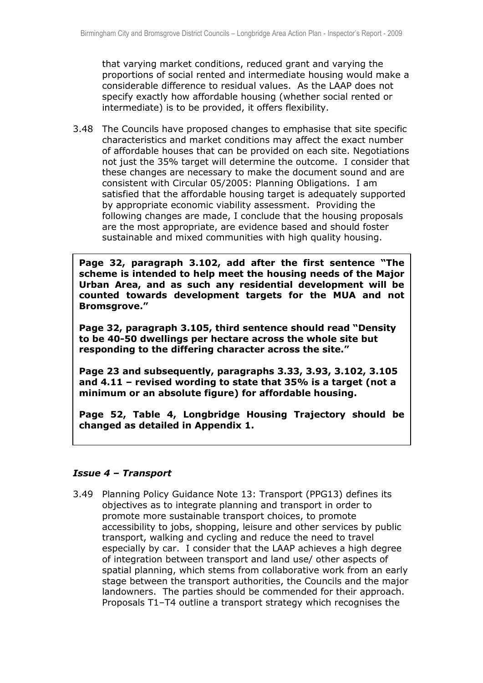that varying market conditions, reduced grant and varying the proportions of social rented and intermediate housing would make a considerable difference to residual values. As the LAAP does not specify exactly how affordable housing (whether social rented or intermediate) is to be provided, it offers flexibility.

3.48 The Councils have proposed changes to emphasise that site specific characteristics and market conditions may affect the exact number of affordable houses that can be provided on each site. Negotiations not just the 35% target will determine the outcome. I consider that these changes are necessary to make the document sound and are consistent with Circular 05/2005: Planning Obligations. I am satisfied that the affordable housing target is adequately supported by appropriate economic viability assessment. Providing the following changes are made, I conclude that the housing proposals are the most appropriate, are evidence based and should foster sustainable and mixed communities with high quality housing.

**Page 32, paragraph 3.102, add after the first sentence "The scheme is intended to help meet the housing needs of the Major Urban Area, and as such any residential development will be counted towards development targets for the MUA and not Bromsgrove."**

**Page 32, paragraph 3.105, third sentence should read "Density to be 40-50 dwellings per hectare across the whole site but responding to the differing character across the site."**

**Page 23 and subsequently, paragraphs 3.33, 3.93, 3.102, 3.105 and 4.11 – revised wording to state that 35% is a target (not a minimum or an absolute figure) for affordable housing.**

**Page 52, Table 4, Longbridge Housing Trajectory should be changed as detailed in Appendix 1.**

#### *Issue 4 – Transport*

3.49 Planning Policy Guidance Note 13: Transport (PPG13) defines its objectives as to integrate planning and transport in order to promote more sustainable transport choices, to promote accessibility to jobs, shopping, leisure and other services by public transport, walking and cycling and reduce the need to travel especially by car. I consider that the LAAP achieves a high degree of integration between transport and land use/ other aspects of spatial planning, which stems from collaborative work from an early stage between the transport authorities, the Councils and the major landowners. The parties should be commended for their approach. Proposals T1–T4 outline a transport strategy which recognises the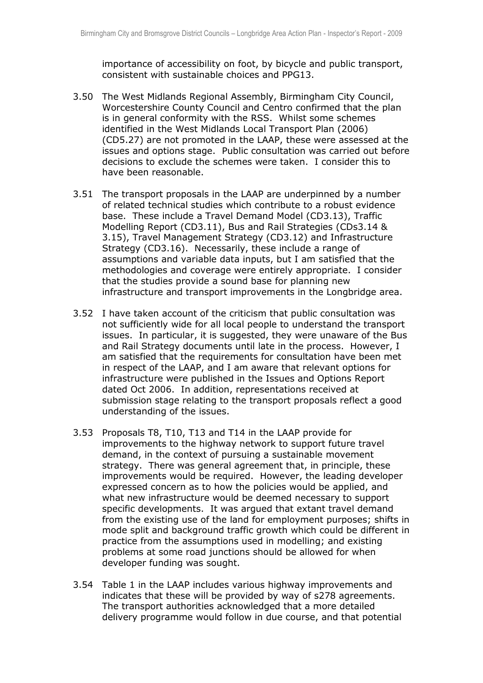importance of accessibility on foot, by bicycle and public transport, consistent with sustainable choices and PPG13.

- 3.50 The West Midlands Regional Assembly, Birmingham City Council, Worcestershire County Council and Centro confirmed that the plan is in general conformity with the RSS. Whilst some schemes identified in the West Midlands Local Transport Plan (2006) (CD5.27) are not promoted in the LAAP, these were assessed at the issues and options stage. Public consultation was carried out before decisions to exclude the schemes were taken. I consider this to have been reasonable.
- 3.51 The transport proposals in the LAAP are underpinned by a number of related technical studies which contribute to a robust evidence base. These include a Travel Demand Model (CD3.13), Traffic Modelling Report (CD3.11), Bus and Rail Strategies (CDs3.14 & 3.15), Travel Management Strategy (CD3.12) and Infrastructure Strategy (CD3.16). Necessarily, these include a range of assumptions and variable data inputs, but I am satisfied that the methodologies and coverage were entirely appropriate. I consider that the studies provide a sound base for planning new infrastructure and transport improvements in the Longbridge area.
- 3.52 I have taken account of the criticism that public consultation was not sufficiently wide for all local people to understand the transport issues. In particular, it is suggested, they were unaware of the Bus and Rail Strategy documents until late in the process. However, I am satisfied that the requirements for consultation have been met in respect of the LAAP, and I am aware that relevant options for infrastructure were published in the Issues and Options Report dated Oct 2006. In addition, representations received at submission stage relating to the transport proposals reflect a good understanding of the issues.
- 3.53 Proposals T8, T10, T13 and T14 in the LAAP provide for improvements to the highway network to support future travel demand, in the context of pursuing a sustainable movement strategy. There was general agreement that, in principle, these improvements would be required. However, the leading developer expressed concern as to how the policies would be applied, and what new infrastructure would be deemed necessary to support specific developments. It was argued that extant travel demand from the existing use of the land for employment purposes; shifts in mode split and background traffic growth which could be different in practice from the assumptions used in modelling; and existing problems at some road junctions should be allowed for when developer funding was sought.
- 3.54 Table 1 in the LAAP includes various highway improvements and indicates that these will be provided by way of s278 agreements. The transport authorities acknowledged that a more detailed delivery programme would follow in due course, and that potential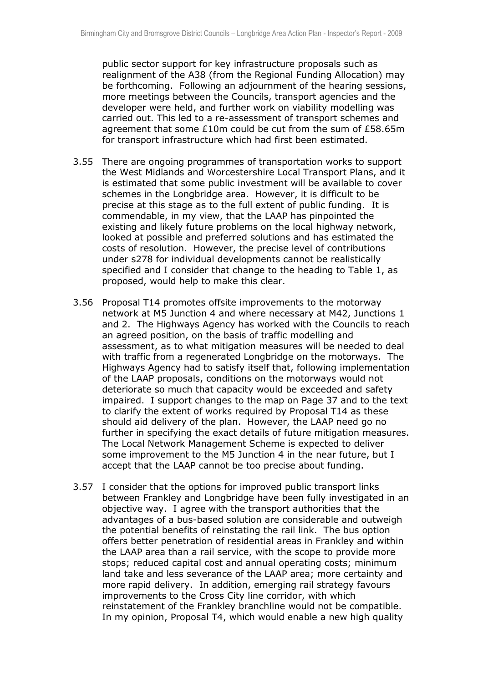public sector support for key infrastructure proposals such as realignment of the A38 (from the Regional Funding Allocation) may be forthcoming. Following an adjournment of the hearing sessions, more meetings between the Councils, transport agencies and the developer were held, and further work on viability modelling was carried out. This led to a re-assessment of transport schemes and agreement that some £10m could be cut from the sum of £58.65m for transport infrastructure which had first been estimated.

- 3.55 There are ongoing programmes of transportation works to support the West Midlands and Worcestershire Local Transport Plans, and it is estimated that some public investment will be available to cover schemes in the Longbridge area. However, it is difficult to be precise at this stage as to the full extent of public funding. It is commendable, in my view, that the LAAP has pinpointed the existing and likely future problems on the local highway network, looked at possible and preferred solutions and has estimated the costs of resolution. However, the precise level of contributions under s278 for individual developments cannot be realistically specified and I consider that change to the heading to Table 1, as proposed, would help to make this clear.
- 3.56 Proposal T14 promotes offsite improvements to the motorway network at M5 Junction 4 and where necessary at M42, Junctions 1 and 2. The Highways Agency has worked with the Councils to reach an agreed position, on the basis of traffic modelling and assessment, as to what mitigation measures will be needed to deal with traffic from a regenerated Longbridge on the motorways. The Highways Agency had to satisfy itself that, following implementation of the LAAP proposals, conditions on the motorways would not deteriorate so much that capacity would be exceeded and safety impaired. I support changes to the map on Page 37 and to the text to clarify the extent of works required by Proposal T14 as these should aid delivery of the plan. However, the LAAP need go no further in specifying the exact details of future mitigation measures. The Local Network Management Scheme is expected to deliver some improvement to the M5 Junction 4 in the near future, but I accept that the LAAP cannot be too precise about funding.
- 3.57 I consider that the options for improved public transport links between Frankley and Longbridge have been fully investigated in an objective way. I agree with the transport authorities that the advantages of a bus-based solution are considerable and outweigh the potential benefits of reinstating the rail link. The bus option offers better penetration of residential areas in Frankley and within the LAAP area than a rail service, with the scope to provide more stops; reduced capital cost and annual operating costs; minimum land take and less severance of the LAAP area; more certainty and more rapid delivery. In addition, emerging rail strategy favours improvements to the Cross City line corridor, with which reinstatement of the Frankley branchline would not be compatible. In my opinion, Proposal T4, which would enable a new high quality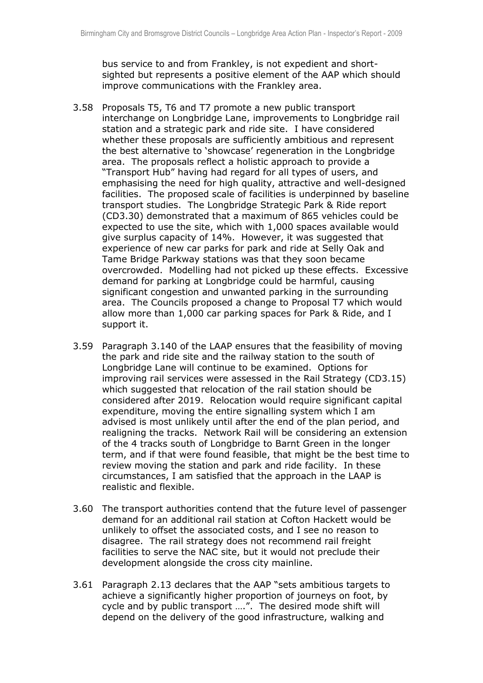bus service to and from Frankley, is not expedient and shortsighted but represents a positive element of the AAP which should improve communications with the Frankley area.

- 3.58 Proposals T5, T6 and T7 promote a new public transport interchange on Longbridge Lane, improvements to Longbridge rail station and a strategic park and ride site. I have considered whether these proposals are sufficiently ambitious and represent the best alternative to 'showcase' regeneration in the Longbridge area. The proposals reflect a holistic approach to provide a "Transport Hub" having had regard for all types of users, and emphasising the need for high quality, attractive and well-designed facilities. The proposed scale of facilities is underpinned by baseline transport studies. The Longbridge Strategic Park & Ride report (CD3.30) demonstrated that a maximum of 865 vehicles could be expected to use the site, which with 1,000 spaces available would give surplus capacity of 14%. However, it was suggested that experience of new car parks for park and ride at Selly Oak and Tame Bridge Parkway stations was that they soon became overcrowded. Modelling had not picked up these effects. Excessive demand for parking at Longbridge could be harmful, causing significant congestion and unwanted parking in the surrounding area. The Councils proposed a change to Proposal T7 which would allow more than 1,000 car parking spaces for Park & Ride, and I support it.
- 3.59 Paragraph 3.140 of the LAAP ensures that the feasibility of moving the park and ride site and the railway station to the south of Longbridge Lane will continue to be examined. Options for improving rail services were assessed in the Rail Strategy (CD3.15) which suggested that relocation of the rail station should be considered after 2019. Relocation would require significant capital expenditure, moving the entire signalling system which I am advised is most unlikely until after the end of the plan period, and realigning the tracks. Network Rail will be considering an extension of the 4 tracks south of Longbridge to Barnt Green in the longer term, and if that were found feasible, that might be the best time to review moving the station and park and ride facility. In these circumstances, I am satisfied that the approach in the LAAP is realistic and flexible.
- 3.60 The transport authorities contend that the future level of passenger demand for an additional rail station at Cofton Hackett would be unlikely to offset the associated costs, and I see no reason to disagree. The rail strategy does not recommend rail freight facilities to serve the NAC site, but it would not preclude their development alongside the cross city mainline.
- 3.61 Paragraph 2.13 declares that the AAP "sets ambitious targets to achieve a significantly higher proportion of journeys on foot, by cycle and by public transport ….". The desired mode shift will depend on the delivery of the good infrastructure, walking and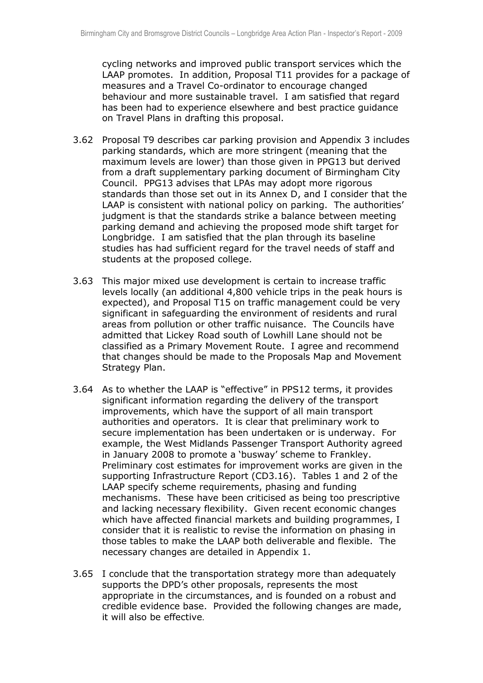cycling networks and improved public transport services which the LAAP promotes. In addition, Proposal T11 provides for a package of measures and a Travel Co-ordinator to encourage changed behaviour and more sustainable travel. I am satisfied that regard has been had to experience elsewhere and best practice guidance on Travel Plans in drafting this proposal.

- 3.62 Proposal T9 describes car parking provision and Appendix 3 includes parking standards, which are more stringent (meaning that the maximum levels are lower) than those given in PPG13 but derived from a draft supplementary parking document of Birmingham City Council. PPG13 advises that LPAs may adopt more rigorous standards than those set out in its Annex D, and I consider that the LAAP is consistent with national policy on parking. The authorities' judgment is that the standards strike a balance between meeting parking demand and achieving the proposed mode shift target for Longbridge. I am satisfied that the plan through its baseline studies has had sufficient regard for the travel needs of staff and students at the proposed college.
- 3.63 This major mixed use development is certain to increase traffic levels locally (an additional 4,800 vehicle trips in the peak hours is expected), and Proposal T15 on traffic management could be very significant in safeguarding the environment of residents and rural areas from pollution or other traffic nuisance. The Councils have admitted that Lickey Road south of Lowhill Lane should not be classified as a Primary Movement Route. I agree and recommend that changes should be made to the Proposals Map and Movement Strategy Plan.
- 3.64 As to whether the LAAP is "effective" in PPS12 terms, it provides significant information regarding the delivery of the transport improvements, which have the support of all main transport authorities and operators. It is clear that preliminary work to secure implementation has been undertaken or is underway. For example, the West Midlands Passenger Transport Authority agreed in January 2008 to promote a 'busway' scheme to Frankley. Preliminary cost estimates for improvement works are given in the supporting Infrastructure Report (CD3.16). Tables 1 and 2 of the LAAP specify scheme requirements, phasing and funding mechanisms. These have been criticised as being too prescriptive and lacking necessary flexibility. Given recent economic changes which have affected financial markets and building programmes, I consider that it is realistic to revise the information on phasing in those tables to make the LAAP both deliverable and flexible. The necessary changes are detailed in Appendix 1.
- 3.65 I conclude that the transportation strategy more than adequately supports the DPD's other proposals, represents the most appropriate in the circumstances, and is founded on a robust and credible evidence base. Provided the following changes are made, it will also be effective.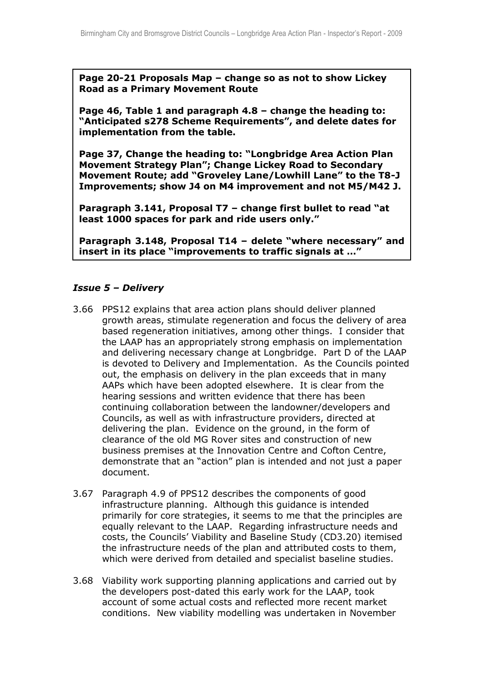**Page 20-21 Proposals Map – change so as not to show Lickey Road as a Primary Movement Route**

**Page 46, Table 1 and paragraph 4.8 – change the heading to: "Anticipated s278 Scheme Requirements", and delete dates for implementation from the table.**

**Page 37, Change the heading to: "Longbridge Area Action Plan Movement Strategy Plan"; Change Lickey Road to Secondary Movement Route; add "Groveley Lane/Lowhill Lane" to the T8-J Improvements; show J4 on M4 improvement and not M5/M42 J.**

**Paragraph 3.141, Proposal T7 – change first bullet to read "at least 1000 spaces for park and ride users only."**

**Paragraph 3.148, Proposal T14 – delete "where necessary" and insert in its place "improvements to traffic signals at …"** 

### *Issue 5 – Delivery*

- 3.66 PPS12 explains that area action plans should deliver planned growth areas, stimulate regeneration and focus the delivery of area based regeneration initiatives, among other things. I consider that the LAAP has an appropriately strong emphasis on implementation and delivering necessary change at Longbridge. Part D of the LAAP is devoted to Delivery and Implementation. As the Councils pointed out, the emphasis on delivery in the plan exceeds that in many AAPs which have been adopted elsewhere. It is clear from the hearing sessions and written evidence that there has been continuing collaboration between the landowner/developers and Councils, as well as with infrastructure providers, directed at delivering the plan. Evidence on the ground, in the form of clearance of the old MG Rover sites and construction of new business premises at the Innovation Centre and Cofton Centre, demonstrate that an "action" plan is intended and not just a paper document.
- 3.67 Paragraph 4.9 of PPS12 describes the components of good infrastructure planning. Although this guidance is intended primarily for core strategies, it seems to me that the principles are equally relevant to the LAAP. Regarding infrastructure needs and costs, the Councils' Viability and Baseline Study (CD3.20) itemised the infrastructure needs of the plan and attributed costs to them, which were derived from detailed and specialist baseline studies.
- 3.68 Viability work supporting planning applications and carried out by the developers post-dated this early work for the LAAP, took account of some actual costs and reflected more recent market conditions. New viability modelling was undertaken in November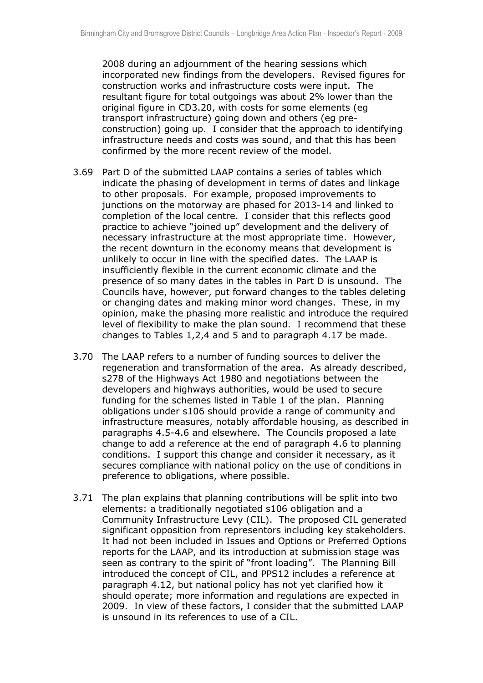2008 during an adjournment of the hearing sessions which incorporated new findings from the developers. Revised figures for construction works and infrastructure costs were input. The resultant figure for total outgoings was about 2% lower than the original figure in CD3.20, with costs for some elements (eg transport infrastructure) going down and others (eg preconstruction) going up. I consider that the approach to identifying infrastructure needs and costs was sound, and that this has been confirmed by the more recent review of the model.

- 3.69 Part D of the submitted LAAP contains a series of tables which indicate the phasing of development in terms of dates and linkage to other proposals. For example, proposed improvements to junctions on the motorway are phased for 2013-14 and linked to completion of the local centre. I consider that this reflects good practice to achieve "joined up" development and the delivery of necessary infrastructure at the most appropriate time. However, the recent downturn in the economy means that development is unlikely to occur in line with the specified dates. The LAAP is insufficiently flexible in the current economic climate and the presence of so many dates in the tables in Part D is unsound. The Councils have, however, put forward changes to the tables deleting or changing dates and making minor word changes. These, in my opinion, make the phasing more realistic and introduce the required level of flexibility to make the plan sound. I recommend that these changes to Tables 1,2,4 and 5 and to paragraph 4.17 be made.
- 3.70 The LAAP refers to a number of funding sources to deliver the regeneration and transformation of the area. As already described, s278 of the Highways Act 1980 and negotiations between the developers and highways authorities, would be used to secure funding for the schemes listed in Table 1 of the plan. Planning obligations under s106 should provide a range of community and infrastructure measures, notably affordable housing, as described in paragraphs 4.5-4.6 and elsewhere. The Councils proposed a late change to add a reference at the end of paragraph 4.6 to planning conditions. I support this change and consider it necessary, as it secures compliance with national policy on the use of conditions in preference to obligations, where possible.
- 3.71 The plan explains that planning contributions will be split into two elements: a traditionally negotiated s106 obligation and a Community Infrastructure Levy (CIL). The proposed CIL generated significant opposition from representors including key stakeholders. It had not been included in Issues and Options or Preferred Options reports for the LAAP, and its introduction at submission stage was seen as contrary to the spirit of "front loading". The Planning Bill introduced the concept of CIL, and PPS12 includes a reference at paragraph 4.12, but national policy has not yet clarified how it should operate; more information and regulations are expected in 2009. In view of these factors, I consider that the submitted LAAP is unsound in its references to use of a CIL.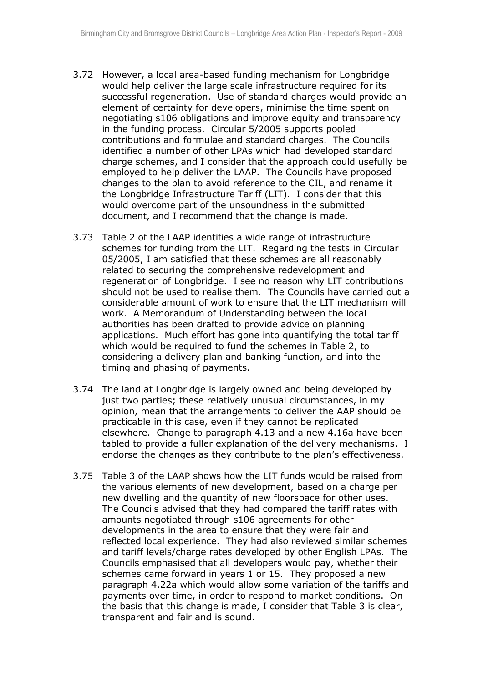- 3.72 However, a local area-based funding mechanism for Longbridge would help deliver the large scale infrastructure required for its successful regeneration. Use of standard charges would provide an element of certainty for developers, minimise the time spent on negotiating s106 obligations and improve equity and transparency in the funding process. Circular 5/2005 supports pooled contributions and formulae and standard charges. The Councils identified a number of other LPAs which had developed standard charge schemes, and I consider that the approach could usefully be employed to help deliver the LAAP. The Councils have proposed changes to the plan to avoid reference to the CIL, and rename it the Longbridge Infrastructure Tariff (LIT). I consider that this would overcome part of the unsoundness in the submitted document, and I recommend that the change is made.
- 3.73 Table 2 of the LAAP identifies a wide range of infrastructure schemes for funding from the LIT. Regarding the tests in Circular 05/2005, I am satisfied that these schemes are all reasonably related to securing the comprehensive redevelopment and regeneration of Longbridge. I see no reason why LIT contributions should not be used to realise them. The Councils have carried out a considerable amount of work to ensure that the LIT mechanism will work. A Memorandum of Understanding between the local authorities has been drafted to provide advice on planning applications. Much effort has gone into quantifying the total tariff which would be required to fund the schemes in Table 2, to considering a delivery plan and banking function, and into the timing and phasing of payments.
- 3.74 The land at Longbridge is largely owned and being developed by just two parties; these relatively unusual circumstances, in my opinion, mean that the arrangements to deliver the AAP should be practicable in this case, even if they cannot be replicated elsewhere. Change to paragraph 4.13 and a new 4.16a have been tabled to provide a fuller explanation of the delivery mechanisms. I endorse the changes as they contribute to the plan's effectiveness.
- 3.75 Table 3 of the LAAP shows how the LIT funds would be raised from the various elements of new development, based on a charge per new dwelling and the quantity of new floorspace for other uses. The Councils advised that they had compared the tariff rates with amounts negotiated through s106 agreements for other developments in the area to ensure that they were fair and reflected local experience. They had also reviewed similar schemes and tariff levels/charge rates developed by other English LPAs. The Councils emphasised that all developers would pay, whether their schemes came forward in years 1 or 15. They proposed a new paragraph 4.22a which would allow some variation of the tariffs and payments over time, in order to respond to market conditions. On the basis that this change is made, I consider that Table 3 is clear, transparent and fair and is sound.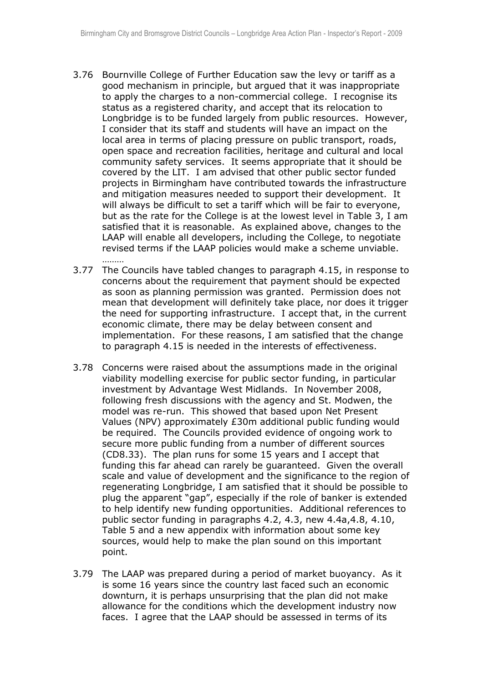- 3.76 Bournville College of Further Education saw the levy or tariff as a good mechanism in principle, but argued that it was inappropriate to apply the charges to a non-commercial college. I recognise its status as a registered charity, and accept that its relocation to Longbridge is to be funded largely from public resources. However, I consider that its staff and students will have an impact on the local area in terms of placing pressure on public transport, roads, open space and recreation facilities, heritage and cultural and local community safety services. It seems appropriate that it should be covered by the LIT. I am advised that other public sector funded projects in Birmingham have contributed towards the infrastructure and mitigation measures needed to support their development. It will always be difficult to set a tariff which will be fair to everyone, but as the rate for the College is at the lowest level in Table 3, I am satisfied that it is reasonable. As explained above, changes to the LAAP will enable all developers, including the College, to negotiate revised terms if the LAAP policies would make a scheme unviable. ………
- 3.77 The Councils have tabled changes to paragraph 4.15, in response to concerns about the requirement that payment should be expected as soon as planning permission was granted. Permission does not mean that development will definitely take place, nor does it trigger the need for supporting infrastructure. I accept that, in the current economic climate, there may be delay between consent and implementation. For these reasons, I am satisfied that the change to paragraph 4.15 is needed in the interests of effectiveness.
- 3.78 Concerns were raised about the assumptions made in the original viability modelling exercise for public sector funding, in particular investment by Advantage West Midlands. In November 2008, following fresh discussions with the agency and St. Modwen, the model was re-run. This showed that based upon Net Present Values (NPV) approximately £30m additional public funding would be required. The Councils provided evidence of ongoing work to secure more public funding from a number of different sources (CD8.33). The plan runs for some 15 years and I accept that funding this far ahead can rarely be guaranteed. Given the overall scale and value of development and the significance to the region of regenerating Longbridge, I am satisfied that it should be possible to plug the apparent "gap", especially if the role of banker is extended to help identify new funding opportunities. Additional references to public sector funding in paragraphs 4.2, 4.3, new 4.4a,4.8, 4.10, Table 5 and a new appendix with information about some key sources, would help to make the plan sound on this important point.
- 3.79 The LAAP was prepared during a period of market buoyancy. As it is some 16 years since the country last faced such an economic downturn, it is perhaps unsurprising that the plan did not make allowance for the conditions which the development industry now faces. I agree that the LAAP should be assessed in terms of its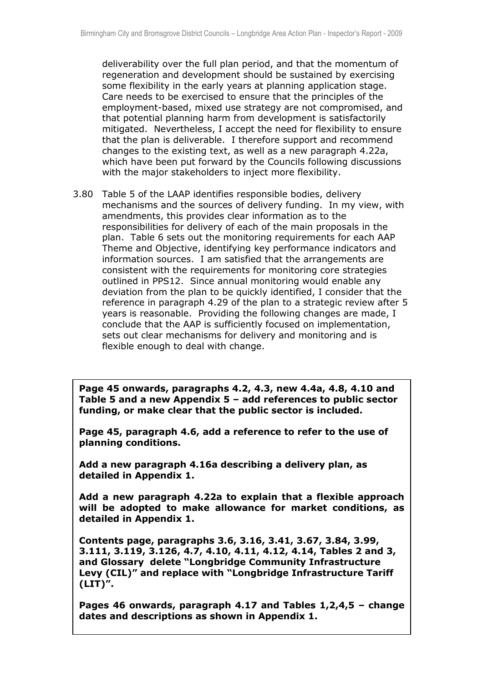deliverability over the full plan period, and that the momentum of regeneration and development should be sustained by exercising some flexibility in the early years at planning application stage. Care needs to be exercised to ensure that the principles of the employment-based, mixed use strategy are not compromised, and that potential planning harm from development is satisfactorily mitigated. Nevertheless, I accept the need for flexibility to ensure that the plan is deliverable. I therefore support and recommend changes to the existing text, as well as a new paragraph 4.22a, which have been put forward by the Councils following discussions with the major stakeholders to inject more flexibility.

3.80 Table 5 of the LAAP identifies responsible bodies, delivery mechanisms and the sources of delivery funding. In my view, with amendments, this provides clear information as to the responsibilities for delivery of each of the main proposals in the plan. Table 6 sets out the monitoring requirements for each AAP Theme and Objective, identifying key performance indicators and information sources. I am satisfied that the arrangements are consistent with the requirements for monitoring core strategies outlined in PPS12. Since annual monitoring would enable any deviation from the plan to be quickly identified, I consider that the reference in paragraph 4.29 of the plan to a strategic review after 5 years is reasonable. Providing the following changes are made, I conclude that the AAP is sufficiently focused on implementation, sets out clear mechanisms for delivery and monitoring and is flexible enough to deal with change.

**Page 45 onwards, paragraphs 4.2, 4.3, new 4.4a, 4.8, 4.10 and Table 5 and a new Appendix 5 – add references to public sector funding, or make clear that the public sector is included.**

**Page 45, paragraph 4.6, add a reference to refer to the use of planning conditions.**

**Add a new paragraph 4.16a describing a delivery plan, as detailed in Appendix 1.** 

**Add a new paragraph 4.22a to explain that a flexible approach will be adopted to make allowance for market conditions, as detailed in Appendix 1.**

**Contents page, paragraphs 3.6, 3.16, 3.41, 3.67, 3.84, 3.99, 3.111, 3.119, 3.126, 4.7, 4.10, 4.11, 4.12, 4.14, Tables 2 and 3, and Glossary delete "Longbridge Community Infrastructure Levy (CIL)" and replace with "Longbridge Infrastructure Tariff (LIT)".**

**Pages 46 onwards, paragraph 4.17 and Tables 1,2,4,5 – change dates and descriptions as shown in Appendix 1.**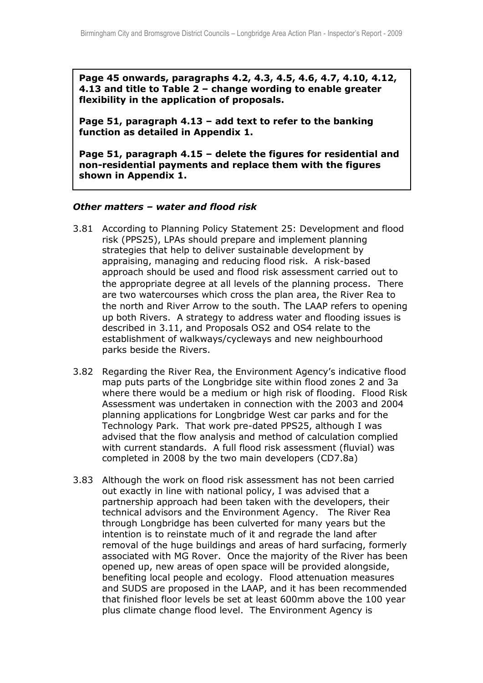**Page 45 onwards, paragraphs 4.2, 4.3, 4.5, 4.6, 4.7, 4.10, 4.12, 4.13 and title to Table 2 – change wording to enable greater flexibility in the application of proposals.**

**Page 51, paragraph 4.13 – add text to refer to the banking function as detailed in Appendix 1.**

**Page 51, paragraph 4.15 – delete the figures for residential and non-residential payments and replace them with the figures shown in Appendix 1.**

### *Other matters – water and flood risk*

- 3.81 According to Planning Policy Statement 25: Development and flood risk (PPS25), LPAs should prepare and implement planning strategies that help to deliver sustainable development by appraising, managing and reducing flood risk. A risk-based approach should be used and flood risk assessment carried out to the appropriate degree at all levels of the planning process. There are two watercourses which cross the plan area, the River Rea to the north and River Arrow to the south. The LAAP refers to opening up both Rivers. A strategy to address water and flooding issues is described in 3.11, and Proposals OS2 and OS4 relate to the establishment of walkways/cycleways and new neighbourhood parks beside the Rivers.
- 3.82 Regarding the River Rea, the Environment Agency's indicative flood map puts parts of the Longbridge site within flood zones 2 and 3a where there would be a medium or high risk of flooding. Flood Risk Assessment was undertaken in connection with the 2003 and 2004 planning applications for Longbridge West car parks and for the Technology Park. That work pre-dated PPS25, although I was advised that the flow analysis and method of calculation complied with current standards. A full flood risk assessment (fluvial) was completed in 2008 by the two main developers (CD7.8a)
- 3.83 Although the work on flood risk assessment has not been carried out exactly in line with national policy, I was advised that a partnership approach had been taken with the developers, their technical advisors and the Environment Agency. The River Rea through Longbridge has been culverted for many years but the intention is to reinstate much of it and regrade the land after removal of the huge buildings and areas of hard surfacing, formerly associated with MG Rover. Once the majority of the River has been opened up, new areas of open space will be provided alongside, benefiting local people and ecology. Flood attenuation measures and SUDS are proposed in the LAAP, and it has been recommended that finished floor levels be set at least 600mm above the 100 year plus climate change flood level. The Environment Agency is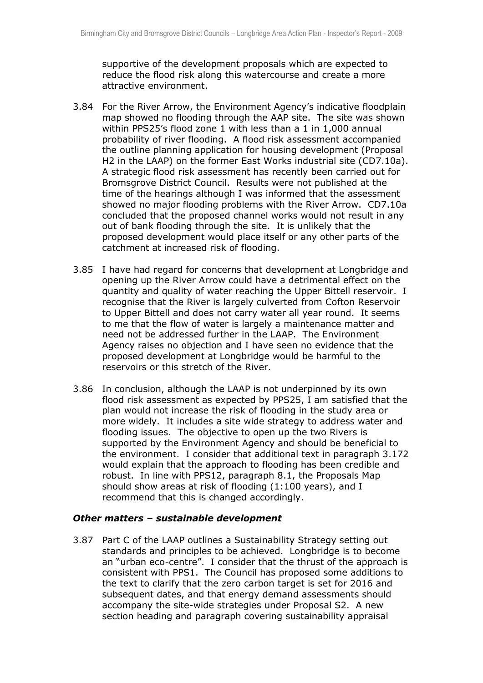supportive of the development proposals which are expected to reduce the flood risk along this watercourse and create a more attractive environment.

- 3.84 For the River Arrow, the Environment Agency's indicative floodplain map showed no flooding through the AAP site. The site was shown within PPS25's flood zone 1 with less than a 1 in 1,000 annual probability of river flooding. A flood risk assessment accompanied the outline planning application for housing development (Proposal H2 in the LAAP) on the former East Works industrial site (CD7.10a). A strategic flood risk assessment has recently been carried out for Bromsgrove District Council. Results were not published at the time of the hearings although I was informed that the assessment showed no major flooding problems with the River Arrow. CD7.10a concluded that the proposed channel works would not result in any out of bank flooding through the site. It is unlikely that the proposed development would place itself or any other parts of the catchment at increased risk of flooding.
- 3.85 I have had regard for concerns that development at Longbridge and opening up the River Arrow could have a detrimental effect on the quantity and quality of water reaching the Upper Bittell reservoir. I recognise that the River is largely culverted from Cofton Reservoir to Upper Bittell and does not carry water all year round. It seems to me that the flow of water is largely a maintenance matter and need not be addressed further in the LAAP. The Environment Agency raises no objection and I have seen no evidence that the proposed development at Longbridge would be harmful to the reservoirs or this stretch of the River.
- 3.86 In conclusion, although the LAAP is not underpinned by its own flood risk assessment as expected by PPS25, I am satisfied that the plan would not increase the risk of flooding in the study area or more widely. It includes a site wide strategy to address water and flooding issues. The objective to open up the two Rivers is supported by the Environment Agency and should be beneficial to the environment. I consider that additional text in paragraph 3.172 would explain that the approach to flooding has been credible and robust. In line with PPS12, paragraph 8.1, the Proposals Map should show areas at risk of flooding (1:100 years), and I recommend that this is changed accordingly.

#### *Other matters – sustainable development*

3.87 Part C of the LAAP outlines a Sustainability Strategy setting out standards and principles to be achieved. Longbridge is to become an "urban eco-centre". I consider that the thrust of the approach is consistent with PPS1. The Council has proposed some additions to the text to clarify that the zero carbon target is set for 2016 and subsequent dates, and that energy demand assessments should accompany the site-wide strategies under Proposal S2. A new section heading and paragraph covering sustainability appraisal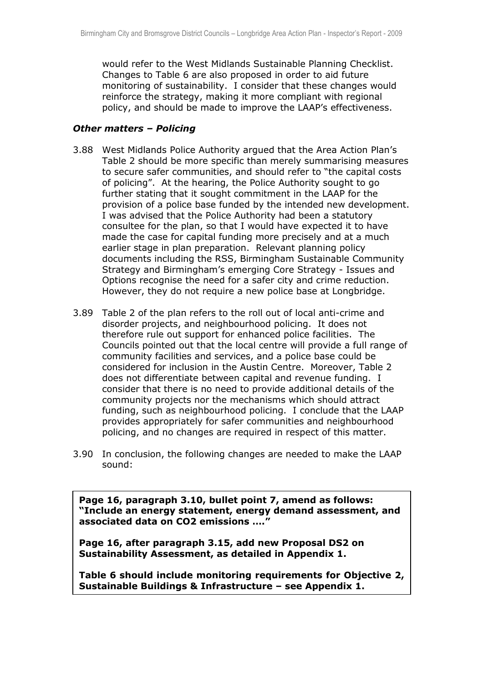would refer to the West Midlands Sustainable Planning Checklist. Changes to Table 6 are also proposed in order to aid future monitoring of sustainability. I consider that these changes would reinforce the strategy, making it more compliant with regional policy, and should be made to improve the LAAP's effectiveness.

### *Other matters – Policing*

- 3.88 West Midlands Police Authority argued that the Area Action Plan's Table 2 should be more specific than merely summarising measures to secure safer communities, and should refer to "the capital costs of policing". At the hearing, the Police Authority sought to go further stating that it sought commitment in the LAAP for the provision of a police base funded by the intended new development. I was advised that the Police Authority had been a statutory consultee for the plan, so that I would have expected it to have made the case for capital funding more precisely and at a much earlier stage in plan preparation. Relevant planning policy documents including the RSS, Birmingham Sustainable Community Strategy and Birmingham's emerging Core Strategy - Issues and Options recognise the need for a safer city and crime reduction. However, they do not require a new police base at Longbridge.
- 3.89 Table 2 of the plan refers to the roll out of local anti-crime and disorder projects, and neighbourhood policing. It does not therefore rule out support for enhanced police facilities. The Councils pointed out that the local centre will provide a full range of community facilities and services, and a police base could be considered for inclusion in the Austin Centre. Moreover, Table 2 does not differentiate between capital and revenue funding. I consider that there is no need to provide additional details of the community projects nor the mechanisms which should attract funding, such as neighbourhood policing. I conclude that the LAAP provides appropriately for safer communities and neighbourhood policing, and no changes are required in respect of this matter.
- 3.90 In conclusion, the following changes are needed to make the LAAP sound:

**Page 16, paragraph 3.10, bullet point 7, amend as follows: "Include an energy statement, energy demand assessment, and associated data on CO2 emissions …."**

**Page 16, after paragraph 3.15, add new Proposal DS2 on Sustainability Assessment, as detailed in Appendix 1.**

**Table 6 should include monitoring requirements for Objective 2, Sustainable Buildings & Infrastructure – see Appendix 1.**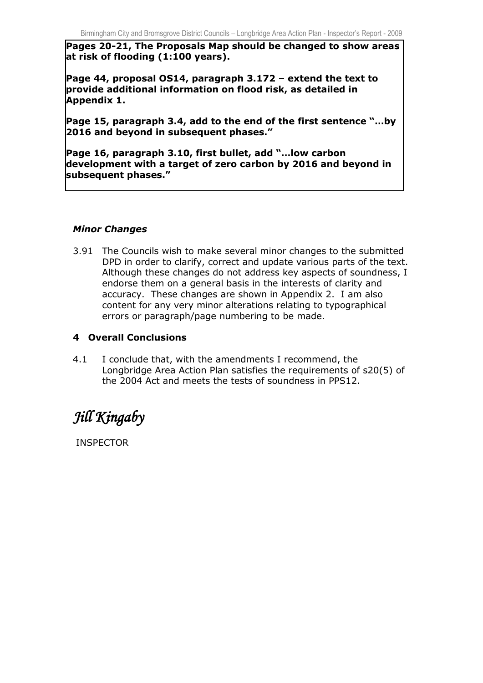**Pages 20-21, The Proposals Map should be changed to show areas at risk of flooding (1:100 years).**

**Page 44, proposal OS14, paragraph 3.172 – extend the text to provide additional information on flood risk, as detailed in Appendix 1.**

**Page 15, paragraph 3.4, add to the end of the first sentence "…by 2016 and beyond in subsequent phases."**

**Page 16, paragraph 3.10, first bullet, add "…low carbon development with a target of zero carbon by 2016 and beyond in subsequent phases."**

### *Minor Changes*

3.91 The Councils wish to make several minor changes to the submitted DPD in order to clarify, correct and update various parts of the text. Although these changes do not address key aspects of soundness, I endorse them on a general basis in the interests of clarity and accuracy. These changes are shown in Appendix 2. I am also content for any very minor alterations relating to typographical errors or paragraph/page numbering to be made.

### **4 Overall Conclusions**

4.1 I conclude that, with the amendments I recommend, the Longbridge Area Action Plan satisfies the requirements of s20(5) of the 2004 Act and meets the tests of soundness in PPS12.

# *Jill Kingaby*

INSPECTOR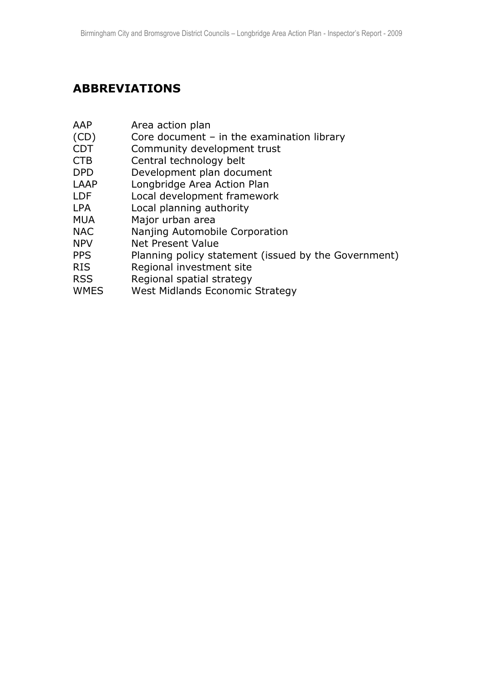# **ABBREVIATIONS**

- AAP Area action plan
- (CD) Core document in the examination library
- CDT Community development trust
- CTB Central technology belt
- DPD Development plan document
- LAAP Longbridge Area Action Plan
- LDF Local development framework
- LPA Local planning authority
- MUA Major urban area
- NAC Nanjing Automobile Corporation
- NPV Net Present Value
- PPS Planning policy statement (issued by the Government)
- RIS Regional investment site
- RSS Regional spatial strategy
- WMES West Midlands Economic Strategy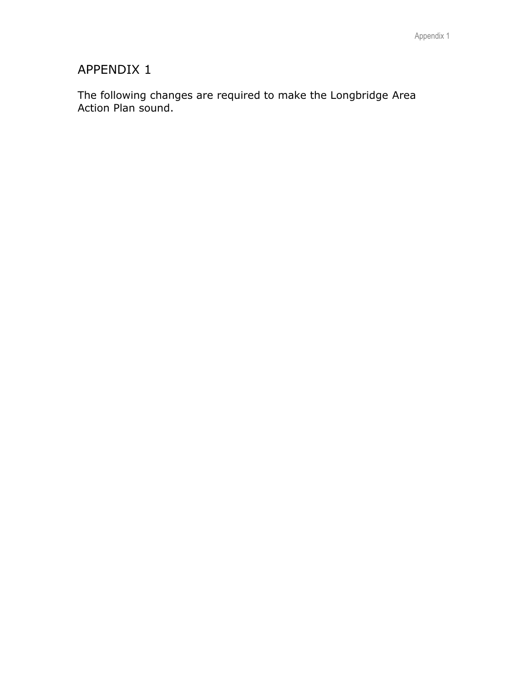# APPENDIX 1

The following changes are required to make the Longbridge Area Action Plan sound.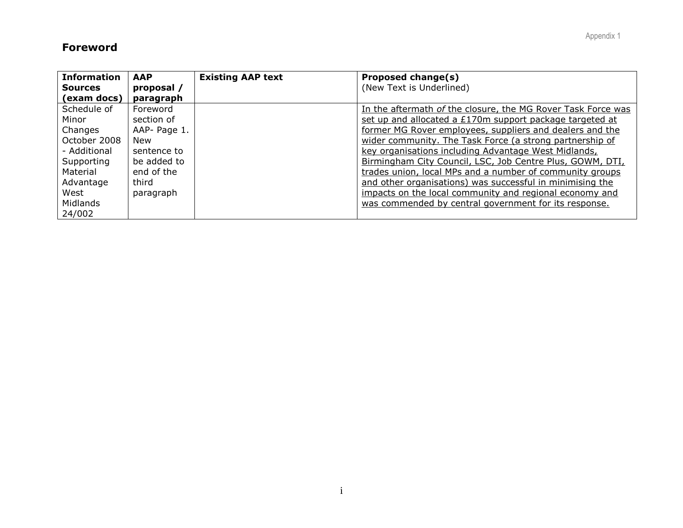### **Foreword**

| <b>Information</b> | <b>AAP</b>   | <b>Existing AAP text</b> | Proposed change(s)                                           |
|--------------------|--------------|--------------------------|--------------------------------------------------------------|
| <b>Sources</b>     | proposal /   |                          | (New Text is Underlined)                                     |
| (exam docs)        | paragraph    |                          |                                                              |
| Schedule of        | Foreword     |                          | In the aftermath of the closure, the MG Rover Task Force was |
| Minor              | section of   |                          | set up and allocated a £170m support package targeted at     |
| Changes            | AAP- Page 1. |                          | former MG Rover employees, suppliers and dealers and the     |
| October 2008       | New          |                          | wider community. The Task Force (a strong partnership of     |
| - Additional       | sentence to  |                          | key organisations including Advantage West Midlands,         |
| Supporting         | be added to  |                          | Birmingham City Council, LSC, Job Centre Plus, GOWM, DTI,    |
| Material           | end of the   |                          | trades union, local MPs and a number of community groups     |
| Advantage          | third        |                          | and other organisations) was successful in minimising the    |
| West               | paragraph    |                          | impacts on the local community and regional economy and      |
| Midlands           |              |                          | was commended by central government for its response.        |
| 24/002             |              |                          |                                                              |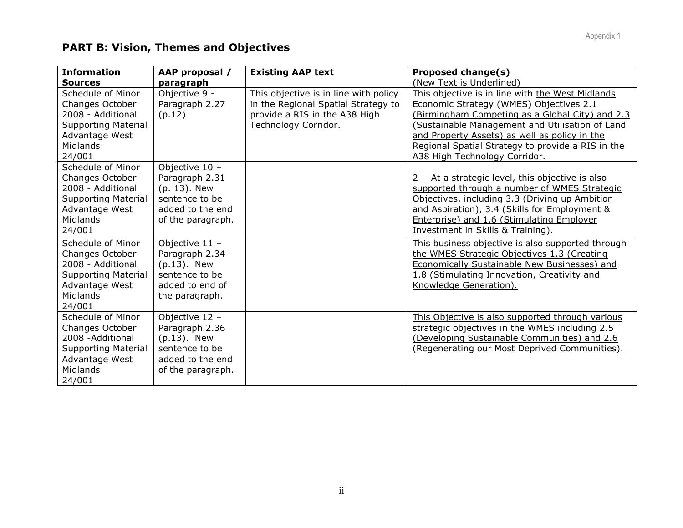# **PART B: Vision, Themes and Objectives**

| <b>Information</b>                                                                                                                     | AAP proposal /                                                                                                | <b>Existing AAP text</b>                                                                                      | <b>Proposed change(s)</b>                                                                                                                                                                                                                                                              |
|----------------------------------------------------------------------------------------------------------------------------------------|---------------------------------------------------------------------------------------------------------------|---------------------------------------------------------------------------------------------------------------|----------------------------------------------------------------------------------------------------------------------------------------------------------------------------------------------------------------------------------------------------------------------------------------|
| <b>Sources</b>                                                                                                                         | paragraph                                                                                                     |                                                                                                               | (New Text is Underlined)                                                                                                                                                                                                                                                               |
| Schedule of Minor<br>Changes October<br>2008 - Additional                                                                              | Objective 9 -<br>Paragraph 2.27<br>(p.12)                                                                     | This objective is in line with policy<br>in the Regional Spatial Strategy to<br>provide a RIS in the A38 High | This objective is in line with the West Midlands<br>Economic Strategy (WMES) Objectives 2.1<br>(Birmingham Competing as a Global City) and 2.3                                                                                                                                         |
| <b>Supporting Material</b><br>Advantage West<br>Midlands<br>24/001                                                                     |                                                                                                               | Technology Corridor.                                                                                          | (Sustainable Management and Utilisation of Land<br>and Property Assets) as well as policy in the<br>Regional Spatial Strategy to provide a RIS in the<br>A38 High Technology Corridor.                                                                                                 |
| Schedule of Minor<br>Changes October<br>2008 - Additional<br><b>Supporting Material</b><br>Advantage West<br><b>Midlands</b><br>24/001 | Objective $10 -$<br>Paragraph 2.31<br>(p. 13). New<br>sentence to be<br>added to the end<br>of the paragraph. |                                                                                                               | At a strategic level, this objective is also<br>2<br>supported through a number of WMES Strategic<br>Objectives, including 3.3 (Driving up Ambition<br>and Aspiration), 3.4 (Skills for Employment &<br>Enterprise) and 1.6 (Stimulating Employer<br>Investment in Skills & Training). |
| Schedule of Minor<br>Changes October<br>2008 - Additional<br><b>Supporting Material</b><br>Advantage West<br><b>Midlands</b><br>24/001 | Objective 11 -<br>Paragraph 2.34<br>$(p.13)$ . New<br>sentence to be<br>added to end of<br>the paragraph.     |                                                                                                               | This business objective is also supported through<br>the WMES Strategic Objectives 1.3 (Creating<br><b>Economically Sustainable New Businesses) and</b><br>1.8 (Stimulating Innovation, Creativity and<br>Knowledge Generation).                                                       |
| Schedule of Minor<br>Changes October<br>2008 - Additional<br><b>Supporting Material</b><br>Advantage West<br><b>Midlands</b><br>24/001 | Objective 12 -<br>Paragraph 2.36<br>$(p.13)$ . New<br>sentence to be<br>added to the end<br>of the paragraph. |                                                                                                               | This Objective is also supported through various<br>strategic objectives in the WMES including 2.5<br>(Developing Sustainable Communities) and 2.6<br>(Regenerating our Most Deprived Communities).                                                                                    |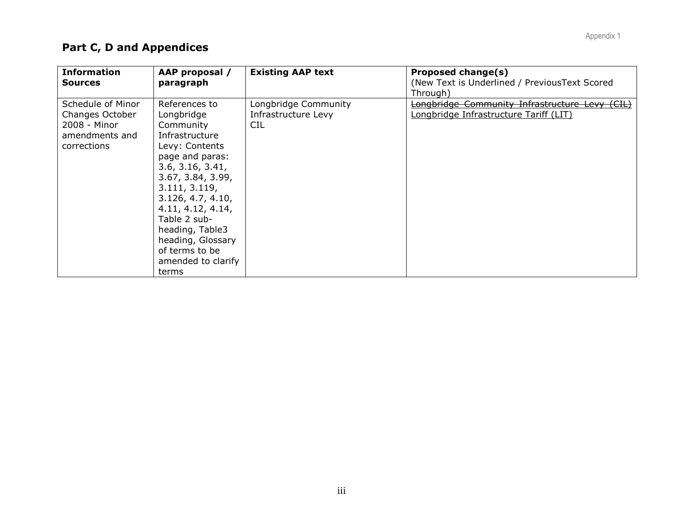# **Part C, D and Appendices**

| <b>Information</b><br><b>Sources</b>                                                  | AAP proposal /<br>paragraph                                                                                                                                                                                                                                                                                  | <b>Existing AAP text</b>                                  | <b>Proposed change(s)</b><br>(New Text is Underlined / PreviousText Scored<br>Through)      |
|---------------------------------------------------------------------------------------|--------------------------------------------------------------------------------------------------------------------------------------------------------------------------------------------------------------------------------------------------------------------------------------------------------------|-----------------------------------------------------------|---------------------------------------------------------------------------------------------|
| Schedule of Minor<br>Changes October<br>2008 - Minor<br>amendments and<br>corrections | References to<br>Longbridge<br>Community<br>Infrastructure<br>Levy: Contents<br>page and paras:<br>3.6, 3.16, 3.41,<br>3.67, 3.84, 3.99,<br>3.111, 3.119,<br>3.126, 4.7, 4.10,<br>4.11, 4.12, 4.14,<br>Table 2 sub-<br>heading, Table3<br>heading, Glossary<br>of terms to be<br>amended to clarify<br>terms | Longbridge Community<br>Infrastructure Levy<br><b>CIL</b> | Longbridge Community Infrastructure Levy<br>(EIL)<br>Longbridge Infrastructure Tariff (LIT) |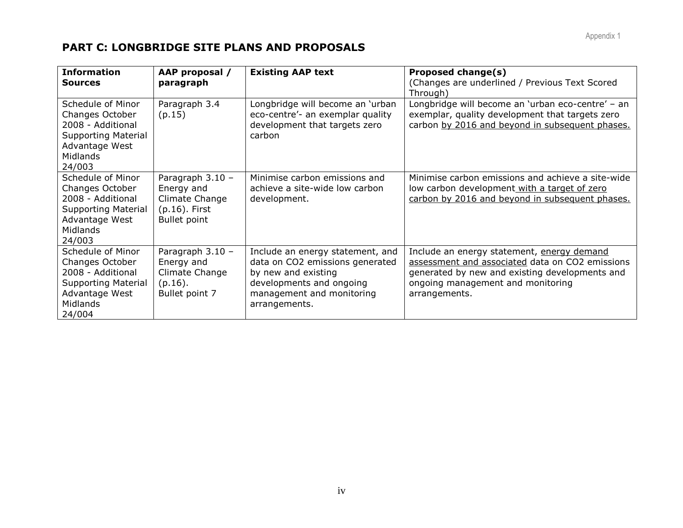# **PART C: LONGBRIDGE SITE PLANS AND PROPOSALS**

| <b>Information</b>                                                                                                                     | AAP proposal /                                                                                | <b>Existing AAP text</b>                                                                                                                                             | Proposed change(s)                                                                                                                                                                                    |
|----------------------------------------------------------------------------------------------------------------------------------------|-----------------------------------------------------------------------------------------------|----------------------------------------------------------------------------------------------------------------------------------------------------------------------|-------------------------------------------------------------------------------------------------------------------------------------------------------------------------------------------------------|
| <b>Sources</b>                                                                                                                         | paragraph                                                                                     |                                                                                                                                                                      | (Changes are underlined / Previous Text Scored<br>Through)                                                                                                                                            |
| Schedule of Minor<br>Changes October<br>2008 - Additional<br><b>Supporting Material</b><br>Advantage West<br><b>Midlands</b><br>24/003 | Paragraph 3.4<br>(p.15)                                                                       | Longbridge will become an 'urban<br>eco-centre'- an exemplar quality<br>development that targets zero<br>carbon                                                      | Longbridge will become an 'urban eco-centre' - an<br>exemplar, quality development that targets zero<br>carbon by 2016 and beyond in subsequent phases.                                               |
| Schedule of Minor<br>Changes October<br>2008 - Additional<br><b>Supporting Material</b><br>Advantage West<br><b>Midlands</b><br>24/003 | Paragraph $3.10 -$<br>Energy and<br>Climate Change<br>$(p.16)$ . First<br><b>Bullet point</b> | Minimise carbon emissions and<br>achieve a site-wide low carbon<br>development.                                                                                      | Minimise carbon emissions and achieve a site-wide<br>low carbon development with a target of zero<br>carbon by 2016 and beyond in subsequent phases.                                                  |
| Schedule of Minor<br>Changes October<br>2008 - Additional<br><b>Supporting Material</b><br>Advantage West<br>Midlands<br>24/004        | Paragraph 3.10 -<br>Energy and<br>Climate Change<br>$(p.16)$ .<br>Bullet point 7              | Include an energy statement, and<br>data on CO2 emissions generated<br>by new and existing<br>developments and ongoing<br>management and monitoring<br>arrangements. | Include an energy statement, energy demand<br>assessment and associated data on CO2 emissions<br>generated by new and existing developments and<br>ongoing management and monitoring<br>arrangements. |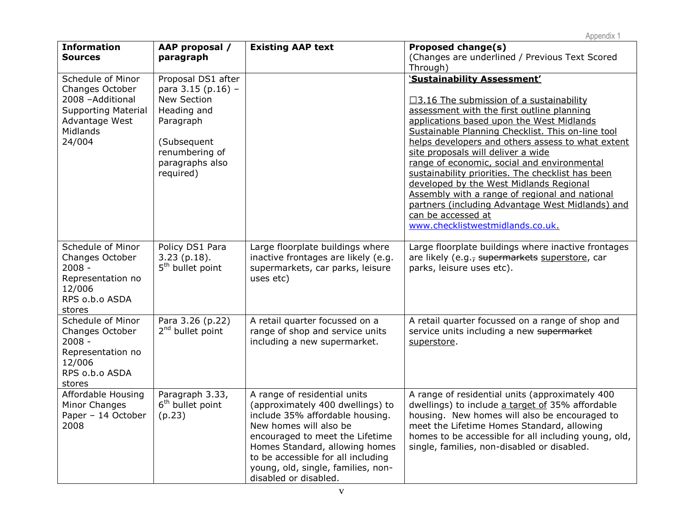| <b>Information</b><br><b>Sources</b>                                                                                            | AAP proposal /<br>paragraph                                                                                                                          | <b>Existing AAP text</b>                                                                                                                                                                                                                                                                                | <b>Proposed change(s)</b><br>(Changes are underlined / Previous Text Scored<br>Through)                                                                                                                                                                                                                                                                                                                                                                                                                                                                                                                                                |
|---------------------------------------------------------------------------------------------------------------------------------|------------------------------------------------------------------------------------------------------------------------------------------------------|---------------------------------------------------------------------------------------------------------------------------------------------------------------------------------------------------------------------------------------------------------------------------------------------------------|----------------------------------------------------------------------------------------------------------------------------------------------------------------------------------------------------------------------------------------------------------------------------------------------------------------------------------------------------------------------------------------------------------------------------------------------------------------------------------------------------------------------------------------------------------------------------------------------------------------------------------------|
| Schedule of Minor<br>Changes October<br>2008 - Additional<br><b>Supporting Material</b><br>Advantage West<br>Midlands<br>24/004 | Proposal DS1 after<br>para 3.15 (p.16) -<br>New Section<br>Heading and<br>Paragraph<br>(Subsequent<br>renumbering of<br>paragraphs also<br>required) |                                                                                                                                                                                                                                                                                                         | 'Sustainability Assessment'<br>$\Box$ 3.16 The submission of a sustainability<br>assessment with the first outline planning<br>applications based upon the West Midlands<br>Sustainable Planning Checklist. This on-line tool<br>helps developers and others assess to what extent<br>site proposals will deliver a wide<br>range of economic, social and environmental<br>sustainability priorities. The checklist has been<br>developed by the West Midlands Regional<br>Assembly with a range of regional and national<br>partners (including Advantage West Midlands) and<br>can be accessed at<br>www.checklistwestmidlands.co.uk |
| Schedule of Minor<br>Changes October<br>$2008 -$<br>Representation no<br>12/006<br>RPS o.b.o ASDA<br>stores                     | Policy DS1 Para<br>$3.23$ (p.18).<br>5 <sup>th</sup> bullet point                                                                                    | Large floorplate buildings where<br>inactive frontages are likely (e.g.<br>supermarkets, car parks, leisure<br>uses etc)                                                                                                                                                                                | Large floorplate buildings where inactive frontages<br>are likely (e.g., supermarkets superstore, car<br>parks, leisure uses etc).                                                                                                                                                                                                                                                                                                                                                                                                                                                                                                     |
| Schedule of Minor<br>Changes October<br>$2008 -$<br>Representation no<br>12/006<br>RPS o.b.o ASDA<br>stores                     | Para 3.26 (p.22)<br>$2nd$ bullet point                                                                                                               | A retail quarter focussed on a<br>range of shop and service units<br>including a new supermarket.                                                                                                                                                                                                       | A retail quarter focussed on a range of shop and<br>service units including a new supermarket<br>superstore.                                                                                                                                                                                                                                                                                                                                                                                                                                                                                                                           |
| Affordable Housing<br>Minor Changes<br>Paper - 14 October<br>2008                                                               | Paragraph 3.33,<br>6 <sup>th</sup> bullet point<br>(p.23)                                                                                            | A range of residential units<br>(approximately 400 dwellings) to<br>include 35% affordable housing.<br>New homes will also be<br>encouraged to meet the Lifetime<br>Homes Standard, allowing homes<br>to be accessible for all including<br>young, old, single, families, non-<br>disabled or disabled. | A range of residential units (approximately 400<br>dwellings) to include a target of 35% affordable<br>housing. New homes will also be encouraged to<br>meet the Lifetime Homes Standard, allowing<br>homes to be accessible for all including young, old,<br>single, families, non-disabled or disabled.                                                                                                                                                                                                                                                                                                                              |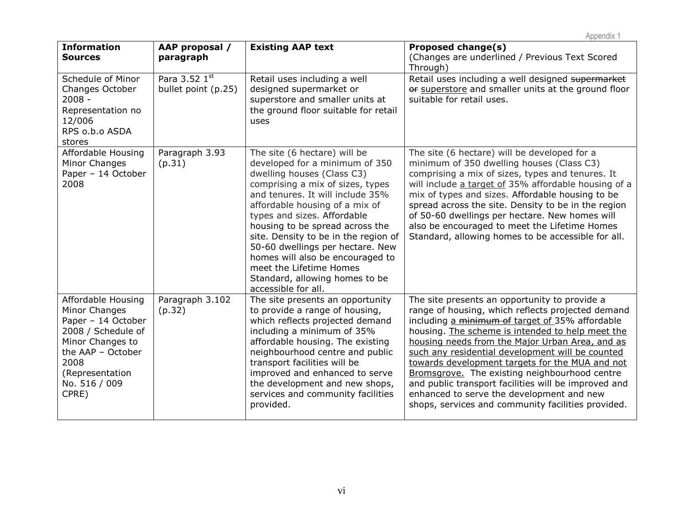| <b>Information</b><br><b>Sources</b>                                                                                                                                          | AAP proposal /<br>paragraph          | <b>Existing AAP text</b>                                                                                                                                                                                                                                                                                                                                                                                                                                                     | <b>Proposed change(s)</b><br>(Changes are underlined / Previous Text Scored<br>Through)                                                                                                                                                                                                                                                                                                                                                                                                                                                                                         |
|-------------------------------------------------------------------------------------------------------------------------------------------------------------------------------|--------------------------------------|------------------------------------------------------------------------------------------------------------------------------------------------------------------------------------------------------------------------------------------------------------------------------------------------------------------------------------------------------------------------------------------------------------------------------------------------------------------------------|---------------------------------------------------------------------------------------------------------------------------------------------------------------------------------------------------------------------------------------------------------------------------------------------------------------------------------------------------------------------------------------------------------------------------------------------------------------------------------------------------------------------------------------------------------------------------------|
| Schedule of Minor<br>Changes October<br>$2008 -$<br>Representation no<br>12/006<br>RPS o.b.o ASDA<br>stores                                                                   | Para 3.52 1st<br>bullet point (p.25) | Retail uses including a well<br>designed supermarket or<br>superstore and smaller units at<br>the ground floor suitable for retail<br>uses                                                                                                                                                                                                                                                                                                                                   | Retail uses including a well designed supermarket<br>or superstore and smaller units at the ground floor<br>suitable for retail uses.                                                                                                                                                                                                                                                                                                                                                                                                                                           |
| Affordable Housing<br>Minor Changes<br>Paper - 14 October<br>2008                                                                                                             | Paragraph 3.93<br>(p.31)             | The site (6 hectare) will be<br>developed for a minimum of 350<br>dwelling houses (Class C3)<br>comprising a mix of sizes, types<br>and tenures. It will include 35%<br>affordable housing of a mix of<br>types and sizes. Affordable<br>housing to be spread across the<br>site. Density to be in the region of<br>50-60 dwellings per hectare. New<br>homes will also be encouraged to<br>meet the Lifetime Homes<br>Standard, allowing homes to be<br>accessible for all. | The site (6 hectare) will be developed for a<br>minimum of 350 dwelling houses (Class C3)<br>comprising a mix of sizes, types and tenures. It<br>will include a target of 35% affordable housing of a<br>mix of types and sizes. Affordable housing to be<br>spread across the site. Density to be in the region<br>of 50-60 dwellings per hectare. New homes will<br>also be encouraged to meet the Lifetime Homes<br>Standard, allowing homes to be accessible for all.                                                                                                       |
| Affordable Housing<br>Minor Changes<br>Paper - 14 October<br>2008 / Schedule of<br>Minor Changes to<br>the AAP - October<br>2008<br>(Representation<br>No. 516 / 009<br>CPRE) | Paragraph 3.102<br>(p.32)            | The site presents an opportunity<br>to provide a range of housing,<br>which reflects projected demand<br>including a minimum of 35%<br>affordable housing. The existing<br>neighbourhood centre and public<br>transport facilities will be<br>improved and enhanced to serve<br>the development and new shops,<br>services and community facilities<br>provided.                                                                                                             | The site presents an opportunity to provide a<br>range of housing, which reflects projected demand<br>including a minimum of target of 35% affordable<br>housing. The scheme is intended to help meet the<br>housing needs from the Major Urban Area, and as<br>such any residential development will be counted<br>towards development targets for the MUA and not<br>Bromsgrove. The existing neighbourhood centre<br>and public transport facilities will be improved and<br>enhanced to serve the development and new<br>shops, services and community facilities provided. |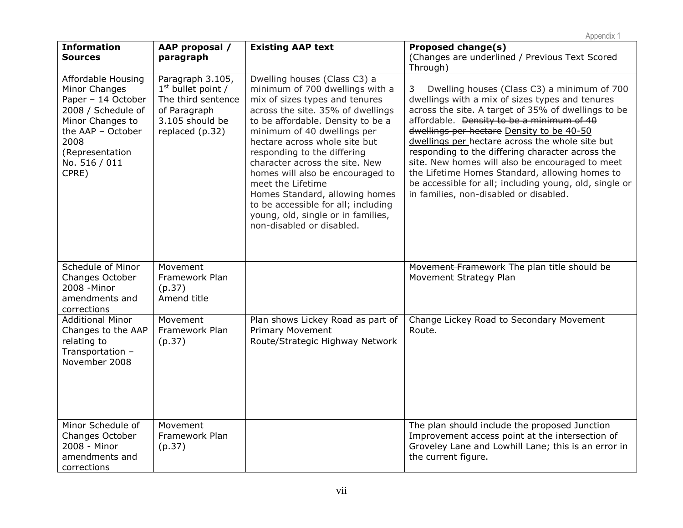| <b>Information</b><br><b>Sources</b>                                                                                                                                          | AAP proposal /<br>paragraph                                                                                          | <b>Existing AAP text</b>                                                                                                                                                                                                                                                                                                                                                                                                                                                                                          | $'$ $\psi \psi \psi \Gamma \Psi \Gamma \Gamma$<br><b>Proposed change(s)</b><br>(Changes are underlined / Previous Text Scored<br>Through)                                                                                                                                                                                                                                                                                                                                                                                                                                       |
|-------------------------------------------------------------------------------------------------------------------------------------------------------------------------------|----------------------------------------------------------------------------------------------------------------------|-------------------------------------------------------------------------------------------------------------------------------------------------------------------------------------------------------------------------------------------------------------------------------------------------------------------------------------------------------------------------------------------------------------------------------------------------------------------------------------------------------------------|---------------------------------------------------------------------------------------------------------------------------------------------------------------------------------------------------------------------------------------------------------------------------------------------------------------------------------------------------------------------------------------------------------------------------------------------------------------------------------------------------------------------------------------------------------------------------------|
| Affordable Housing<br>Minor Changes<br>Paper - 14 October<br>2008 / Schedule of<br>Minor Changes to<br>the AAP - October<br>2008<br>(Representation<br>No. 516 / 011<br>CPRE) | Paragraph 3.105,<br>$1st$ bullet point /<br>The third sentence<br>of Paragraph<br>3.105 should be<br>replaced (p.32) | Dwelling houses (Class C3) a<br>minimum of 700 dwellings with a<br>mix of sizes types and tenures<br>across the site. 35% of dwellings<br>to be affordable. Density to be a<br>minimum of 40 dwellings per<br>hectare across whole site but<br>responding to the differing<br>character across the site. New<br>homes will also be encouraged to<br>meet the Lifetime<br>Homes Standard, allowing homes<br>to be accessible for all; including<br>young, old, single or in families,<br>non-disabled or disabled. | Dwelling houses (Class C3) a minimum of 700<br>3<br>dwellings with a mix of sizes types and tenures<br>across the site. A target of 35% of dwellings to be<br>affordable. <del>Density to be a minimum of 40</del><br>dwellings per hectare Density to be 40-50<br>dwellings per hectare across the whole site but<br>responding to the differing character across the<br>site. New homes will also be encouraged to meet<br>the Lifetime Homes Standard, allowing homes to<br>be accessible for all; including young, old, single or<br>in families, non-disabled or disabled. |
| Schedule of Minor<br>Changes October<br>2008 - Minor<br>amendments and<br>corrections                                                                                         | Movement<br>Framework Plan<br>(p.37)<br>Amend title                                                                  |                                                                                                                                                                                                                                                                                                                                                                                                                                                                                                                   | Movement Framework The plan title should be<br><b>Movement Strategy Plan</b>                                                                                                                                                                                                                                                                                                                                                                                                                                                                                                    |
| <b>Additional Minor</b><br>Changes to the AAP<br>relating to<br>Transportation -<br>November 2008                                                                             | Movement<br>Framework Plan<br>(p.37)                                                                                 | Plan shows Lickey Road as part of<br><b>Primary Movement</b><br>Route/Strategic Highway Network                                                                                                                                                                                                                                                                                                                                                                                                                   | Change Lickey Road to Secondary Movement<br>Route.                                                                                                                                                                                                                                                                                                                                                                                                                                                                                                                              |
| Minor Schedule of<br>Changes October<br>2008 - Minor<br>amendments and<br>corrections                                                                                         | Movement<br>Framework Plan<br>(p.37)                                                                                 |                                                                                                                                                                                                                                                                                                                                                                                                                                                                                                                   | The plan should include the proposed Junction<br>Improvement access point at the intersection of<br>Groveley Lane and Lowhill Lane; this is an error in<br>the current figure.                                                                                                                                                                                                                                                                                                                                                                                                  |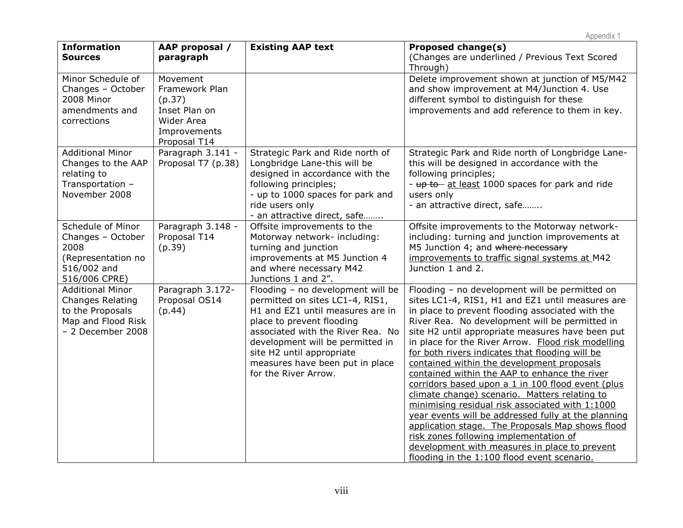| <b>Information</b><br><b>Sources</b>                                                                              | AAP proposal /<br>paragraph                                                                                | <b>Existing AAP text</b>                                                                                                                                                                                                                                                                               | <b>Proposed change(s)</b><br>(Changes are underlined / Previous Text Scored<br>Through)                                                                                                                                                                                                                                                                                                                                                                                                                                                                                                                                                                                                                                                                                                                                                                                            |
|-------------------------------------------------------------------------------------------------------------------|------------------------------------------------------------------------------------------------------------|--------------------------------------------------------------------------------------------------------------------------------------------------------------------------------------------------------------------------------------------------------------------------------------------------------|------------------------------------------------------------------------------------------------------------------------------------------------------------------------------------------------------------------------------------------------------------------------------------------------------------------------------------------------------------------------------------------------------------------------------------------------------------------------------------------------------------------------------------------------------------------------------------------------------------------------------------------------------------------------------------------------------------------------------------------------------------------------------------------------------------------------------------------------------------------------------------|
| Minor Schedule of<br>Changes - October<br>2008 Minor<br>amendments and<br>corrections                             | Movement<br>Framework Plan<br>(p.37)<br>Inset Plan on<br><b>Wider Area</b><br>Improvements<br>Proposal T14 |                                                                                                                                                                                                                                                                                                        | Delete improvement shown at junction of M5/M42<br>and show improvement at M4/Junction 4. Use<br>different symbol to distinguish for these<br>improvements and add reference to them in key.                                                                                                                                                                                                                                                                                                                                                                                                                                                                                                                                                                                                                                                                                        |
| <b>Additional Minor</b><br>Changes to the AAP<br>relating to<br>Transportation -<br>November 2008                 | Paragraph 3.141 -<br>Proposal T7 (p.38)                                                                    | Strategic Park and Ride north of<br>Longbridge Lane-this will be<br>designed in accordance with the<br>following principles;<br>- up to 1000 spaces for park and<br>ride users only<br>- an attractive direct, safe                                                                                    | Strategic Park and Ride north of Longbridge Lane-<br>this will be designed in accordance with the<br>following principles;<br>- up to at least 1000 spaces for park and ride<br>users only<br>- an attractive direct, safe                                                                                                                                                                                                                                                                                                                                                                                                                                                                                                                                                                                                                                                         |
| Schedule of Minor<br>Changes - October<br>2008<br>(Representation no<br>516/002 and<br>516/006 CPRE)              | Paragraph 3.148 -<br>Proposal T14<br>(p.39)                                                                | Offsite improvements to the<br>Motorway network- including:<br>turning and junction<br>improvements at M5 Junction 4<br>and where necessary M42<br>Junctions 1 and 2".                                                                                                                                 | Offsite improvements to the Motorway network-<br>including: turning and junction improvements at<br>M5 Junction 4; and where necessary<br>improvements to traffic signal systems at M42<br>Junction 1 and 2.                                                                                                                                                                                                                                                                                                                                                                                                                                                                                                                                                                                                                                                                       |
| <b>Additional Minor</b><br><b>Changes Relating</b><br>to the Proposals<br>Map and Flood Risk<br>- 2 December 2008 | Paragraph 3.172-<br>Proposal OS14<br>(p.44)                                                                | Flooding - no development will be<br>permitted on sites LC1-4, RIS1,<br>H1 and EZ1 until measures are in<br>place to prevent flooding<br>associated with the River Rea. No<br>development will be permitted in<br>site H2 until appropriate<br>measures have been put in place<br>for the River Arrow. | Flooding - no development will be permitted on<br>sites LC1-4, RIS1, H1 and EZ1 until measures are<br>in place to prevent flooding associated with the<br>River Rea. No development will be permitted in<br>site H2 until appropriate measures have been put<br>in place for the River Arrow. Flood risk modelling<br>for both rivers indicates that flooding will be<br>contained within the development proposals<br>contained within the AAP to enhance the river<br>corridors based upon a 1 in 100 flood event (plus<br>climate change) scenario. Matters relating to<br>minimising residual risk associated with 1:1000<br>year events will be addressed fully at the planning<br>application stage. The Proposals Map shows flood<br>risk zones following implementation of<br>development with measures in place to prevent<br>flooding in the 1:100 flood event scenario. |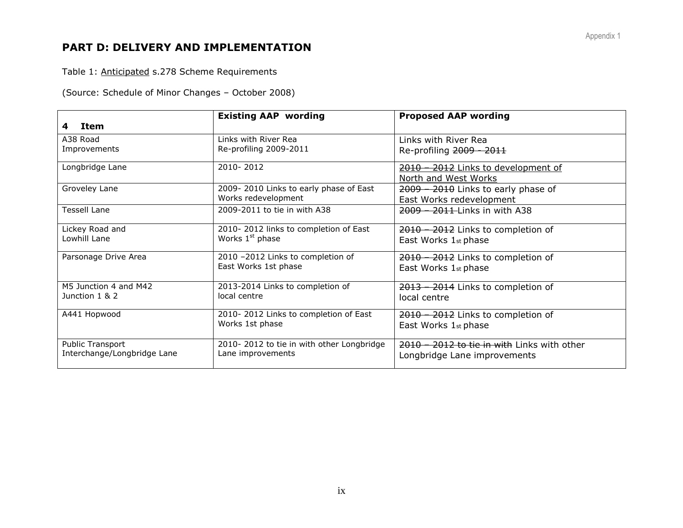# **PART D: DELIVERY AND IMPLEMENTATION**

Table 1: Anticipated s.278 Scheme Requirements

(Source: Schedule of Minor Changes – October 2008)

|                             | <b>Existing AAP wording</b>               | <b>Proposed AAP wording</b>                 |
|-----------------------------|-------------------------------------------|---------------------------------------------|
| Item<br>4                   |                                           |                                             |
| A38 Road                    | Links with River Rea                      | Links with River Rea                        |
| Improvements                | Re-profiling 2009-2011                    | Re-profiling 2009 - 2011                    |
| Longbridge Lane             | 2010-2012                                 | 2010 - 2012 Links to development of         |
|                             |                                           | North and West Works                        |
| Groveley Lane               | 2009-2010 Links to early phase of East    | 2009 - 2010 Links to early phase of         |
|                             | Works redevelopment                       | East Works redevelopment                    |
| <b>Tessell Lane</b>         | 2009-2011 to tie in with A38              | 2009 – 2011 Links in with A38               |
| Lickey Road and             | 2010-2012 links to completion of East     | 2010 - 2012 Links to completion of          |
| Lowhill Lane                | Works 1 <sup>st</sup> phase               | East Works 1st phase                        |
| Parsonage Drive Area        | 2010 -2012 Links to completion of         | 2010 - 2012 Links to completion of          |
|                             | East Works 1st phase                      | East Works 1st phase                        |
| M5 Junction 4 and M42       | 2013-2014 Links to completion of          | 2013 - 2014 Links to completion of          |
| Junction 1 & 2              | local centre                              | local centre                                |
| A441 Hopwood                | 2010-2012 Links to completion of East     | 2010 - 2012 Links to completion of          |
|                             | Works 1st phase                           | East Works 1st phase                        |
| Public Transport            | 2010-2012 to tie in with other Longbridge | 2010 - 2012 to tie in with Links with other |
| Interchange/Longbridge Lane | Lane improvements                         | Longbridge Lane improvements                |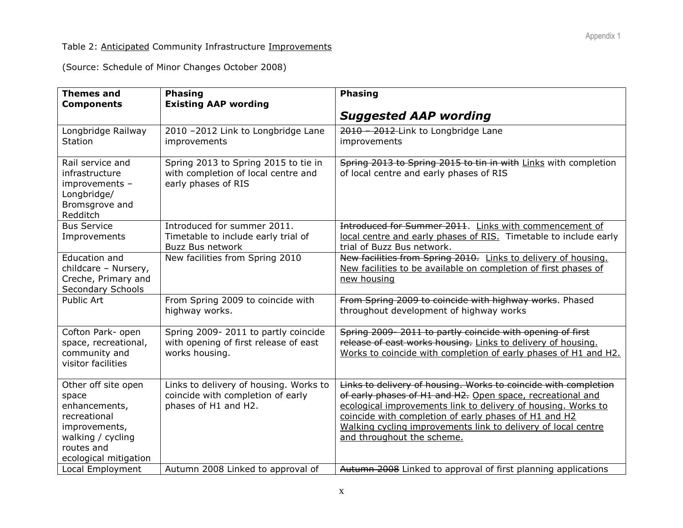### Table 2: Anticipated Community Infrastructure Improvements

(Source: Schedule of Minor Changes October 2008)

| <b>Themes and</b><br><b>Components</b>                                                                                                     | <b>Phasing</b><br><b>Existing AAP wording</b>                                                       | <b>Phasing</b>                                                                                                                                                                                                                                                                                                                                         |
|--------------------------------------------------------------------------------------------------------------------------------------------|-----------------------------------------------------------------------------------------------------|--------------------------------------------------------------------------------------------------------------------------------------------------------------------------------------------------------------------------------------------------------------------------------------------------------------------------------------------------------|
|                                                                                                                                            |                                                                                                     | <b>Suggested AAP wording</b>                                                                                                                                                                                                                                                                                                                           |
| Longbridge Railway<br><b>Station</b>                                                                                                       | 2010 -2012 Link to Longbridge Lane<br>improvements                                                  | 2010 - 2012 Link to Longbridge Lane<br>improvements                                                                                                                                                                                                                                                                                                    |
| Rail service and<br>infrastructure<br>improvements -<br>Longbridge/<br>Bromsgrove and<br>Redditch                                          | Spring 2013 to Spring 2015 to tie in<br>with completion of local centre and<br>early phases of RIS  | Spring 2013 to Spring 2015 to tin in with Links with completion<br>of local centre and early phases of RIS                                                                                                                                                                                                                                             |
| <b>Bus Service</b><br>Improvements                                                                                                         | Introduced for summer 2011.<br>Timetable to include early trial of<br><b>Buzz Bus network</b>       | Introduced for Summer 2011. Links with commencement of<br>local centre and early phases of RIS. Timetable to include early<br>trial of Buzz Bus network.                                                                                                                                                                                               |
| Education and<br>childcare - Nursery,<br>Creche, Primary and<br>Secondary Schools                                                          | New facilities from Spring 2010                                                                     | New facilities from Spring 2010. Links to delivery of housing.<br>New facilities to be available on completion of first phases of<br>new housing                                                                                                                                                                                                       |
| Public Art                                                                                                                                 | From Spring 2009 to coincide with<br>highway works.                                                 | From Spring 2009 to coincide with highway works. Phased<br>throughout development of highway works                                                                                                                                                                                                                                                     |
| Cofton Park- open<br>space, recreational,<br>community and<br>visitor facilities                                                           | Spring 2009-2011 to partly coincide<br>with opening of first release of east<br>works housing.      | Spring 2009-2011 to partly coincide with opening of first<br>release of east works housing. Links to delivery of housing.<br>Works to coincide with completion of early phases of H1 and H2.                                                                                                                                                           |
| Other off site open<br>space<br>enhancements,<br>recreational<br>improvements,<br>walking / cycling<br>routes and<br>ecological mitigation | Links to delivery of housing. Works to<br>coincide with completion of early<br>phases of H1 and H2. | Links to delivery of housing. Works to coincide with completion<br>of early phases of H1 and H2. Open space, recreational and<br>ecological improvements link to delivery of housing. Works to<br>coincide with completion of early phases of H1 and H2<br>Walking cycling improvements link to delivery of local centre<br>and throughout the scheme. |
| Local Employment                                                                                                                           | Autumn 2008 Linked to approval of                                                                   | Autumn 2008 Linked to approval of first planning applications                                                                                                                                                                                                                                                                                          |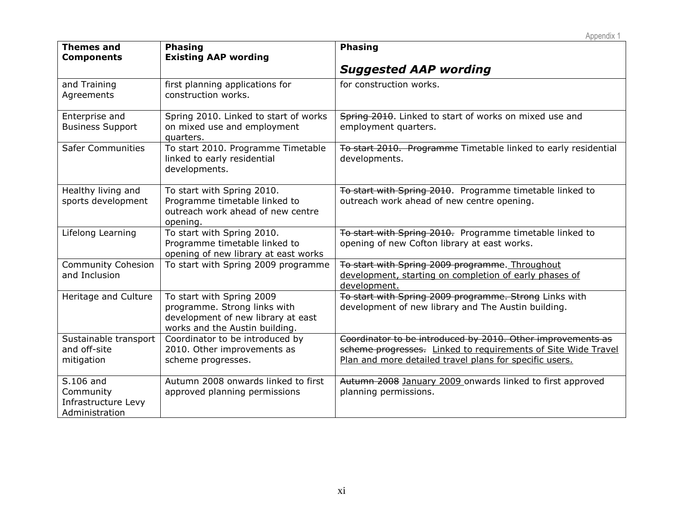|                                                                 |                                                                                                                                   | Appendix 1                                                                                                                                                                              |
|-----------------------------------------------------------------|-----------------------------------------------------------------------------------------------------------------------------------|-----------------------------------------------------------------------------------------------------------------------------------------------------------------------------------------|
| <b>Themes and</b><br><b>Components</b>                          | <b>Phasing</b><br><b>Existing AAP wording</b>                                                                                     | <b>Phasing</b>                                                                                                                                                                          |
|                                                                 |                                                                                                                                   | <b>Suggested AAP wording</b>                                                                                                                                                            |
| and Training<br>Agreements                                      | first planning applications for<br>construction works.                                                                            | for construction works.                                                                                                                                                                 |
| Enterprise and<br><b>Business Support</b>                       | Spring 2010. Linked to start of works<br>on mixed use and employment<br>quarters.                                                 | Spring 2010. Linked to start of works on mixed use and<br>employment quarters.                                                                                                          |
| <b>Safer Communities</b>                                        | To start 2010. Programme Timetable<br>linked to early residential<br>developments.                                                | To start 2010. Programme Timetable linked to early residential<br>developments.                                                                                                         |
| Healthy living and<br>sports development                        | To start with Spring 2010.<br>Programme timetable linked to<br>outreach work ahead of new centre<br>opening.                      | To start with Spring 2010. Programme timetable linked to<br>outreach work ahead of new centre opening.                                                                                  |
| Lifelong Learning                                               | To start with Spring 2010.<br>Programme timetable linked to<br>opening of new library at east works                               | To start with Spring 2010. Programme timetable linked to<br>opening of new Cofton library at east works.                                                                                |
| <b>Community Cohesion</b><br>and Inclusion                      | To start with Spring 2009 programme                                                                                               | To start with Spring 2009 programme. Throughout<br>development, starting on completion of early phases of<br>development.                                                               |
| Heritage and Culture                                            | To start with Spring 2009<br>programme. Strong links with<br>development of new library at east<br>works and the Austin building. | To start with Spring 2009 programme. Strong Links with<br>development of new library and The Austin building.                                                                           |
| Sustainable transport<br>and off-site<br>mitigation             | Coordinator to be introduced by<br>2010. Other improvements as<br>scheme progresses.                                              | Coordinator to be introduced by 2010. Other improvements as<br>scheme progresses. Linked to requirements of Site Wide Travel<br>Plan and more detailed travel plans for specific users. |
| S.106 and<br>Community<br>Infrastructure Levy<br>Administration | Autumn 2008 onwards linked to first<br>approved planning permissions                                                              | Autumn 2008 January 2009 onwards linked to first approved<br>planning permissions.                                                                                                      |

xi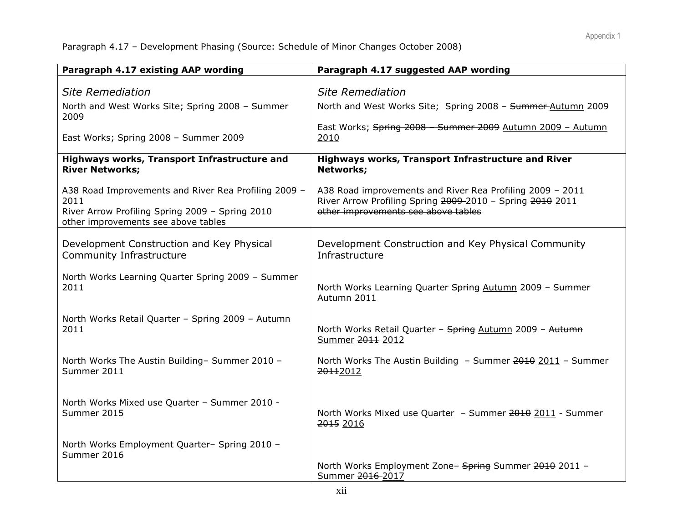Paragraph 4.17 – Development Phasing (Source: Schedule of Minor Changes October 2008)

| Paragraph 4.17 existing AAP wording                                                                                                                    | Paragraph 4.17 suggested AAP wording                                                                                                                          |
|--------------------------------------------------------------------------------------------------------------------------------------------------------|---------------------------------------------------------------------------------------------------------------------------------------------------------------|
| <b>Site Remediation</b>                                                                                                                                | <b>Site Remediation</b>                                                                                                                                       |
| North and West Works Site; Spring 2008 - Summer<br>2009                                                                                                | North and West Works Site; Spring 2008 - Summer-Autumn 2009                                                                                                   |
| East Works; Spring 2008 - Summer 2009                                                                                                                  | East Works; Spring 2008 - Summer 2009 Autumn 2009 - Autumn<br>2010                                                                                            |
| Highways works, Transport Infrastructure and<br><b>River Networks;</b>                                                                                 | Highways works, Transport Infrastructure and River<br>Networks;                                                                                               |
| A38 Road Improvements and River Rea Profiling 2009 -<br>2011<br>River Arrow Profiling Spring 2009 - Spring 2010<br>other improvements see above tables | A38 Road improvements and River Rea Profiling 2009 - 2011<br>River Arrow Profiling Spring 2009-2010 - Spring 2010 2011<br>other improvements see above tables |
| Development Construction and Key Physical<br>Community Infrastructure                                                                                  | Development Construction and Key Physical Community<br>Infrastructure                                                                                         |
| North Works Learning Quarter Spring 2009 - Summer<br>2011                                                                                              | North Works Learning Quarter Spring Autumn 2009 - Summer<br>Autumn 2011                                                                                       |
| North Works Retail Quarter - Spring 2009 - Autumn<br>2011                                                                                              | North Works Retail Quarter - Spring Autumn 2009 - Autumn<br>Summer 2011 2012                                                                                  |
| North Works The Austin Building- Summer 2010 -<br>Summer 2011                                                                                          | North Works The Austin Building - Summer 2010 2011 - Summer<br>20112012                                                                                       |
| North Works Mixed use Quarter - Summer 2010 -<br>Summer 2015                                                                                           | North Works Mixed use Quarter - Summer 2010 2011 - Summer<br>2015 2016                                                                                        |
| North Works Employment Quarter- Spring 2010 -<br>Summer 2016                                                                                           |                                                                                                                                                               |
|                                                                                                                                                        | North Works Employment Zone- Spring Summer 2010 2011 -<br>Summer 2016-2017                                                                                    |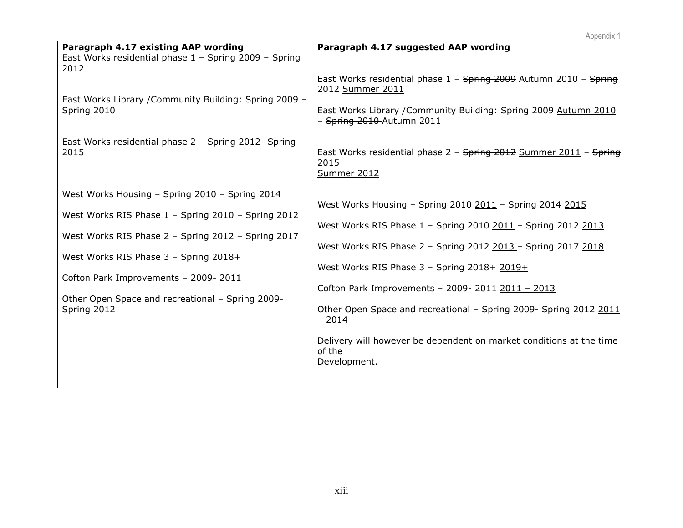|                                                                                                                                                                                                                                                                                                                | Appendix 1                                                                                                                                                                                                                                                                                                                                                                                                                                                                      |
|----------------------------------------------------------------------------------------------------------------------------------------------------------------------------------------------------------------------------------------------------------------------------------------------------------------|---------------------------------------------------------------------------------------------------------------------------------------------------------------------------------------------------------------------------------------------------------------------------------------------------------------------------------------------------------------------------------------------------------------------------------------------------------------------------------|
| Paragraph 4.17 existing AAP wording                                                                                                                                                                                                                                                                            | Paragraph 4.17 suggested AAP wording                                                                                                                                                                                                                                                                                                                                                                                                                                            |
| East Works residential phase 1 - Spring 2009 - Spring<br>2012<br>East Works Library / Community Building: Spring 2009 -<br>Spring 2010<br>East Works residential phase 2 - Spring 2012- Spring<br>2015                                                                                                         | East Works residential phase 1 - Spring 2009 Autumn 2010 - Spring<br>2012 Summer 2011<br>East Works Library / Community Building: Spring 2009 Autumn 2010<br>- Spring 2010 Autumn 2011<br>East Works residential phase 2 - Spring 2012 Summer 2011 - Spring<br>2015<br><b>Summer 2012</b>                                                                                                                                                                                       |
| West Works Housing - Spring 2010 - Spring 2014<br>West Works RIS Phase 1 - Spring 2010 - Spring 2012<br>West Works RIS Phase 2 - Spring 2012 - Spring 2017<br>West Works RIS Phase 3 - Spring 2018+<br>Cofton Park Improvements - 2009-2011<br>Other Open Space and recreational - Spring 2009-<br>Spring 2012 | West Works Housing - Spring 2010 2011 - Spring 2014 2015<br>West Works RIS Phase 1 - Spring 2010 2011 - Spring 2012 2013<br>West Works RIS Phase 2 - Spring 2012 2013 - Spring 2017 2018<br>West Works RIS Phase 3 - Spring 2018 + 2019 +<br>Cofton Park Improvements - 2009-2011 2011 - 2013<br>Other Open Space and recreational - Spring 2009 - Spring 2012 2011<br>$-2014$<br>Delivery will however be dependent on market conditions at the time<br>of the<br>Development. |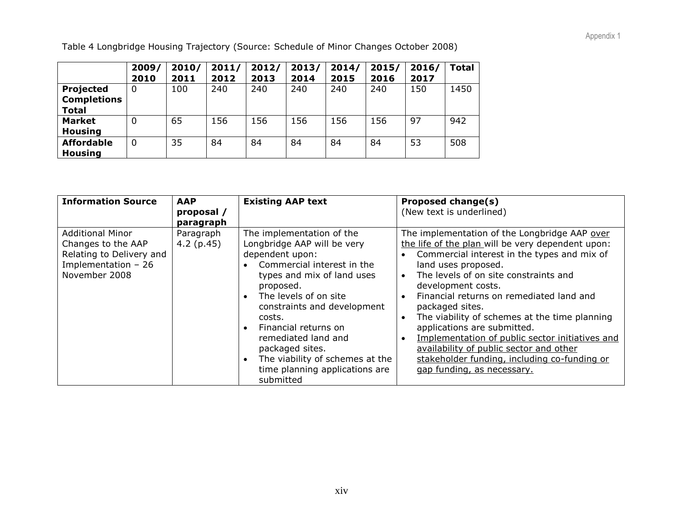Table 4 Longbridge Housing Trajectory (Source: Schedule of Minor Changes October 2008)

|                    | 2009/<br>2010 | 2010/<br>2011 | 2011/<br>2012 | 2012/<br>2013 | 2013/<br>2014 | 2014/<br>2015 | 2015/<br>2016 | 2016/<br>2017 | <b>Total</b> |
|--------------------|---------------|---------------|---------------|---------------|---------------|---------------|---------------|---------------|--------------|
| Projected          | 0             | 100           | 240           | 240           | 240           | 240           | 240           | 150           | 1450         |
| <b>Completions</b> |               |               |               |               |               |               |               |               |              |
| <b>Total</b>       |               |               |               |               |               |               |               |               |              |
| <b>Market</b>      | $\mathbf{0}$  | 65            | 156           | 156           | 156           | 156           | 156           | 97            | 942          |
| <b>Housing</b>     |               |               |               |               |               |               |               |               |              |
| <b>Affordable</b>  | 0             | 35            | 84            | 84            | 84            | 84            | 84            | 53            | 508          |
| <b>Housing</b>     |               |               |               |               |               |               |               |               |              |

| <b>Information Source</b>                                                                                          | <b>AAP</b><br>proposal /<br>paragraph | <b>Existing AAP text</b>                                                                                                                                                                                                                                                                                                                                                   | <b>Proposed change(s)</b><br>(New text is underlined)                                                                                                                                                                                                                                                                                                                                                                                                                                                                                                                                                                  |
|--------------------------------------------------------------------------------------------------------------------|---------------------------------------|----------------------------------------------------------------------------------------------------------------------------------------------------------------------------------------------------------------------------------------------------------------------------------------------------------------------------------------------------------------------------|------------------------------------------------------------------------------------------------------------------------------------------------------------------------------------------------------------------------------------------------------------------------------------------------------------------------------------------------------------------------------------------------------------------------------------------------------------------------------------------------------------------------------------------------------------------------------------------------------------------------|
| <b>Additional Minor</b><br>Changes to the AAP<br>Relating to Delivery and<br>Implementation $-26$<br>November 2008 | Paragraph<br>$4.2$ (p.45)             | The implementation of the<br>Longbridge AAP will be very<br>dependent upon:<br>Commercial interest in the<br>types and mix of land uses<br>proposed.<br>The levels of on site<br>constraints and development<br>costs.<br>Financial returns on<br>remediated land and<br>packaged sites.<br>The viability of schemes at the<br>time planning applications are<br>submitted | The implementation of the Longbridge AAP over<br>the life of the plan will be very dependent upon:<br>Commercial interest in the types and mix of<br>land uses proposed.<br>The levels of on site constraints and<br>$\bullet$<br>development costs.<br>Financial returns on remediated land and<br>$\bullet$<br>packaged sites.<br>The viability of schemes at the time planning<br>$\bullet$<br>applications are submitted.<br>Implementation of public sector initiatives and<br>$\bullet$<br>availability of public sector and other<br>stakeholder funding, including co-funding or<br>gap funding, as necessary. |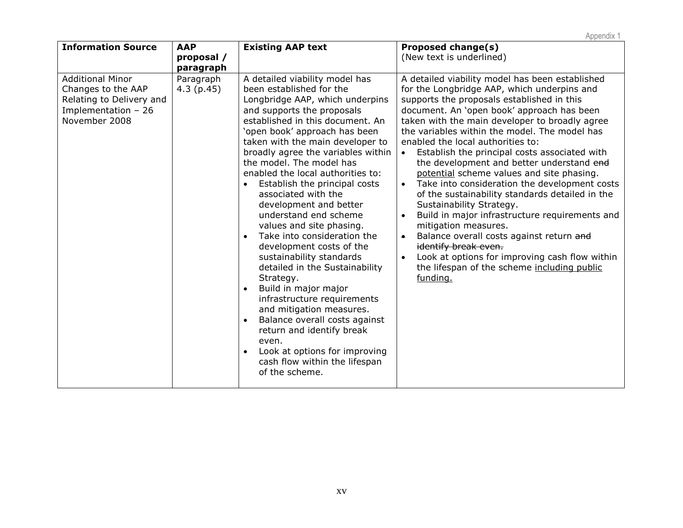| <b>Information Source</b>                                                                                         | <b>AAP</b><br>proposal /<br>paragraph | <b>Existing AAP text</b>                                                                                                                                                                                                                                                                                                                                                                                                                                                                                                                                                                                                                                                                                                                                                                                                                                                                                                   | Proposed change(s)<br>(New text is underlined)                                                                                                                                                                                                                                                                                                                                                                                                                                                                                                                                                                                                                                                                                                                                                                                                                                                     |
|-------------------------------------------------------------------------------------------------------------------|---------------------------------------|----------------------------------------------------------------------------------------------------------------------------------------------------------------------------------------------------------------------------------------------------------------------------------------------------------------------------------------------------------------------------------------------------------------------------------------------------------------------------------------------------------------------------------------------------------------------------------------------------------------------------------------------------------------------------------------------------------------------------------------------------------------------------------------------------------------------------------------------------------------------------------------------------------------------------|----------------------------------------------------------------------------------------------------------------------------------------------------------------------------------------------------------------------------------------------------------------------------------------------------------------------------------------------------------------------------------------------------------------------------------------------------------------------------------------------------------------------------------------------------------------------------------------------------------------------------------------------------------------------------------------------------------------------------------------------------------------------------------------------------------------------------------------------------------------------------------------------------|
| <b>Additional Minor</b><br>Changes to the AAP<br>Relating to Delivery and<br>Implementation - 26<br>November 2008 | Paragraph<br>4.3(p.45)                | A detailed viability model has<br>been established for the<br>Longbridge AAP, which underpins<br>and supports the proposals<br>established in this document. An<br>'open book' approach has been<br>taken with the main developer to<br>broadly agree the variables within<br>the model. The model has<br>enabled the local authorities to:<br>Establish the principal costs<br>associated with the<br>development and better<br>understand end scheme<br>values and site phasing.<br>Take into consideration the<br>$\bullet$<br>development costs of the<br>sustainability standards<br>detailed in the Sustainability<br>Strategy.<br>Build in major major<br>$\bullet$<br>infrastructure requirements<br>and mitigation measures.<br>Balance overall costs against<br>$\bullet$<br>return and identify break<br>even.<br>Look at options for improving<br>$\bullet$<br>cash flow within the lifespan<br>of the scheme. | A detailed viability model has been established<br>for the Longbridge AAP, which underpins and<br>supports the proposals established in this<br>document. An 'open book' approach has been<br>taken with the main developer to broadly agree<br>the variables within the model. The model has<br>enabled the local authorities to:<br>Establish the principal costs associated with<br>$\bullet$<br>the development and better understand end<br>potential scheme values and site phasing.<br>Take into consideration the development costs<br>of the sustainability standards detailed in the<br>Sustainability Strategy.<br>Build in major infrastructure requirements and<br>mitigation measures.<br>Balance overall costs against return and<br>$\bullet$<br>identify break even.<br>Look at options for improving cash flow within<br>the lifespan of the scheme including public<br>funding. |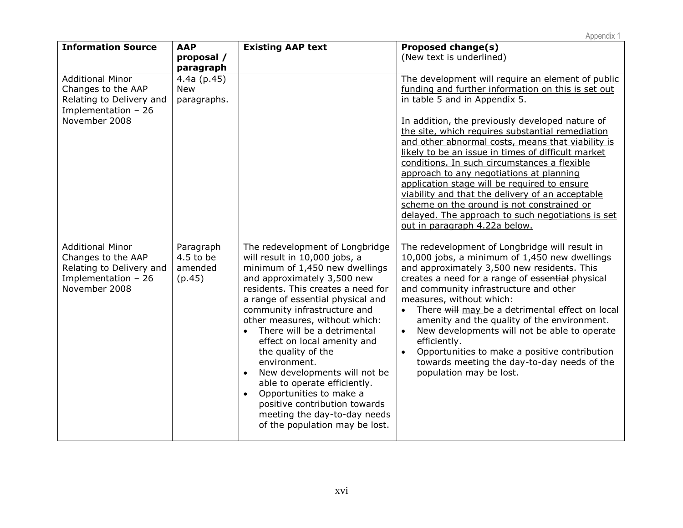| <b>Information Source</b>                                                                                          | <b>AAP</b><br>proposal /<br>paragraph         | <b>Existing AAP text</b>                                                                                                                                                                                                                                                                                                                                                                                                                                                                                                                                                                                   | Proposed change(s)<br>(New text is underlined)                                                                                                                                                                                                                                                                                                                                                                                                                                                                                                                                                                                                                                                 |
|--------------------------------------------------------------------------------------------------------------------|-----------------------------------------------|------------------------------------------------------------------------------------------------------------------------------------------------------------------------------------------------------------------------------------------------------------------------------------------------------------------------------------------------------------------------------------------------------------------------------------------------------------------------------------------------------------------------------------------------------------------------------------------------------------|------------------------------------------------------------------------------------------------------------------------------------------------------------------------------------------------------------------------------------------------------------------------------------------------------------------------------------------------------------------------------------------------------------------------------------------------------------------------------------------------------------------------------------------------------------------------------------------------------------------------------------------------------------------------------------------------|
| <b>Additional Minor</b><br>Changes to the AAP<br>Relating to Delivery and<br>Implementation $-26$<br>November 2008 | $4.4a$ (p.45)<br><b>New</b><br>paragraphs.    |                                                                                                                                                                                                                                                                                                                                                                                                                                                                                                                                                                                                            | The development will require an element of public<br>funding and further information on this is set out<br>in table 5 and in Appendix 5.<br>In addition, the previously developed nature of<br>the site, which requires substantial remediation<br>and other abnormal costs, means that viability is<br>likely to be an issue in times of difficult market<br>conditions. In such circumstances a flexible<br>approach to any negotiations at planning<br>application stage will be required to ensure<br>viability and that the delivery of an acceptable<br>scheme on the ground is not constrained or<br>delayed. The approach to such negotiations is set<br>out in paragraph 4.22a below. |
| <b>Additional Minor</b><br>Changes to the AAP<br>Relating to Delivery and<br>Implementation $-26$<br>November 2008 | Paragraph<br>$4.5$ to be<br>amended<br>(p.45) | The redevelopment of Longbridge<br>will result in 10,000 jobs, a<br>minimum of 1,450 new dwellings<br>and approximately 3,500 new<br>residents. This creates a need for<br>a range of essential physical and<br>community infrastructure and<br>other measures, without which:<br>There will be a detrimental<br>effect on local amenity and<br>the quality of the<br>environment.<br>New developments will not be<br>$\bullet$<br>able to operate efficiently.<br>Opportunities to make a<br>$\bullet$<br>positive contribution towards<br>meeting the day-to-day needs<br>of the population may be lost. | The redevelopment of Longbridge will result in<br>10,000 jobs, a minimum of 1,450 new dwellings<br>and approximately 3,500 new residents. This<br>creates a need for a range of essential physical<br>and community infrastructure and other<br>measures, without which:<br>There will may be a detrimental effect on local<br>$\bullet$<br>amenity and the quality of the environment.<br>New developments will not be able to operate<br>$\bullet$<br>efficiently.<br>Opportunities to make a positive contribution<br>$\bullet$<br>towards meeting the day-to-day needs of the<br>population may be lost.                                                                                   |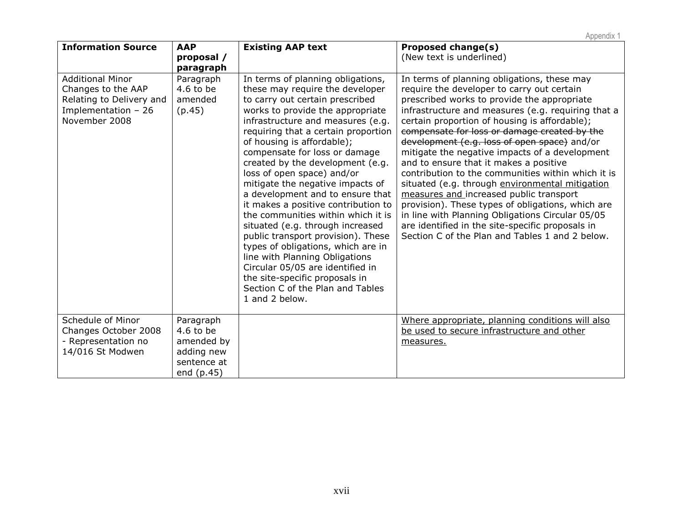| <b>Information Source</b>                                                                                         | <b>AAP</b><br>proposal /<br>paragraph                                             | <b>Existing AAP text</b>                                                                                                                                                                                                                                                                                                                                                                                                                                                                                                                                                                                                                                                                                                                                                                    | Proposed change(s)<br>(New text is underlined)                                                                                                                                                                                                                                                                                                                                                                                                                                                                                                                                                                                                                                                                                                                                                                  |
|-------------------------------------------------------------------------------------------------------------------|-----------------------------------------------------------------------------------|---------------------------------------------------------------------------------------------------------------------------------------------------------------------------------------------------------------------------------------------------------------------------------------------------------------------------------------------------------------------------------------------------------------------------------------------------------------------------------------------------------------------------------------------------------------------------------------------------------------------------------------------------------------------------------------------------------------------------------------------------------------------------------------------|-----------------------------------------------------------------------------------------------------------------------------------------------------------------------------------------------------------------------------------------------------------------------------------------------------------------------------------------------------------------------------------------------------------------------------------------------------------------------------------------------------------------------------------------------------------------------------------------------------------------------------------------------------------------------------------------------------------------------------------------------------------------------------------------------------------------|
| <b>Additional Minor</b><br>Changes to the AAP<br>Relating to Delivery and<br>Implementation - 26<br>November 2008 | Paragraph<br>$4.6$ to be<br>amended<br>(p.45)                                     | In terms of planning obligations,<br>these may require the developer<br>to carry out certain prescribed<br>works to provide the appropriate<br>infrastructure and measures (e.g.<br>requiring that a certain proportion<br>of housing is affordable);<br>compensate for loss or damage<br>created by the development (e.g.<br>loss of open space) and/or<br>mitigate the negative impacts of<br>a development and to ensure that<br>it makes a positive contribution to<br>the communities within which it is<br>situated (e.g. through increased<br>public transport provision). These<br>types of obligations, which are in<br>line with Planning Obligations<br>Circular 05/05 are identified in<br>the site-specific proposals in<br>Section C of the Plan and Tables<br>1 and 2 below. | In terms of planning obligations, these may<br>require the developer to carry out certain<br>prescribed works to provide the appropriate<br>infrastructure and measures (e.g. requiring that a<br>certain proportion of housing is affordable);<br>compensate for loss or damage created by the<br>development (e.g. loss of open space) and/or<br>mitigate the negative impacts of a development<br>and to ensure that it makes a positive<br>contribution to the communities within which it is<br>situated (e.g. through environmental mitigation<br>measures and increased public transport<br>provision). These types of obligations, which are<br>in line with Planning Obligations Circular 05/05<br>are identified in the site-specific proposals in<br>Section C of the Plan and Tables 1 and 2 below. |
| Schedule of Minor<br>Changes October 2008<br>- Representation no<br>14/016 St Modwen                              | Paragraph<br>$4.6$ to be<br>amended by<br>adding new<br>sentence at<br>end (p.45) |                                                                                                                                                                                                                                                                                                                                                                                                                                                                                                                                                                                                                                                                                                                                                                                             | Where appropriate, planning conditions will also<br>be used to secure infrastructure and other<br>measures.                                                                                                                                                                                                                                                                                                                                                                                                                                                                                                                                                                                                                                                                                                     |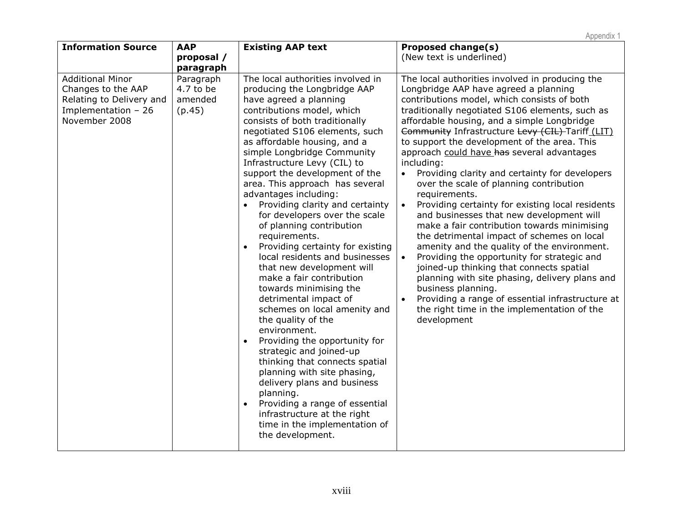| <b>Information Source</b>                                                                                          | <b>AAP</b><br>proposal /                                 | <b>Existing AAP text</b>                                                                                                                                                                                                                                                                                                                                                                                                                                                                                                                                                                                                                                                                                                                                                                                                                                                                                                                                                                                                                                                                                  | <b>Proposed change(s)</b><br>(New text is underlined)                                                                                                                                                                                                                                                                                                                                                                                                                                                                                                                                                                                                                                                                                                                                                                                                                                                                                                                                                                                                                              |
|--------------------------------------------------------------------------------------------------------------------|----------------------------------------------------------|-----------------------------------------------------------------------------------------------------------------------------------------------------------------------------------------------------------------------------------------------------------------------------------------------------------------------------------------------------------------------------------------------------------------------------------------------------------------------------------------------------------------------------------------------------------------------------------------------------------------------------------------------------------------------------------------------------------------------------------------------------------------------------------------------------------------------------------------------------------------------------------------------------------------------------------------------------------------------------------------------------------------------------------------------------------------------------------------------------------|------------------------------------------------------------------------------------------------------------------------------------------------------------------------------------------------------------------------------------------------------------------------------------------------------------------------------------------------------------------------------------------------------------------------------------------------------------------------------------------------------------------------------------------------------------------------------------------------------------------------------------------------------------------------------------------------------------------------------------------------------------------------------------------------------------------------------------------------------------------------------------------------------------------------------------------------------------------------------------------------------------------------------------------------------------------------------------|
| <b>Additional Minor</b><br>Changes to the AAP<br>Relating to Delivery and<br>Implementation $-26$<br>November 2008 | paragraph<br>Paragraph<br>4.7 to be<br>amended<br>(p.45) | The local authorities involved in<br>producing the Longbridge AAP<br>have agreed a planning<br>contributions model, which<br>consists of both traditionally<br>negotiated S106 elements, such<br>as affordable housing, and a<br>simple Longbridge Community<br>Infrastructure Levy (CIL) to<br>support the development of the<br>area. This approach has several<br>advantages including:<br>Providing clarity and certainty<br>for developers over the scale<br>of planning contribution<br>requirements.<br>Providing certainty for existing<br>$\bullet$<br>local residents and businesses<br>that new development will<br>make a fair contribution<br>towards minimising the<br>detrimental impact of<br>schemes on local amenity and<br>the quality of the<br>environment.<br>Providing the opportunity for<br>$\bullet$<br>strategic and joined-up<br>thinking that connects spatial<br>planning with site phasing,<br>delivery plans and business<br>planning.<br>Providing a range of essential<br>$\bullet$<br>infrastructure at the right<br>time in the implementation of<br>the development. | The local authorities involved in producing the<br>Longbridge AAP have agreed a planning<br>contributions model, which consists of both<br>traditionally negotiated S106 elements, such as<br>affordable housing, and a simple Longbridge<br>Community Infrastructure Levy (CIL) Tariff (LIT)<br>to support the development of the area. This<br>approach could have has several advantages<br>including:<br>Providing clarity and certainty for developers<br>$\bullet$<br>over the scale of planning contribution<br>requirements.<br>Providing certainty for existing local residents<br>$\bullet$<br>and businesses that new development will<br>make a fair contribution towards minimising<br>the detrimental impact of schemes on local<br>amenity and the quality of the environment.<br>Providing the opportunity for strategic and<br>joined-up thinking that connects spatial<br>planning with site phasing, delivery plans and<br>business planning.<br>Providing a range of essential infrastructure at<br>the right time in the implementation of the<br>development |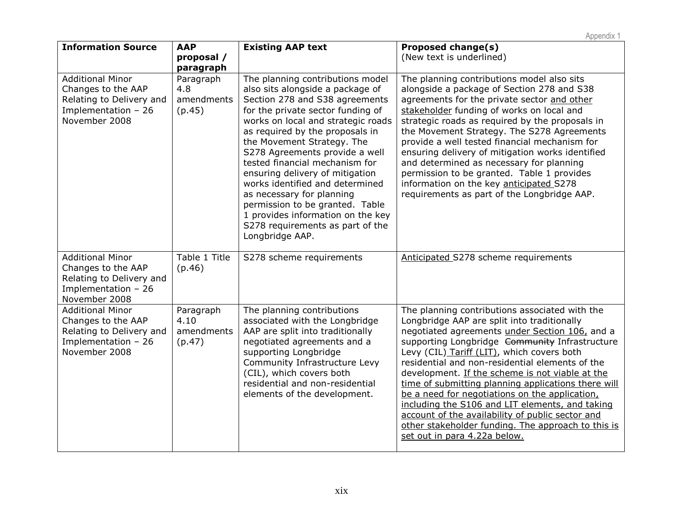| <b>Information Source</b>                                                                                          | <b>AAP</b>                                | <b>Existing AAP text</b>                                                                                                                                                                                                                                                                                                                                                                                                                                                                                                                                 | <b>Proposed change(s)</b>                                                                                                                                                                                                                                                                                                                                                                                                                                                                                                                                                                                                                                   |
|--------------------------------------------------------------------------------------------------------------------|-------------------------------------------|----------------------------------------------------------------------------------------------------------------------------------------------------------------------------------------------------------------------------------------------------------------------------------------------------------------------------------------------------------------------------------------------------------------------------------------------------------------------------------------------------------------------------------------------------------|-------------------------------------------------------------------------------------------------------------------------------------------------------------------------------------------------------------------------------------------------------------------------------------------------------------------------------------------------------------------------------------------------------------------------------------------------------------------------------------------------------------------------------------------------------------------------------------------------------------------------------------------------------------|
|                                                                                                                    | proposal /                                |                                                                                                                                                                                                                                                                                                                                                                                                                                                                                                                                                          | (New text is underlined)                                                                                                                                                                                                                                                                                                                                                                                                                                                                                                                                                                                                                                    |
|                                                                                                                    | paragraph                                 |                                                                                                                                                                                                                                                                                                                                                                                                                                                                                                                                                          |                                                                                                                                                                                                                                                                                                                                                                                                                                                                                                                                                                                                                                                             |
| <b>Additional Minor</b><br>Changes to the AAP<br>Relating to Delivery and<br>Implementation $-26$<br>November 2008 | Paragraph<br>4.8<br>amendments<br>(p.45)  | The planning contributions model<br>also sits alongside a package of<br>Section 278 and S38 agreements<br>for the private sector funding of<br>works on local and strategic roads<br>as required by the proposals in<br>the Movement Strategy. The<br>S278 Agreements provide a well<br>tested financial mechanism for<br>ensuring delivery of mitigation<br>works identified and determined<br>as necessary for planning<br>permission to be granted. Table<br>1 provides information on the key<br>S278 requirements as part of the<br>Longbridge AAP. | The planning contributions model also sits<br>alongside a package of Section 278 and S38<br>agreements for the private sector and other<br>stakeholder funding of works on local and<br>strategic roads as required by the proposals in<br>the Movement Strategy. The S278 Agreements<br>provide a well tested financial mechanism for<br>ensuring delivery of mitigation works identified<br>and determined as necessary for planning<br>permission to be granted. Table 1 provides<br>information on the key anticipated S278<br>requirements as part of the Longbridge AAP.                                                                              |
| <b>Additional Minor</b><br>Changes to the AAP<br>Relating to Delivery and<br>Implementation $-26$<br>November 2008 | Table 1 Title<br>(p.46)                   | S278 scheme requirements                                                                                                                                                                                                                                                                                                                                                                                                                                                                                                                                 | Anticipated S278 scheme requirements                                                                                                                                                                                                                                                                                                                                                                                                                                                                                                                                                                                                                        |
| <b>Additional Minor</b><br>Changes to the AAP<br>Relating to Delivery and<br>Implementation $-26$<br>November 2008 | Paragraph<br>4.10<br>amendments<br>(p.47) | The planning contributions<br>associated with the Longbridge<br>AAP are split into traditionally<br>negotiated agreements and a<br>supporting Longbridge<br>Community Infrastructure Levy<br>(CIL), which covers both<br>residential and non-residential<br>elements of the development.                                                                                                                                                                                                                                                                 | The planning contributions associated with the<br>Longbridge AAP are split into traditionally<br>negotiated agreements under Section 106, and a<br>supporting Longbridge Community Infrastructure<br>Levy (CIL) Tariff (LIT), which covers both<br>residential and non-residential elements of the<br>development. If the scheme is not viable at the<br>time of submitting planning applications there will<br>be a need for negotiations on the application,<br>including the S106 and LIT elements, and taking<br>account of the availability of public sector and<br>other stakeholder funding. The approach to this is<br>set out in para 4.22a below. |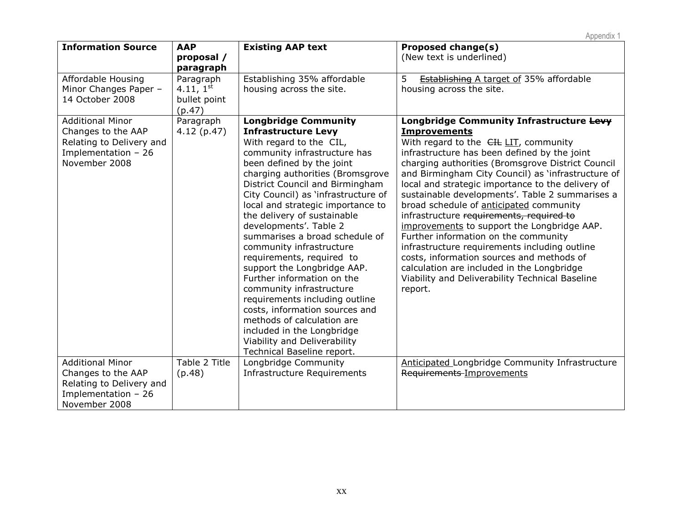| <b>Information Source</b>                                                                                         | <b>AAP</b><br>proposal /<br>paragraph                 | <b>Existing AAP text</b>                                                                                                                                                                                                                                                                                                                                                                                                                                                                                                                                                                                                                                                                                                                        | <b>Proposed change(s)</b><br>(New text is underlined)                                                                                                                                                                                                                                                                                                                                                                                                                                                                                                                                                                                                                                                                                                               |
|-------------------------------------------------------------------------------------------------------------------|-------------------------------------------------------|-------------------------------------------------------------------------------------------------------------------------------------------------------------------------------------------------------------------------------------------------------------------------------------------------------------------------------------------------------------------------------------------------------------------------------------------------------------------------------------------------------------------------------------------------------------------------------------------------------------------------------------------------------------------------------------------------------------------------------------------------|---------------------------------------------------------------------------------------------------------------------------------------------------------------------------------------------------------------------------------------------------------------------------------------------------------------------------------------------------------------------------------------------------------------------------------------------------------------------------------------------------------------------------------------------------------------------------------------------------------------------------------------------------------------------------------------------------------------------------------------------------------------------|
| Affordable Housing<br>Minor Changes Paper -<br>14 October 2008                                                    | Paragraph<br>4.11, $1^{st}$<br>bullet point<br>(p.47) | Establishing 35% affordable<br>housing across the site.                                                                                                                                                                                                                                                                                                                                                                                                                                                                                                                                                                                                                                                                                         | 5<br><b>Establishing A target of 35% affordable</b><br>housing across the site.                                                                                                                                                                                                                                                                                                                                                                                                                                                                                                                                                                                                                                                                                     |
| <b>Additional Minor</b><br>Changes to the AAP<br>Relating to Delivery and<br>Implementation - 26<br>November 2008 | Paragraph<br>4.12(p.47)                               | <b>Longbridge Community</b><br><b>Infrastructure Levy</b><br>With regard to the CIL,<br>community infrastructure has<br>been defined by the joint<br>charging authorities (Bromsgrove<br>District Council and Birmingham<br>City Council) as 'infrastructure of<br>local and strategic importance to<br>the delivery of sustainable<br>developments'. Table 2<br>summarises a broad schedule of<br>community infrastructure<br>requirements, required to<br>support the Longbridge AAP.<br>Further information on the<br>community infrastructure<br>requirements including outline<br>costs, information sources and<br>methods of calculation are<br>included in the Longbridge<br>Viability and Deliverability<br>Technical Baseline report. | Longbridge Community Infrastructure Levy<br><b>Improvements</b><br>With regard to the CIL LIT, community<br>infrastructure has been defined by the joint<br>charging authorities (Bromsgrove District Council<br>and Birmingham City Council) as 'infrastructure of<br>local and strategic importance to the delivery of<br>sustainable developments'. Table 2 summarises a<br>broad schedule of anticipated community<br>infrastructure requirements, required to<br>improvements to support the Longbridge AAP.<br>Further information on the community<br>infrastructure requirements including outline<br>costs, information sources and methods of<br>calculation are included in the Longbridge<br>Viability and Deliverability Technical Baseline<br>report. |
| <b>Additional Minor</b><br>Changes to the AAP<br>Relating to Delivery and<br>Implementation - 26<br>November 2008 | Table 2 Title<br>(p.48)                               | Longbridge Community<br><b>Infrastructure Requirements</b>                                                                                                                                                                                                                                                                                                                                                                                                                                                                                                                                                                                                                                                                                      | Anticipated Longbridge Community Infrastructure<br>Requirements-Improvements                                                                                                                                                                                                                                                                                                                                                                                                                                                                                                                                                                                                                                                                                        |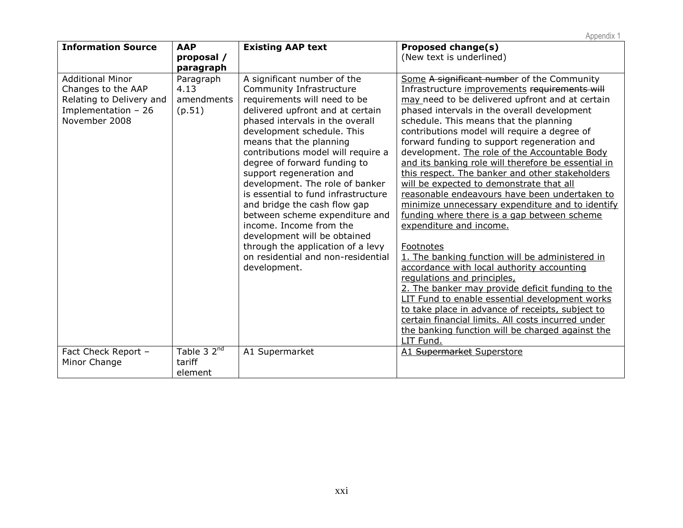|                                                                                                                    |                                              |                                                                                                                                                                                                                                                                                                                                                                                                                                                                                                                                                                                                                             | Appendix 1                                                                                                                                                                                                                                                                                                                                                                                                                                                                                                                                                                                                                                                                                                                                                                                                                                                                                                                                                                                                                                                                                                                                                 |
|--------------------------------------------------------------------------------------------------------------------|----------------------------------------------|-----------------------------------------------------------------------------------------------------------------------------------------------------------------------------------------------------------------------------------------------------------------------------------------------------------------------------------------------------------------------------------------------------------------------------------------------------------------------------------------------------------------------------------------------------------------------------------------------------------------------------|------------------------------------------------------------------------------------------------------------------------------------------------------------------------------------------------------------------------------------------------------------------------------------------------------------------------------------------------------------------------------------------------------------------------------------------------------------------------------------------------------------------------------------------------------------------------------------------------------------------------------------------------------------------------------------------------------------------------------------------------------------------------------------------------------------------------------------------------------------------------------------------------------------------------------------------------------------------------------------------------------------------------------------------------------------------------------------------------------------------------------------------------------------|
| <b>Information Source</b>                                                                                          | <b>AAP</b><br>proposal /<br>paragraph        | <b>Existing AAP text</b>                                                                                                                                                                                                                                                                                                                                                                                                                                                                                                                                                                                                    | <b>Proposed change(s)</b><br>(New text is underlined)                                                                                                                                                                                                                                                                                                                                                                                                                                                                                                                                                                                                                                                                                                                                                                                                                                                                                                                                                                                                                                                                                                      |
| <b>Additional Minor</b><br>Changes to the AAP<br>Relating to Delivery and<br>Implementation $-26$<br>November 2008 | Paragraph<br>4.13<br>amendments<br>(p.51)    | A significant number of the<br>Community Infrastructure<br>requirements will need to be<br>delivered upfront and at certain<br>phased intervals in the overall<br>development schedule. This<br>means that the planning<br>contributions model will require a<br>degree of forward funding to<br>support regeneration and<br>development. The role of banker<br>is essential to fund infrastructure<br>and bridge the cash flow gap<br>between scheme expenditure and<br>income. Income from the<br>development will be obtained<br>through the application of a levy<br>on residential and non-residential<br>development. | Some A significant number of the Community<br>Infrastructure improvements requirements will<br>may need to be delivered upfront and at certain<br>phased intervals in the overall development<br>schedule. This means that the planning<br>contributions model will require a degree of<br>forward funding to support regeneration and<br>development. The role of the Accountable Body<br>and its banking role will therefore be essential in<br>this respect. The banker and other stakeholders<br>will be expected to demonstrate that all<br>reasonable endeavours have been undertaken to<br>minimize unnecessary expenditure and to identify<br>funding where there is a gap between scheme<br>expenditure and income.<br>Footnotes<br>1. The banking function will be administered in<br>accordance with local authority accounting<br>regulations and principles,<br>2. The banker may provide deficit funding to the<br>LIT Fund to enable essential development works<br>to take place in advance of receipts, subject to<br>certain financial limits. All costs incurred under<br>the banking function will be charged against the<br>LIT Fund. |
| Fact Check Report -<br>Minor Change                                                                                | Table 3 2 <sup>nd</sup><br>tariff<br>element | A1 Supermarket                                                                                                                                                                                                                                                                                                                                                                                                                                                                                                                                                                                                              | A1 Supermarket Superstore                                                                                                                                                                                                                                                                                                                                                                                                                                                                                                                                                                                                                                                                                                                                                                                                                                                                                                                                                                                                                                                                                                                                  |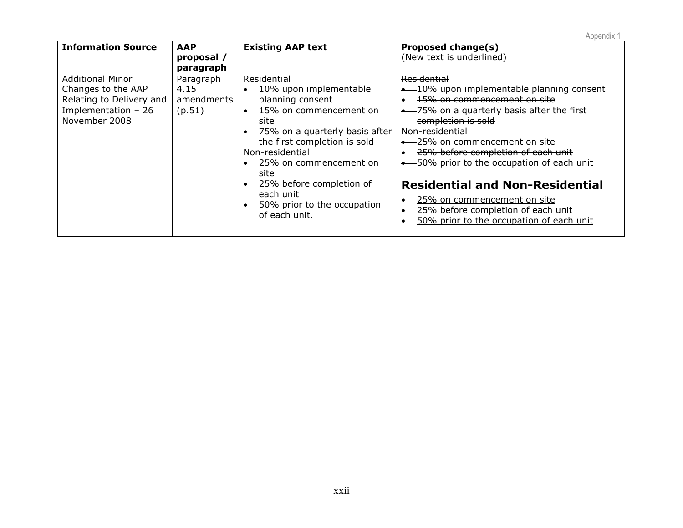| <b>Information Source</b>                                                                                          | <b>AAP</b><br>proposal /<br>paragraph     | <b>Existing AAP text</b>                                                                                                                                                                                                                                                                                                 | Proposed change(s)<br>(New text is underlined)                                                                                                                                                                                                                                                                                                                                                                                                                                                     |
|--------------------------------------------------------------------------------------------------------------------|-------------------------------------------|--------------------------------------------------------------------------------------------------------------------------------------------------------------------------------------------------------------------------------------------------------------------------------------------------------------------------|----------------------------------------------------------------------------------------------------------------------------------------------------------------------------------------------------------------------------------------------------------------------------------------------------------------------------------------------------------------------------------------------------------------------------------------------------------------------------------------------------|
| <b>Additional Minor</b><br>Changes to the AAP<br>Relating to Delivery and<br>Implementation $-26$<br>November 2008 | Paragraph<br>4.15<br>amendments<br>(p.51) | Residential<br>10% upon implementable<br>planning consent<br>15% on commencement on<br>$\bullet$<br>site<br>75% on a quarterly basis after<br>the first completion is sold<br>Non-residential<br>25% on commencement on<br>site<br>25% before completion of<br>each unit<br>50% prior to the occupation<br>of each unit. | <b>Residential</b><br>10% upon implementable planning consent<br>15% on commencement on site<br>75% on a quarterly basis after the first<br>completion is sold<br>Non-residential<br><del>25% on commencement on site</del><br>25% before completion of each unit<br>50% prior to the occupation of each unit<br><b>Residential and Non-Residential</b><br>25% on commencement on site<br>$\bullet$<br>25% before completion of each unit<br>$\bullet$<br>50% prior to the occupation of each unit |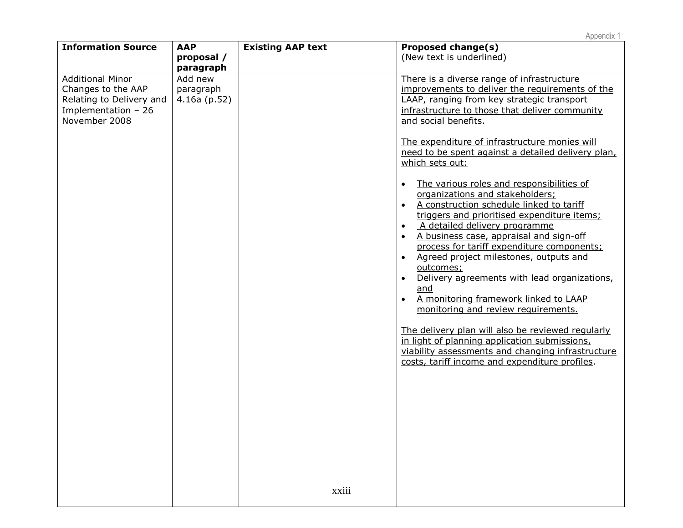| <b>Information Source</b>                                                                                          | <b>AAP</b>                                          | <b>Existing AAP text</b> | Proposed change(s)                                                                                                                                                                                                                                                                                                                                                                                                                                                                                                                                                                                                                                                                                                                                                                                                                                                                                                                                                                                                                                                                                                                                         |
|--------------------------------------------------------------------------------------------------------------------|-----------------------------------------------------|--------------------------|------------------------------------------------------------------------------------------------------------------------------------------------------------------------------------------------------------------------------------------------------------------------------------------------------------------------------------------------------------------------------------------------------------------------------------------------------------------------------------------------------------------------------------------------------------------------------------------------------------------------------------------------------------------------------------------------------------------------------------------------------------------------------------------------------------------------------------------------------------------------------------------------------------------------------------------------------------------------------------------------------------------------------------------------------------------------------------------------------------------------------------------------------------|
|                                                                                                                    | proposal /                                          |                          | (New text is underlined)                                                                                                                                                                                                                                                                                                                                                                                                                                                                                                                                                                                                                                                                                                                                                                                                                                                                                                                                                                                                                                                                                                                                   |
| <b>Additional Minor</b><br>Changes to the AAP<br>Relating to Delivery and<br>Implementation $-26$<br>November 2008 | paragraph<br>Add new<br>paragraph<br>$4.16a$ (p.52) | xxiii                    | There is a diverse range of infrastructure<br>improvements to deliver the requirements of the<br>LAAP, ranging from key strategic transport<br>infrastructure to those that deliver community<br>and social benefits.<br>The expenditure of infrastructure monies will<br>need to be spent against a detailed delivery plan,<br>which sets out:<br>The various roles and responsibilities of<br>$\bullet$<br>organizations and stakeholders;<br>A construction schedule linked to tariff<br>$\bullet$<br>triggers and prioritised expenditure items;<br>A detailed delivery programme<br>$\bullet$<br>A business case, appraisal and sign-off<br>$\bullet$<br>process for tariff expenditure components;<br>Agreed project milestones, outputs and<br>$\bullet$<br>outcomes;<br>Delivery agreements with lead organizations,<br>$\bullet$<br>and<br>A monitoring framework linked to LAAP<br>$\bullet$<br>monitoring and review requirements.<br>The delivery plan will also be reviewed regularly<br>in light of planning application submissions,<br>viability assessments and changing infrastructure<br>costs, tariff income and expenditure profiles. |
|                                                                                                                    |                                                     |                          |                                                                                                                                                                                                                                                                                                                                                                                                                                                                                                                                                                                                                                                                                                                                                                                                                                                                                                                                                                                                                                                                                                                                                            |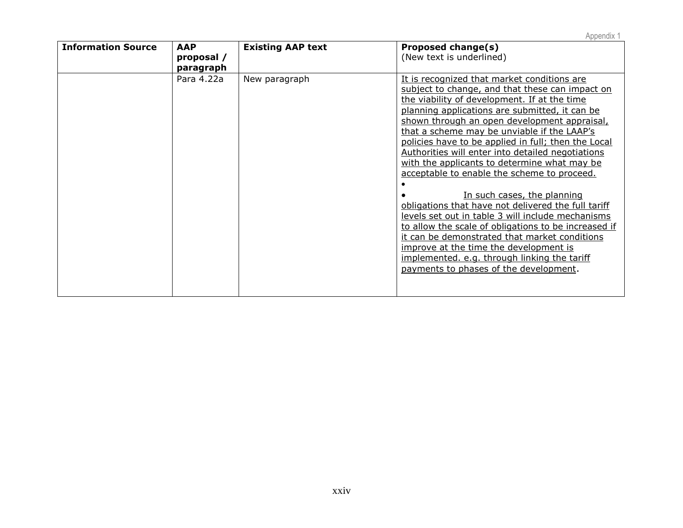| <b>Information Source</b> | <b>AAP</b> | <b>Existing AAP text</b> | <i>Fipponun</i><br>Proposed change(s)                |
|---------------------------|------------|--------------------------|------------------------------------------------------|
|                           | proposal / |                          | (New text is underlined)                             |
|                           |            |                          |                                                      |
|                           | paragraph  |                          |                                                      |
|                           | Para 4.22a | New paragraph            | It is recognized that market conditions are          |
|                           |            |                          | subject to change, and that these can impact on      |
|                           |            |                          | the viability of development. If at the time         |
|                           |            |                          | planning applications are submitted, it can be       |
|                           |            |                          | shown through an open development appraisal,         |
|                           |            |                          | that a scheme may be unviable if the LAAP's          |
|                           |            |                          | policies have to be applied in full; then the Local  |
|                           |            |                          | Authorities will enter into detailed negotiations    |
|                           |            |                          | with the applicants to determine what may be         |
|                           |            |                          | acceptable to enable the scheme to proceed.          |
|                           |            |                          |                                                      |
|                           |            |                          | In such cases, the planning                          |
|                           |            |                          | obligations that have not delivered the full tariff  |
|                           |            |                          | levels set out in table 3 will include mechanisms    |
|                           |            |                          | to allow the scale of obligations to be increased if |
|                           |            |                          | it can be demonstrated that market conditions        |
|                           |            |                          | improve at the time the development is               |
|                           |            |                          | implemented. e.g. through linking the tariff         |
|                           |            |                          | payments to phases of the development.               |
|                           |            |                          |                                                      |
|                           |            |                          |                                                      |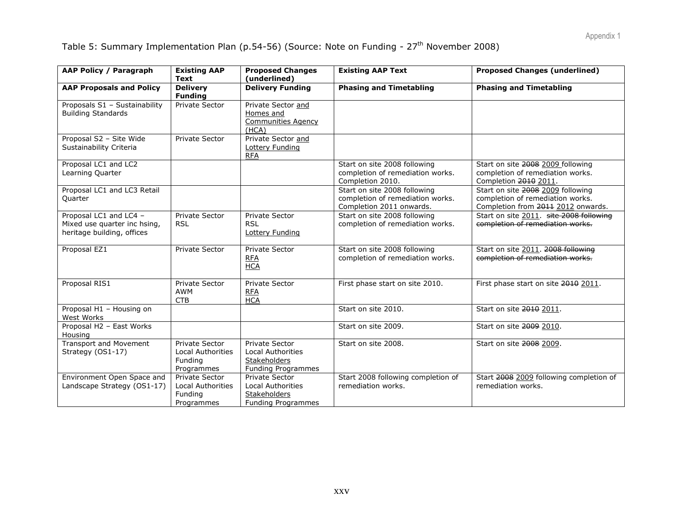# Table 5: Summary Implementation Plan (p.54-56) (Source: Note on Funding - 27<sup>th</sup> November 2008)

| <b>AAP Policy / Paragraph</b>                                                        | <b>Existing AAP</b><br>Text                                                | <b>Proposed Changes</b><br>(underlined)                                                 | <b>Existing AAP Text</b>                                                                     | <b>Proposed Changes (underlined)</b>                                                                        |
|--------------------------------------------------------------------------------------|----------------------------------------------------------------------------|-----------------------------------------------------------------------------------------|----------------------------------------------------------------------------------------------|-------------------------------------------------------------------------------------------------------------|
| <b>AAP Proposals and Policy</b>                                                      | <b>Delivery</b><br><b>Funding</b>                                          | <b>Delivery Funding</b>                                                                 | <b>Phasing and Timetabling</b>                                                               | <b>Phasing and Timetabling</b>                                                                              |
| Proposals S1 - Sustainability<br><b>Building Standards</b>                           | <b>Private Sector</b>                                                      | Private Sector and<br>Homes and<br><b>Communities Agency</b><br>(HCA)                   |                                                                                              |                                                                                                             |
| Proposal S2 - Site Wide<br>Sustainability Criteria                                   | <b>Private Sector</b>                                                      | Private Sector and<br>Lottery Funding<br><b>RFA</b>                                     |                                                                                              |                                                                                                             |
| Proposal LC1 and LC2<br>Learning Quarter                                             |                                                                            |                                                                                         | Start on site 2008 following<br>completion of remediation works.<br>Completion 2010.         | Start on site 2008 2009 following<br>completion of remediation works.<br>Completion 2010 2011.              |
| Proposal LC1 and LC3 Retail<br>Quarter                                               |                                                                            |                                                                                         | Start on site 2008 following<br>completion of remediation works.<br>Completion 2011 onwards. | Start on site 2008 2009 following<br>completion of remediation works.<br>Completion from 2011 2012 onwards. |
| Proposal LC1 and LC4 -<br>Mixed use quarter inc hsing,<br>heritage building, offices | <b>Private Sector</b><br><b>RSL</b>                                        | Private Sector<br><b>RSL</b><br>Lottery Funding                                         | Start on site 2008 following<br>completion of remediation works.                             | Start on site 2011. site 2008 following<br>completion of remediation works.                                 |
| Proposal EZ1                                                                         | Private Sector                                                             | Private Sector<br><b>RFA</b><br><b>HCA</b>                                              | Start on site 2008 following<br>completion of remediation works.                             | Start on site 2011. 2008 following<br>completion of remediation works.                                      |
| Proposal RIS1                                                                        | <b>Private Sector</b><br>AWM<br><b>CTB</b>                                 | Private Sector<br><b>RFA</b><br><b>HCA</b>                                              | First phase start on site 2010.                                                              | First phase start on site 2010 2011.                                                                        |
| Proposal $H1 -$ Housing on<br>West Works                                             |                                                                            |                                                                                         | Start on site 2010.                                                                          | Start on site 2010 2011.                                                                                    |
| Proposal H2 - East Works<br>Housing                                                  |                                                                            |                                                                                         | Start on site 2009.                                                                          | Start on site 2009 2010.                                                                                    |
| <b>Transport and Movement</b><br>Strategy (OS1-17)                                   | <b>Private Sector</b><br><b>Local Authorities</b><br>Funding<br>Programmes | Private Sector<br>Local Authorities<br>Stakeholders<br>Funding Programmes               | Start on site 2008.                                                                          | Start on site 2008 2009.                                                                                    |
| Environment Open Space and<br>Landscape Strategy (OS1-17)                            | Private Sector<br><b>Local Authorities</b><br>Funding<br>Programmes        | Private Sector<br><b>Local Authorities</b><br><b>Stakeholders</b><br>Funding Programmes | Start 2008 following completion of<br>remediation works.                                     | Start 2008 2009 following completion of<br>remediation works.                                               |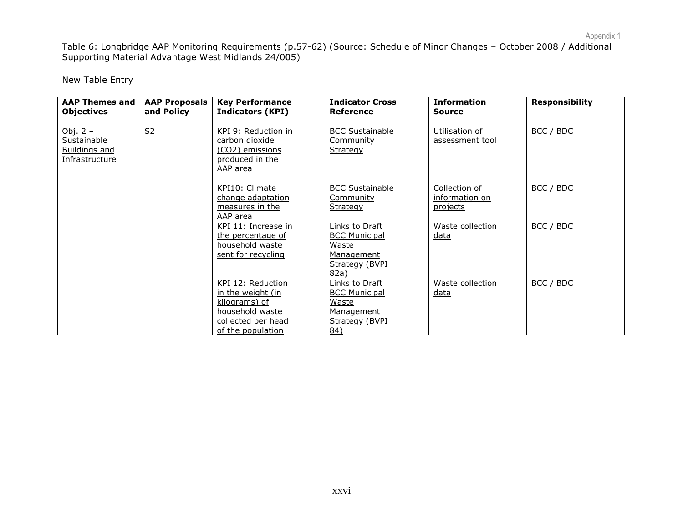Table 6: Longbridge AAP Monitoring Requirements (p.57-62) (Source: Schedule of Minor Changes – October 2008 / Additional Supporting Material Advantage West Midlands 24/005)

#### New Table Entry

| <b>AAP Themes and I</b><br><b>Objectives</b>                               | <b>AAP Proposals</b><br>and Policy | <b>Key Performance</b><br><b>Indicators (KPI)</b>                                                                     | <b>Indicator Cross</b><br>Reference                                                             | <b>Information</b><br><b>Source</b>         | <b>Responsibility</b> |
|----------------------------------------------------------------------------|------------------------------------|-----------------------------------------------------------------------------------------------------------------------|-------------------------------------------------------------------------------------------------|---------------------------------------------|-----------------------|
| Obj. $2 -$<br>Sustainable<br><b>Buildings and</b><br><u>Infrastructure</u> | S <sub>2</sub>                     | KPI 9: Reduction in<br><u>carbon dioxide</u><br><u>(CO2) emissions</u><br>produced in the<br>AAP area                 | <b>BCC Sustainable</b><br><b>Community</b><br>Strategy                                          | Utilisation of<br>assessment tool           | BCC / BDC             |
|                                                                            |                                    | KPI10: Climate<br>change adaptation<br>measures in the<br>AAP area                                                    | <b>BCC Sustainable</b><br><b>Community</b><br>Strategy                                          | Collection of<br>information on<br>projects | BCC / BDC             |
|                                                                            |                                    | KPI 11: Increase in<br>the percentage of<br>household waste<br>sent for recycling                                     | <b>Links to Draft</b><br><b>BCC Municipal</b><br>Waste<br>Management<br>Strategy (BVPI)<br>82a) | Waste collection<br>data                    | BCC / BDC             |
|                                                                            |                                    | KPI 12: Reduction<br>in the weight (in<br>kilograms) of<br>household waste<br>collected per head<br>of the population | Links to Draft<br><b>BCC Municipal</b><br>Waste<br>Management<br>Strategy (BVPI)<br>84)         | Waste collection<br><u>data</u>             | BCC / BDC             |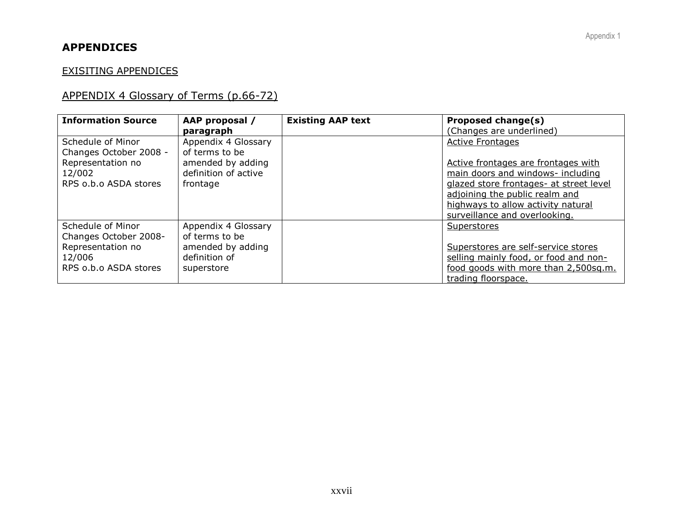# **APPENDICES**

### EXISITING APPENDICES

# APPENDIX 4 Glossary of Terms (p.66-72)

| <b>Information Source</b>                                                                           | AAP proposal /                                                                                              | <b>Existing AAP text</b> | Proposed change(s)                                                                                                                                                                                                                                 |
|-----------------------------------------------------------------------------------------------------|-------------------------------------------------------------------------------------------------------------|--------------------------|----------------------------------------------------------------------------------------------------------------------------------------------------------------------------------------------------------------------------------------------------|
| Schedule of Minor<br>Changes October 2008 -<br>Representation no<br>12/002<br>RPS o.b.o ASDA stores | paragraph<br>Appendix 4 Glossary<br>of terms to be<br>amended by adding<br>definition of active<br>frontage |                          | (Changes are underlined)<br><b>Active Frontages</b><br>Active frontages are frontages with<br>main doors and windows- including<br>glazed store frontages- at street level<br>adjoining the public realm and<br>highways to allow activity natural |
|                                                                                                     |                                                                                                             |                          | surveillance and overlooking.                                                                                                                                                                                                                      |
| Schedule of Minor<br>Changes October 2008-<br>Representation no<br>12/006<br>RPS o.b.o ASDA stores  | Appendix 4 Glossary<br>of terms to be<br>amended by adding<br>definition of<br>superstore                   |                          | Superstores<br>Superstores are self-service stores<br>selling mainly food, or food and non-<br>food goods with more than 2,500sq.m.<br>trading floorspace.                                                                                         |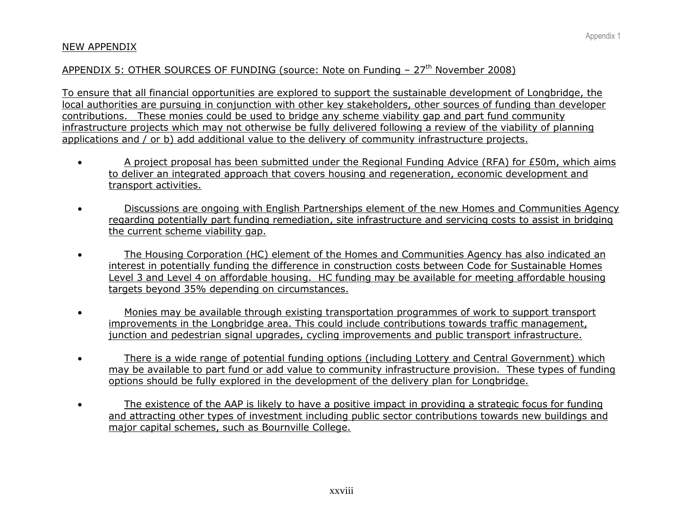### NEW APPENDIX

### APPENDIX 5: OTHER SOURCES OF FUNDING (source: Note on Funding  $-27<sup>th</sup>$  November 2008)

To ensure that all financial opportunities are explored to support the sustainable development of Longbridge, the local authorities are pursuing in conjunction with other key stakeholders, other sources of funding than developer contributions. These monies could be used to bridge any scheme viability gap and part fund community infrastructure projects which may not otherwise be fully delivered following a review of the viability of planning applications and / or b) add additional value to the delivery of community infrastructure projects.

- A project proposal has been submitted under the Regional Funding Advice (RFA) for £50m, which aims to deliver an integrated approach that covers housing and regeneration, economic development and transport activities.
- Discussions are ongoing with English Partnerships element of the new Homes and Communities Agency regarding potentially part funding remediation, site infrastructure and servicing costs to assist in bridging the current scheme viability gap.
- The Housing Corporation (HC) element of the Homes and Communities Agency has also indicated an interest in potentially funding the difference in construction costs between Code for Sustainable Homes Level 3 and Level 4 on affordable housing. HC funding may be available for meeting affordable housing targets beyond 35% depending on circumstances.
- Monies may be available through existing transportation programmes of work to support transport improvements in the Longbridge area. This could include contributions towards traffic management, junction and pedestrian signal upgrades, cycling improvements and public transport infrastructure.
- There is a wide range of potential funding options (including Lottery and Central Government) which may be available to part fund or add value to community infrastructure provision. These types of funding options should be fully explored in the development of the delivery plan for Longbridge.
- The existence of the AAP is likely to have a positive impact in providing a strategic focus for funding and attracting other types of investment including public sector contributions towards new buildings and major capital schemes, such as Bournville College.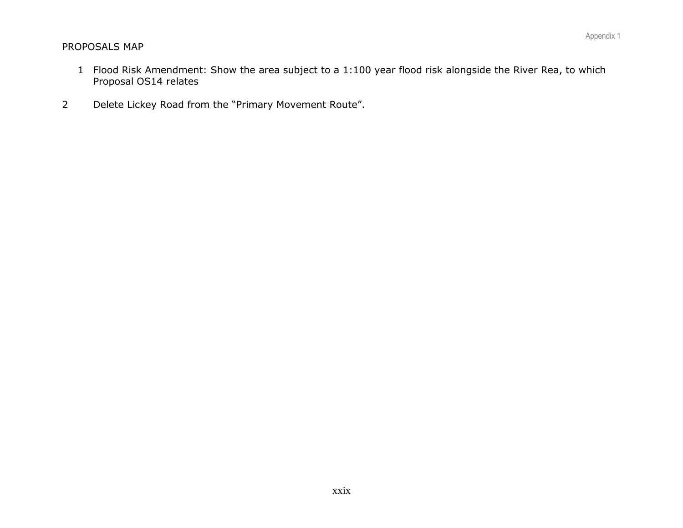### PROPOSALS MAP

- 1 Flood Risk Amendment: Show the area subject to a 1:100 year flood risk alongside the River Rea, to which Proposal OS14 relates
- 2 Delete Lickey Road from the "Primary Movement Route".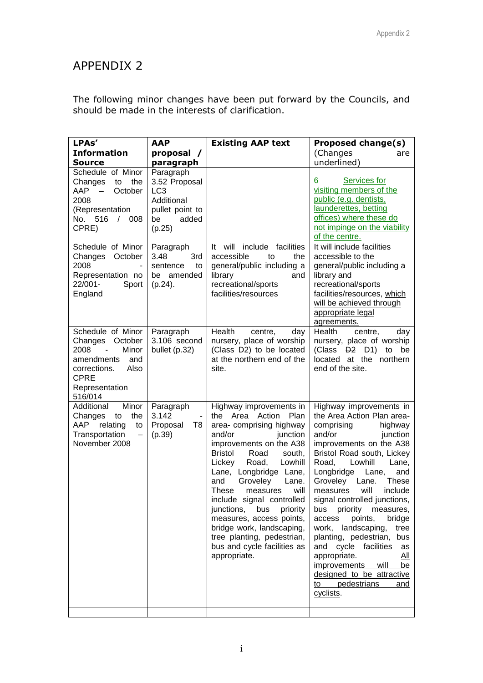# APPENDIX 2

The following minor changes have been put forward by the Councils, and should be made in the interests of clarification.

| LPAs'                                                                                                                                                                         | <b>AAP</b>                                                                                 | <b>Existing AAP text</b>                                                                                                                                                                                                                                                                                                                                                                                                                                                                    | <b>Proposed change(s)</b>                                                                                                                                                                                                                                                                                                                                                                                                                                                                                                                                                                           |
|-------------------------------------------------------------------------------------------------------------------------------------------------------------------------------|--------------------------------------------------------------------------------------------|---------------------------------------------------------------------------------------------------------------------------------------------------------------------------------------------------------------------------------------------------------------------------------------------------------------------------------------------------------------------------------------------------------------------------------------------------------------------------------------------|-----------------------------------------------------------------------------------------------------------------------------------------------------------------------------------------------------------------------------------------------------------------------------------------------------------------------------------------------------------------------------------------------------------------------------------------------------------------------------------------------------------------------------------------------------------------------------------------------------|
| <b>Information</b>                                                                                                                                                            | proposal /                                                                                 |                                                                                                                                                                                                                                                                                                                                                                                                                                                                                             | (Changes<br>are                                                                                                                                                                                                                                                                                                                                                                                                                                                                                                                                                                                     |
| Source<br>Schedule of Minor                                                                                                                                                   | paragraph<br>Paragraph                                                                     |                                                                                                                                                                                                                                                                                                                                                                                                                                                                                             | underlined)                                                                                                                                                                                                                                                                                                                                                                                                                                                                                                                                                                                         |
| Changes<br>to<br>the<br>AAP<br>October<br>$-$<br>2008<br>(Representation<br>No. 516<br>$/$ 008<br>CPRE)                                                                       | 3.52 Proposal<br>LC <sub>3</sub><br>Additional<br>pullet point to<br>added<br>be<br>(p.25) |                                                                                                                                                                                                                                                                                                                                                                                                                                                                                             | Services for<br>6.<br>visiting members of the<br>public (e.g. dentists,<br>launderettes, betting<br>offices) where these do<br>not impinge on the viability<br>of the centre.                                                                                                                                                                                                                                                                                                                                                                                                                       |
| Schedule of Minor<br>Changes October<br>2008<br>Representation no<br>22/001-<br>Sport<br>England                                                                              | Paragraph<br>3.48<br>3rd<br>sentence<br>to<br>be amended<br>$(p.24)$ .                     | include facilities<br>It will<br>accessible<br>to<br>the<br>general/public including a<br>library<br>and<br>recreational/sports<br>facilities/resources                                                                                                                                                                                                                                                                                                                                     | It will include facilities<br>accessible to the<br>general/public including a<br>library and<br>recreational/sports<br>facilities/resources, which<br>will be achieved through<br>appropriate legal<br>agreements.                                                                                                                                                                                                                                                                                                                                                                                  |
| Schedule of Minor<br>Changes<br>October<br>2008<br>Minor<br>$\overline{\phantom{a}}$<br>amendments<br>and<br>corrections.<br>Also<br><b>CPRE</b><br>Representation<br>516/014 | Paragraph<br>3.106 second<br>bullet (p.32)                                                 | Health<br>centre,<br>day<br>nursery, place of worship<br>(Class D2) to be located<br>at the northern end of the<br>site.                                                                                                                                                                                                                                                                                                                                                                    | Health<br>centre,<br>day<br>nursery, place of worship<br>(Class D <sub>2</sub> D <sub>1</sub> )<br>be<br>to<br>located at the northern<br>end of the site.                                                                                                                                                                                                                                                                                                                                                                                                                                          |
| Additional<br>Minor<br>the<br>Changes<br>to<br>AAP<br>relating<br>to<br>Transportation<br>$\overline{\phantom{m}}$<br>November 2008                                           | Paragraph<br>3.142<br>$\blacksquare$<br>Proposal<br>T8<br>(p.39)                           | Highway improvements in<br>the Area<br>Action<br>Plan<br>area- comprising highway<br>and/or<br>junction<br>improvements on the A38<br><b>Bristol</b><br>Road<br>south,<br>Lowhill<br>Lickey<br>Road,<br>Lane, Longbridge Lane,<br>Groveley<br>Lane.<br>and<br>will<br>These<br>measures<br>include signal controlled<br>junctions,<br>bus<br>priority<br>measures, access points,<br>bridge work, landscaping,<br>tree planting, pedestrian,<br>bus and cycle facilities as<br>appropriate. | Highway improvements in<br>the Area Action Plan area-<br>comprising<br>highway<br>and/or<br>junction<br>improvements on the A38<br>Bristol Road south, Lickey<br>Lowhill<br>Road,<br>Lane,<br>Longbridge<br>Lane,<br>and<br>Groveley Lane.<br><b>These</b><br>will<br>measures<br>include<br>signal controlled junctions,<br>bus priority measures,<br>points,<br>access<br>bridge<br>work, landscaping,<br>tree<br>planting, pedestrian,<br>bus<br>and cycle facilities<br>as<br>appropriate.<br>All<br>improvements will<br>be<br>designed to be attractive<br>to pedestrians<br>and<br>cyclists. |
|                                                                                                                                                                               |                                                                                            |                                                                                                                                                                                                                                                                                                                                                                                                                                                                                             |                                                                                                                                                                                                                                                                                                                                                                                                                                                                                                                                                                                                     |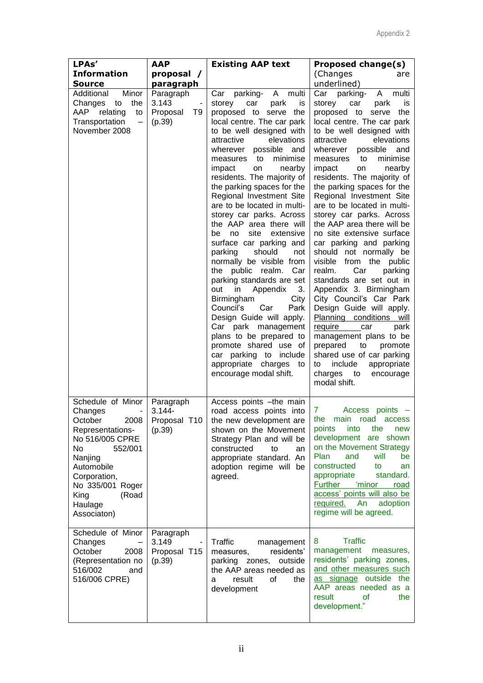| LPAs'                                                                                                                                                                                                           | <b>AAP</b><br><b>Existing AAP text</b>         | <b>Proposed change(s)</b>                                                                                                                                                                                                                                                                                                                                                                                                                                                                                                                                                                                                                                                                                                                                                                                                                                                                     |                                                                                                                                                                                                                                                                                                                                                                                                                                                                                                                                                                                                                                                                                                                                                                                                                                                                                                                              |
|-----------------------------------------------------------------------------------------------------------------------------------------------------------------------------------------------------------------|------------------------------------------------|-----------------------------------------------------------------------------------------------------------------------------------------------------------------------------------------------------------------------------------------------------------------------------------------------------------------------------------------------------------------------------------------------------------------------------------------------------------------------------------------------------------------------------------------------------------------------------------------------------------------------------------------------------------------------------------------------------------------------------------------------------------------------------------------------------------------------------------------------------------------------------------------------|------------------------------------------------------------------------------------------------------------------------------------------------------------------------------------------------------------------------------------------------------------------------------------------------------------------------------------------------------------------------------------------------------------------------------------------------------------------------------------------------------------------------------------------------------------------------------------------------------------------------------------------------------------------------------------------------------------------------------------------------------------------------------------------------------------------------------------------------------------------------------------------------------------------------------|
| <b>Information</b>                                                                                                                                                                                              | proposal /                                     |                                                                                                                                                                                                                                                                                                                                                                                                                                                                                                                                                                                                                                                                                                                                                                                                                                                                                               | (Changes<br>are                                                                                                                                                                                                                                                                                                                                                                                                                                                                                                                                                                                                                                                                                                                                                                                                                                                                                                              |
| Source                                                                                                                                                                                                          | paragraph                                      |                                                                                                                                                                                                                                                                                                                                                                                                                                                                                                                                                                                                                                                                                                                                                                                                                                                                                               | underlined)                                                                                                                                                                                                                                                                                                                                                                                                                                                                                                                                                                                                                                                                                                                                                                                                                                                                                                                  |
| Additional<br>Minor<br>Changes<br>the<br>to<br>AAP<br>relating<br>to<br>Transportation<br>$\overline{\phantom{0}}$<br>November 2008                                                                             | Paragraph<br>3.143<br>Proposal<br>T9<br>(p.39) | parking-<br>A multi<br>Car<br>park<br>storey<br>car<br>İS<br>proposed to serve the<br>local centre. The car park<br>to be well designed with<br>elevations<br>attractive<br>possible and<br>wherever<br>measures<br>to<br>minimise<br>impact<br>nearby<br>on<br>residents. The majority of<br>the parking spaces for the<br>Regional Investment Site<br>are to be located in multi-<br>storey car parks. Across<br>the AAP area there will<br>site<br>extensive<br>be<br>no<br>surface car parking and<br>parking<br>should<br>not<br>normally be visible from<br>the public realm.<br>Car<br>parking standards are set<br>in<br>Appendix<br>3.<br>out<br>Birmingham<br>City<br>Council's<br>Car<br>Park<br>Design Guide will apply.<br>Car park management<br>plans to be prepared to<br>promote shared use of<br>car parking to include<br>appropriate charges to<br>encourage modal shift. | Car parking-<br>A<br>multi<br>storey car<br>park<br><b>is</b><br>proposed to serve the<br>local centre. The car park<br>to be well designed with<br>attractive<br>elevations<br>possible<br>wherever<br>and<br>minimise<br>measures<br>to<br>impact<br>on<br>nearby<br>residents. The majority of<br>the parking spaces for the<br>Regional Investment Site<br>are to be located in multi-<br>storey car parks. Across<br>the AAP area there will be<br>no site extensive surface<br>car parking and parking<br>should not normally be<br>visible from the public<br>Car<br>realm.<br>parking<br>standards are set out in<br>Appendix 3. Birmingham<br>City Council's Car Park<br>Design Guide will apply.<br>Planning conditions will<br>require car<br>park<br>management plans to be<br>prepared<br>to<br>promote<br>shared use of car parking<br>include<br>appropriate<br>to<br>charges to<br>encourage<br>modal shift. |
| Schedule of Minor<br>Changes<br>2008<br>October<br>Representations-<br>No 516/005 CPRE<br>No<br>552/001<br>Nanjing<br>Automobile<br>Corporation,<br>No 335/001 Roger<br>King<br>(Road<br>Haulage<br>Associaton) | Paragraph<br>$3.144 -$<br>(p.39)               | Access points - the main<br>road access points into<br>Proposal T10   the new development are  <br>shown on the Movement<br>Strategy Plan and will be<br>constructed<br>to<br>an<br>appropriate standard. An<br>adoption regime will be<br>agreed.                                                                                                                                                                                                                                                                                                                                                                                                                                                                                                                                                                                                                                            | 7<br>Access points -<br>the main road access<br>points<br>into<br>the<br>new<br>development are shown<br>on the Movement Strategy<br>Plan<br>will<br>and<br>be<br>constructed<br>to<br>an<br>appropriate<br>standard.<br>Further 'minor<br>road<br>access' points will also be<br>required. An<br>adoption<br>regime will be agreed.                                                                                                                                                                                                                                                                                                                                                                                                                                                                                                                                                                                         |
| Schedule of Minor<br>Changes<br>$\qquad \qquad -$<br>October<br>2008<br>(Representation no<br>516/002<br>and<br>516/006 CPRE)                                                                                   | Paragraph<br>3.149<br>Proposal T15<br>(p.39)   | Traffic<br>management<br>residents'<br>measures.<br>parking zones, outside<br>the AAP areas needed as<br>οf<br>result<br>the<br>а<br>development                                                                                                                                                                                                                                                                                                                                                                                                                                                                                                                                                                                                                                                                                                                                              | <b>Traffic</b><br>8.<br>management<br>measures,<br>residents' parking zones,<br>and other measures such<br>as signage outside the<br>AAP areas needed as a<br><b>of</b><br>result<br>the<br>development."                                                                                                                                                                                                                                                                                                                                                                                                                                                                                                                                                                                                                                                                                                                    |